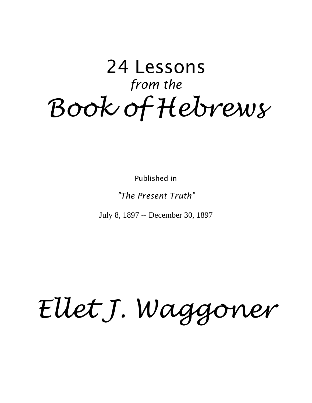# 24 Lessons *from the Book of Hebrews*

Published in

#### *"The Present Truth"*

July 8, 1897 -- December 30, 1897

# *Ellet J. Waggoner*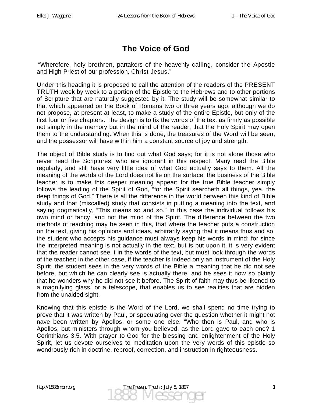# **The Voice of God**

"Wherefore, holy brethren, partakers of the heavenly calling, consider the Apostle and High Priest of our profession, Christ Jesus."

Under this heading it is proposed to call the attention of the readers of the PRESENT TRUTH week by week to a portion of the Epistle to the Hebrews and to other portions of Scripture that are naturally suggested by it. The study will be somewhat similar to that which appeared on the Book of Romans two or three years ago, although we do not propose, at present at least, to make a study of the entire Epistle, but only of the first four or five chapters. The design is to fix the words of the text as firmly as possible not simply in the memory but in the mind of the reader, that the Holy Spirit may open them to the understanding. When this is done, the treasures of the Word will be seen, and the possessor will have within him a constant source of joy and strength.

The object of Bible study is to find out what God says; for it is not alone those who never read the Scriptures, who are ignorant in this respect. Many read the Bible regularly, and still have very little idea of what God actually says to them. All the meaning of the words of the Lord does not lie on the surface; the business of the Bible teacher is to make this deeper meaning appear; for the true Bible teacher simply follows the leading of the Spirit of God, "for the Spirit searcheth all things, yea, the deep things of God." There is all the difference in the world between this kind of Bible study and that (miscalled) study that consists in putting a meaning into the text, and saying dogmatically, "This means so and so." In this case the individual follows his own mind or fancy, and not the mind of the Spirit. The difference between the two methods of teaching may be seen in this, that where the teacher puts a construction on the text, giving his opinions and ideas, arbitrarily saying that it means thus and so, the student who accepts his guidance must always keep his words in mind; for since the interpreted meaning is not actually in the text, but is put upon it, it is very evident that the reader cannot see it in the words of the text, but must look through the words of the teacher; in the other case, if the teacher is indeed only an instrument of the Holy Spirit, the student sees in the very words of the Bible a meaning that he did not see before, but which he can clearly see is actually there; and he sees it now so plainly that he wonders why he did not see it before. The Spirit of faith may thus be likened to a magnifying glass, or a telescope, that enables us to see realities that are hidden from the unaided sight.

Knowing that this epistle is the Word of the Lord, we shall spend no time trying to prove that it was written by Paul, or speculating over the question whether it might not nave been written by Apollos, or some one else. "Who then is Paul, and who is Apollos, but ministers through whom you believed, as the Lord gave to each one? 1 Corinthians 3.5. With prayer to God for the blessing and enlightenment of the Holy Spirit, let us devote ourselves to meditation upon the very words of this epistle so wondrously rich in doctrine, reproof, correction, and instruction in righteousness.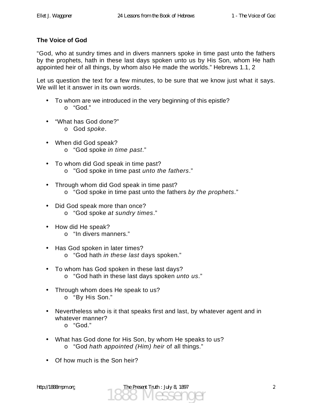#### **The Voice of God**

"God, who at sundry times and in divers manners spoke in time past unto the fathers by the prophets, hath in these last days spoken unto us by His Son, whom He hath appointed heir of all things, by whom also He made the worlds." Hebrews 1.1, 2

Let us question the text for a few minutes, to be sure that we know just what it says. We will let it answer in its own words.

- To whom are we introduced in the very beginning of this epistle? o "God."
- "What has God done?"
	- o God *spoke*.
- When did God speak? o "God spoke *in time past*."
- To whom did God speak in time past? o "God spoke in time past *unto the fathers*."
- Through whom did God speak in time past? o "God spoke in time past unto the fathers *by the prophets*."
- Did God speak more than once? o "God spoke *at sundry times*."
- How did He speak?
	- o "In divers manners."
- Has God spoken in later times?
	- o "God hath *in these last* days spoken."
- To whom has God spoken in these last days? o "God hath in these last days spoken *unto us*."
- Through whom does He speak to us?
	- o "By His Son."
- Nevertheless who is it that speaks first and last, by whatever agent and in whatever manner?
	- o "God."
- What has God done for His Son, by whom He speaks to us? o "God *hath appointed (Him) heir* of all things."
- Of how much is the Son heir?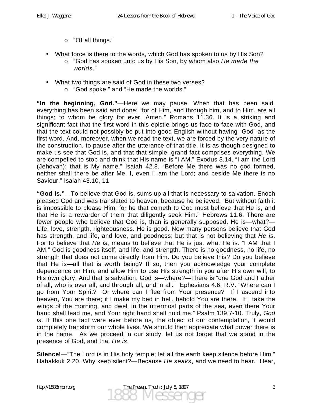- o "Of all things."
- What force is there to the words, which God has spoken to us by His Son?
	- o "God has spoken unto us by His Son, by whom also *He made the worlds*."
- What two things are said of God in these two verses?
	- o "God spoke," and "He made the worlds."

**"In the beginning, God."**—Here we may pause. When that has been said, everything has been said and done; "for of Him, and through him, and to Him, are all things; to whom be glory for ever. Amen." Romans 11.36. It is a striking and significant fact that the first word in this epistle brings us face to face with God, and that the text could not possibly be put into good English without having "God" as the first word. And, moreover, when we read the text, we are forced by the very nature of the construction, to pause after the utterance of that title. It is as though designed to make us see that God is, and that that simple, grand fact comprises everything. We are compelled to stop and think that His name is "I AM." Exodus 3.14. "I am the Lord (Jehovah); that is My name." Isaiah 42.8. "Before Me there was no god formed, neither shall there be after Me. I, even I, am the Lord; and beside Me there is no Saviour." Isaiah 43.10, 11

**"God Is."**—To believe that God is, sums up all that is necessary to salvation. Enoch pleased God and was translated to heaven, because he believed. "But without faith it is impossible to please Him; for he that cometh to God must believe that He is, and that He is a rewarder of them that diligently seek Him." Hebrews 11.6. There are fewer people who believe that God is, than is generally supposed. He is—what?— Life, love, strength, righteousness. He is good. Now many persons believe that God has strength, and life, and love, and goodness; but that is not believing that *He is*. For to believe that *He is*, means to believe that He is just what He is. "I AM that I AM." God is goodness itself, and life, and strength. There is no goodness, no life, no strength that does not come directly from Him. Do you believe this? Do you believe that He is—all that is worth being? If so, then you acknowledge your complete dependence on Him, and allow Him to use His strength in you after His own will, to His own glory. And that is salvation. God is—where?—There is "one God and Father of all, who is over all, and through all, and in all." Ephesians 4.6. R.V. "Where can I go from Your Spirit? Or where can I flee from Your presence? If I ascend into heaven, You are there; if I make my bed in hell, behold You are there. If I take the wings of the morning, and dwell in the uttermost parts of the sea, even there Your hand shall lead me, and Your right hand shall hold me." Psalm 139.7-10. Truly, *God is*. If this one fact were ever before us, the object of our contemplation, it would completely transform our whole lives. We should then appreciate what power there is in the name. As we proceed in our study, let us not forget that we stand in the presence of God, and that *He is*.

**Silence!**—"The Lord is in His holy temple; let all the earth keep silence before Him." Habakkuk 2.20. Why keep silent?—Because *He seaks*, and we need to hear. "Hear,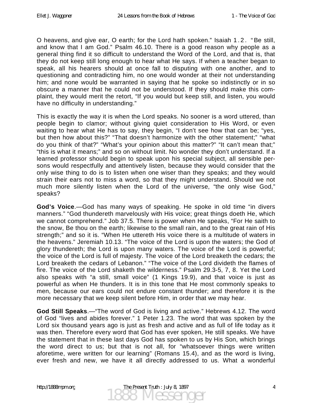O heavens, and give ear, O earth; for the Lord hath spoken." Isaiah 1 . 2 . " Be still, and know that I am God." Psalm 46.10. There is a good reason why people as a general thing find it so difficult to understand the Word of the Lord, and that is, that they do not keep still long enough to hear what He says. If when a teacher began to speak, all his hearers should at once fall to disputing with one another, and to questioning and contradicting him, no one would wonder at their not understanding him; and none would be warranted in saying that he spoke so indistinctly or in so obscure a manner that he could not be understood. If they should make this complaint, they would merit the retort, "If you would but keep still, and listen, you would have no difficulty in understanding."

This is exactly the way it is when the Lord speaks. No sooner is a word uttered, than people begin to clamor; without giving quiet consideration to His Word, or even waiting to hear what He has to say, they begin, "I don't see how that can be; "yes, but then how about this?" "That doesn't harmonize with the other statement;" "what do you think of that?" "What's your opinion about this matter?" "It can't mean that;" "this is what it means;" and so on without limit. No wonder they don't understand. If a learned professor should begin to speak upon his special subject, all sensible persons would respectfully and attentively listen, because they would consider that the only wise thing to do is to listen when one wiser than they speaks; and they would strain their ears not to miss a word, so that they might understand. Should we not much more silently listen when the Lord of the universe, "the only wise God," speaks?

**God's Voice**.—God has many ways of speaking. He spoke in old time "in divers manners." "God thundereth marvelously with His voice; great things doeth He, which we cannot comprehend." Job 37.5. There is power when He speaks, "For He saith to the snow, Be thou on the earth; likewise to the small rain, and to the great rain of His strength;" and so it is. "When He uttereth His voice there is a multitude of waters in the heavens." Jeremiah 10.13. "The voice of the Lord is upon the waters; the God of glory thundereth; the Lord is upon many waters. The voice of the Lord is powerful; the voice of the Lord is full of majesty. The voice of the Lord breaketh the cedars; the Lord breaketh the cedars of Lebanon." "The voice of the Lord divideth the flames of fire. The voice of the Lord shaketh the wilderness." Psalm 29.3-5, 7, 8. Yet the Lord also speaks with "a still, small voice" (1 Kings 19.9), and that voice is just as powerful as when He thunders. It is in this tone that He most commonly speaks to men, because our ears could not endure constant thunder; and therefore it is the more necessary that we keep silent before Him, in order that we may hear.

**God Still Speaks**.—"The word of God is living and active." Hebrews 4.12. The word of God "lives and abides forever." 1 Peter 1.23. The word that was spoken by the Lord six thousand years ago is just as fresh and active and as full of life today as it was then. Therefore every word that God has ever spoken, He still speaks. We have the statement that in these last days God has spoken to us by His Son, which brings the word direct to us; but that is not all, for "whatsoever things were written aforetime, were written for our learning" (Romans 15.4), and as the word is living, ever fresh and new, we have it all directly addressed to us. What a wonderful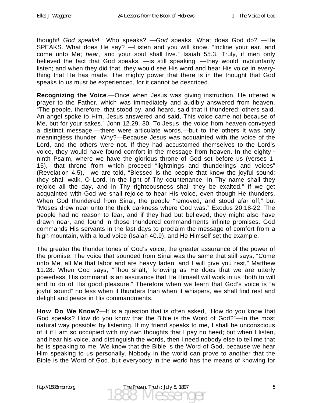thought! *God speaks*! Who speaks? —*God* speaks. What does God do? —He SPEAKS. What does He say? —Listen and you will know. "Incline your ear, and come unto Me; *hear*, and your soul shall live." Isaiah 55.3. Truly, if men only believed the fact that God speaks, —is still speaking, —they would involuntarily listen; and when they did that, they would see His word and hear His voice in everything that He has made. The mighty power that there is in the thought that God speaks to us must be experienced, for it cannot be described.

**Recognizing the Voice**.—Once when Jesus was giving instruction, He uttered a prayer to the Father, which was immediately and audibly answered from heaven. "The people, therefore, that stood by, and heard, said that it thundered; others said, An angel spoke to Him. Jesus answered and said, This voice came not because of Me, but for your sakes." John 12.29, 30. To Jesus, the voice from heaven conveyed a distinct message,—there were articulate words,—but to the others it was only meaningless thunder. Why?—Because Jesus was acquainted with the voice of the Lord, and the others were not. If they had accustomed themselves to the Lord's voice, they would have found comfort in the message from heaven. In the eighty- ninth Psalm, where we have the glorious throne of God set before us (verses 1- 15),—that throne from which proceed "lightnings and thunderings and voices" (Revelation 4.5),—we are told, "Blessed is the people that know the joyful sound; they shall walk, O Lord, in the light of Thy countenance. In Thy name shall they rejoice all the day, and in Thy righteousness shall they be exalted." If we get acquainted with God we shall rejoice to hear His voice, even though He thunders. When God thundered from Sinai, the people "removed, and stood afar off," but "Moses drew near unto the thick darkness where God was." Exodus 20.18-22. The people had no reason to fear, and if they had but believed, they might also have drawn near, and found in those thundered commandments infinite promises. God commands His servants in the last days to proclaim the message of comfort from a high mountain, with a loud voice (Isaiah 40.9); and He Himself set the example.

The greater the thunder tones of God's voice, the greater assurance of the power of the promise. The voice that sounded from Sinai was the same that still says, "Come unto Me, all Me that labor and are heavy laden, and I will give you rest," Matthew 11.28. When God says, "Thou shalt," knowing as He does that we are utterly powerless, His command is an assurance that He Himself will work in us "both to will and to do of His good pleasure." Therefore when we learn that God's voice is "a joyful sound" no less when it thunders than when it whispers, we shall find rest and delight and peace in His commandments.

**How Do We Know?**—It is a question that is often asked, "How do you know that God speaks? How do you know that the Bible is the Word of God?"—In the most natural way possible: by listening. If my friend speaks to me, I shall be unconscious of it if I am so occupied with my own thoughts that I pay no heed; but when I listen, and hear his voice, and distinguish the words, then I need nobody else to tell me that he is speaking to me. We know that the Bible is the Word of God, because we hear Him speaking to us personally. Nobody in the world can prove to another that the Bible is the Word of God, but everybody in the world has the means of knowing for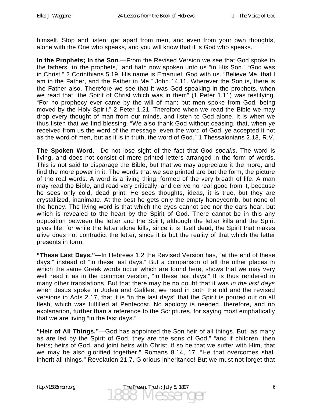himself. Stop and listen; get apart from men, and even from your own thoughts, alone with the One who speaks, and you will know that it is God who speaks.

**In the Prophets; In the Son**.—From the Revised Version we see that God spoke to the fathers "in the prophets," and hath now spoken unto us "in His Son." "God was in Christ." 2 Corinthians 5.19. His name is Emanuel, God with us. "Believe Me, that I am in the Father, and the Father in Me." John 14.11. Wherever the Son is, there is the Father also. Therefore we see that it was God speaking in the prophets, when we read that "the Spirit of Christ which was in them" (1 Peter 1.11) was testifying. "For no prophecy ever came by the will of man; but men spoke from God, being moved by the Holy Spirit." 2 Peter 1.21. Therefore when we read the Bible we may drop every thought of man from our minds, and listen to God alone. It is when we thus listen that we find blessing. "We also thank God without ceasing, that, when ye received from us the word of the message, even the word of God, ye accepted it not as the word of men, but as it is in truth, the word of God." 1 Thessalonians 2.13, R.V.

**The Spoken Word**.—Do not lose sight of the fact that God *speaks*. The word is living, and does not consist of mere printed letters arranged in the form of words. This is not said to disparage the Bible, but that we may appreciate it the more, and find the more power in it. The words that we see printed are but the form, the picture of the real words. A word is a living thing, formed of the very breath of life. A man may read the Bible, and read very critically, and derive no real good from it, because he sees only cold, dead print. He sees thoughts, ideas, it is true, but they are crystallized, inanimate. At the best he gets only the empty honeycomb, but none of the honey. The living word is that which the eyes cannot see nor the ears hear, but which is revealed to the heart by the Spirit of God. There cannot be in this any opposition between the letter and the Spirit, although the letter kills and the Spirit gives life; for while the letter alone kills, since it is itself dead, the Spirit that makes alive does not contradict the letter, since it is but the reality of that which the letter presents in form.

**"These Last Days."**—In Hebrews 1.2 the Revised Version has, "at the end of these days," instead of "in these last days." But a comparison of all the other places in which the same Greek words occur which are found here, shows that we may very well read it as in the common version, "in these last days." It is thus rendered in many other translations. But that there may be no doubt that it was *in the last days* when Jesus spoke in Judea and Galilee, we read in both the old and the revised versions in Acts 2.17, that it is "in the last days" that the Spirit is poured out on all flesh, which was fulfilled at Pentecost. No apology is needed, therefore, and no explanation, further than a reference to the Scriptures, for saying most emphatically that we are living "in the last days."

**"Heir of All Things."**—God has appointed the Son heir of all things. But "as many as are led by the Spirit of God, they are the sons of God," "and if children, then heirs; heirs of God, and joint heirs with Christ, if so be that we suffer with Him, that we may be also glorified together." Romans 8.14, 17. "He that overcomes shall inherit all things." Revelation 21.7. Glorious inheritance! But we must not forget that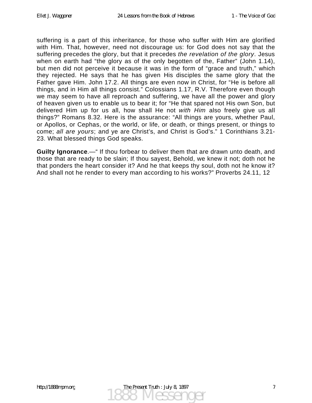suffering is a part of this inheritance, for those who suffer with Him are glorified with Him. That, however, need not discourage us: for God does not say that the suffering precedes the glory, but that it precedes *the revelation of the glory*. Jesus when on earth had "the glory as of the only begotten of the, Father" (John 1.14), but men did not perceive it because it was in the form of "grace and truth," which they rejected. He says that he has given His disciples the same glory that the Father gave Him. John 17.2. All things are even now in Christ, for "He is before all things, and in Him all things consist." Colossians 1.17, R.V. Therefore even though we may seem to have all reproach and suffering, we have all the power and glory of heaven given us to enable us to bear it; for "He that spared not His own Son, but delivered Him up for us all, how shall He not *with Him* also freely give us all things?" Romans 8.32. Here is the assurance: "All things are yours, whether Paul, or Apollos, or Cephas, or the world, or life, or death, or things present, or things to come; *all are yours*; and ye are Christ's, and Christ is God's." 1 Corinthians 3.21- 23. What blessed things God speaks.

**Guilty Ignorance**.—" If thou forbear to deliver them that are drawn unto death, and those that are ready to be slain; If thou sayest, Behold, we knew it not; doth not he that ponders the heart consider it? And he that keeps thy soul, doth not he know it? And shall not he render to every man according to his works?" Proverbs 24.11, 12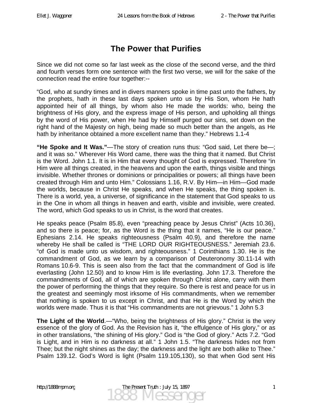### **The Power that Purifies**

Since we did not come so far last week as the close of the second verse, and the third and fourth verses form one sentence with the first two verse, we will for the sake of the connection read the entire four together:--

"God, who at sundry times and in divers manners spoke in time past unto the fathers, by the prophets, hath in these last days spoken unto us by His Son, whom He hath appointed heir of all things, by whom also He made the worlds: who, being the brightness of His glory, and the express image of His person, and upholding all things by the word of His power, when He had by Himself purged our sins, set down on the right hand of the Majesty on high, being made so much better than the angels, as He hath by inheritance obtained a more excellent name than they." Hebrews 1.1-4

**"He Spoke and It Was."**—The story of creation runs thus: "God said, Let there be—; and it was so." Wherever His Word came, there was the thing that it named. But Christ is the Word. John 1.1. It is in Him that every thought of God is expressed. Therefore "in Him were all things created, in the heavens and upon the earth, things visible and things invisible. Whether thrones or dominions or principalities or powers; all things have been created through Him and unto Him." Colossians 1.16, R.V. By Him—in Him—God made the worlds, because in Christ He speaks, and when He speaks, the thing spoken is. There is a world, yea, a universe, of significance in the statement that God speaks to us in the One in whom all things in heaven and earth, visible and invisible, were created. The word, which God speaks to us in Christ, is the word that creates.

He speaks peace (Psalm 85.8), even "preaching peace by Jesus Christ" (Acts 10.36), and so there is peace; for, as the Word is the thing that it names, "He is our peace." Ephesians 2.14. He speaks righteousness (Psalm 40.9), and therefore the name whereby He shall be called is "THE LORD OUR RIGHTEOUSNESS." Jeremiah 23.6. "of God is made unto us wisdom, and righteousness." 1 Corinthians 1.30. He is the commandment of God, as we learn by a comparison of Deuteronomy 30.11-14 with Romans 10.6-9. This is seen also from the fact that the commandment of God is life everlasting (John 12.50) and to know Him is life everlasting. John 17.3. Therefore the commandments of God, all of which are spoken through Christ alone, carry with them the power of performing the things that they require. So there is rest and peace for us in the greatest and seemingly most irksome of His commandments, when we remember that nothing is spoken to us except in Christ, and that He is the Word by which the worlds were made. Thus it is that "His commandments are not grievous." 1 John 5.3

**The Light of the World**.—"Who, being the brightness of His glory." Christ is the very essence of the glory of God. As the Revision has it, "the effulgence of His glory," or as in other translations, "the shining of His glory." God is "the God of glory." Acts 7.2. "God is Light, and in Him is no darkness at all." 1 John 1.5. "The darkness hides not from Thee; but the night shines as the day; the darkness and the light are both alike to Thee." Psalm 139.12. God's Word is light (Psalm 119.105,130), so that when God sent His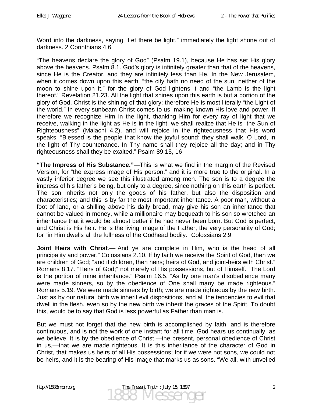Word into the darkness, saying "Let there be light," immediately the light shone out of darkness. 2 Corinthians 4.6

"The heavens declare the glory of God" (Psalm 19.1), because He has set His glory above the heavens. Psalm 8.1. God's glory is infinitely greater than that of the heavens, since He is the Creator, and they are infinitely less than He. In the New Jerusalem, when it comes down upon this earth, "the city hath no need of the sun, neither of the moon to shine upon it," for the glory of God lightens it and "the Lamb is the light thereof." Revelation 21.23. All the light that shines upon this earth is but a portion of the glory of God. Christ is the shining of that glory; therefore He is most literally "the Light of the world." In every sunbeam Christ comes to us, making known His love and power. If therefore we recognize Him in the light, thanking Him for every ray of light that we receive, walking in the light as He is in the light, we shall realize that He is "the Sun of Righteousness" (Malachi 4.2), and will rejoice in the righteousness that His word speaks. "Blessed is the people that know the joyful sound; they shall walk, O Lord, in the light of Thy countenance. In Thy name shall they rejoice all the day; and in Thy righteousness shall they be exalted." Psalm 89.15, 16

**"The Impress of His Substance."**—This is what we find in the margin of the Revised Version, for "the express image of His person," and it is more true to the original. In a vastly inferior degree we see this illustrated among men. The son is to a degree the impress of his father's being, but only to a degree, since nothing on this earth is perfect. The son inherits not only the goods of his father, but also the disposition and characteristics; and this is by far the most important inheritance. A poor man, without a foot of land, or a shilling above his daily bread, may give his son an inheritance that cannot be valued in money, while a millionaire may bequeath to his son so wretched an inheritance that it would be almost better if he had never been born. But God is perfect, and Christ is His heir. He is the living image of the Father, the very personality of God; for "in Him dwells all the fullness of the Godhead bodily." Colossians 2.9

**Joint Heirs with Christ**.—"And ye are complete in Him, who is the head of all principality and power." Colossians 2.10. If by faith we receive the Spirit of God, then we are children of God; "and if children, then heirs; heirs of God, and joint-heirs with Christ." Romans 8.17. "Heirs of God;" not merely of His possessions, but of Himself. "The Lord is the portion of mine inheritance." Psalm 16.5. "As by one man's disobedience many were made sinners, so by the obedience of One shall many be made righteous." Romans 5.19. We were made sinners by birth; we are made righteous by the new birth. Just as by our natural birth we inherit evil dispositions, and all the tendencies to evil that dwell in the flesh, even so by the new birth we inherit the graces of the Spirit. To doubt this, would be to say that God is less powerful as Father than man is.

But we must not forget that the new birth is accomplished by faith, and is therefore continuous, and is not the work of one instant for all time. God hears us continually, as we believe. It is by the obedience of Christ,—the present, personal obedience of Christ in us,—that we are made righteous. It is this inheritance of the character of God in Christ, that makes us heirs of all His possessions; for if we were not sons, we could not be heirs, and it is the bearing of His image that marks us as sons. "We all, with unveiled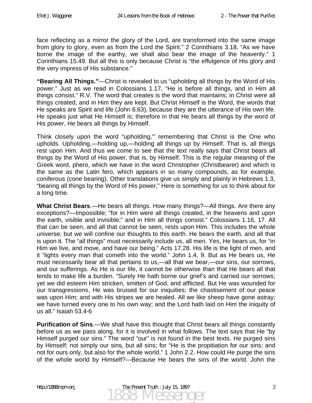face reflecting as a mirror the glory of the Lord, are transformed into the same image from glory to glory, even as from the Lord the Spirit." 2 Corinthians 3.18. "As we have borne the image of the earthy, we shall also bear the image of the heavenly." 1 Corinthians 15.49. But all this is only because Christ is "the effulgence of His glory and the very impress of His substance."

**"Bearing All Things."**—Christ is revealed to us "upholding all things by the Word of His power." Just as we read in Colossians 1.17, "He is before all things, and in Him all things consist." R.V. The word that creates is the word that maintains; in Christ were all things created, and in Him they are kept. But Christ Himself is the Word, the words that He speaks are Spirit and life (John 6.63), because they are the utterance of His own life. He speaks just what He Himself is; therefore in that He bears all things by the word of His power, He bears all things by Himself.

Think closely upon the word "upholding,'" remembering that Christ is the One who upholds. Upholding,—holding up,—holding all things up by Himself. That is, all things rest upon Him. And thus we come to see that the text really says that Christ bears all things by the Word of His power, that is, by Himself. This is the regular meaning of the Greek word, phero, which we have in the word Christopher (Christbearer) and which is the same as the Latin fero, which appears in so many compounds, as for example, coniferous (cone bearing). Other translations give us simply and plainly in Hebrews 1.3, "bearing all things by the Word of His power," Here is something for us to think about for a long time.

**What Christ Bears**.—He bears all things. How many things?—All things. Are there any exceptions?—Impossible; "for in Him were all things created, in the heavens and upon the earth, visible and invisible;" and in Him all things consist." Colossians 1.16, 17. All that can be seen, and all that cannot be seen, rests upon Him. This includes the whole universe; but we will confine our thoughts to this earth. He bears the earth, and all that is upon it. The "all things" must necessarily include us, all men. Yes, He bears us, for "in Him we live, and move, and have our being." Acts 17.28. His life is the light of men, and it "lights every man that cometh into the world." John 1.4, 9. But as He bears us, He must necessarily bear all that pertains to us,—all that we bear,—our sins, our sorrows, and our sufferings. As He is our life, it cannot be otherwise than that He bears all that tends to make life a burden. "Surely He hath borne our grief's and carried our sorrows; yet we did esteem Him stricken, smitten of God, and afflicted. But He was wounded for our transgressions, He was bruised for our iniquities; the chastisement of our peace was upon Him; and with His stripes we are healed. All we like sheep have gone astray; we have turned every one to his own way; and the Lord hath laid on Him the iniquity of us all." Isaiah 53.4-6

**Purification of Sins**.—We shall have this thought that Christ bears all things constantly before us as we pass along, for it is involved in what follows. The text says that He "by Himself purged our sins." The word "our" is not found in the best texts. He purged sins by Himself; not simply our sins, but all sins; for "He is the propitiation for our sins; and not for ours only, but also for the whole world." 1 John 2.2. How could He purge the sins of the whole world by Himself?—Because He bears the sins of the world. John the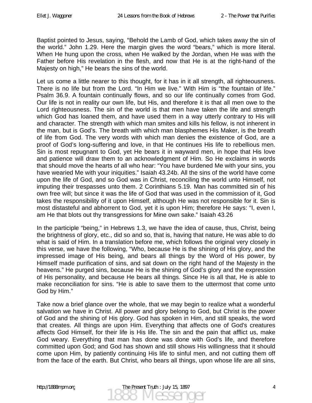Baptist pointed to Jesus, saying, "Behold the Lamb of God, which takes away the sin of the world." John 1.29. Here the margin gives the word "bears," which is more literal. When He hung upon the cross, when He walked by the Jordan, when He was with the Father before His revelation in the flesh, and now that He is at the right-hand of the Majesty on high," He bears the sins of the world.

Let us come a little nearer to this thought, for it has in it all strength, all righteousness. There is no life but from the Lord. "In Him we live." With Him is "the fountain of life." Psalm 36.9. A fountain continually flows, and so our life continually comes from God. Our life is not in reality our own life, but His, and therefore it is that all men owe to the Lord righteousness. The sin of the world is that men have taken the life and strength which God has loaned them, and have used them in a way utterly contrary to His will and character. The strength with which man smites and kills his fellow, is not inherent in the man, but is God's. The breath with which man blasphemes His Maker, is the breath of life from God. The very words with which man denies the existence of God, are a proof of God's long-suffering and love, in that He continues His life to rebellious men. Sin is most repugnant to God, yet He bears it in wayward men, in hope that His love and patience will draw them to an acknowledgment of Him. So He exclaims in words that should move the hearts of all who hear: "You have burdened Me with your sins, you have wearied Me with your iniquities." Isaiah 43.24b. All the sins of the world have come upon the life of God, and so God was in Christ, reconciling the world unto Himself, not imputing their trespasses unto them. 2 Corinthians 5.19. Man has committed sin of his own free will; but since it was the life of God that was used in the commission of it, God takes the responsibility of it upon Himself, although He was not responsible for it. Sin is most distasteful and abhorrent to God, yet it is upon Him; therefore He says: "I, even I, am He that blots out thy transgressions for Mine own sake." Isaiah 43.26

In the participle "being," in Hebrews 1.3, we have the idea of cause, thus, Christ, being the brightness of glory, etc., did so and so, that is, having that nature, He was able to do what is said of Him. In a translation before me, which follows the original very closely in this verse, we have the following, "Who, because He is the shining of His glory, and the impressed image of His being, and bears all things by the Word of His power, by Himself made purification of sins, and sat down on the right hand of the Majesty in the heavens." He purged sins, because He is the shining of God's glory and the expression of His personality, and because He bears all things. Since He is all that, He is able to make reconciliation for sins. "He is able to save them to the uttermost that come unto God by Him."

Take now a brief glance over the whole, that we may begin to realize what a wonderful salvation we have in Christ. All power and glory belong to God, but Christ is the power of God and the shining of His glory. God has spoken in Him, and still speaks, the word that creates. All things are upon Him. Everything that affects one of God's creatures affects God Himself, for their life is His life. The sin and the pain that afflict us, make God weary. Everything that man has done was done with God's life, and therefore committed upon God; and God has shown and still shows His willingness that it should come upon Him, by patiently continuing His life to sinful men, and not cutting them off from the face of the earth. But Christ, who bears all things, upon whose life are all sins,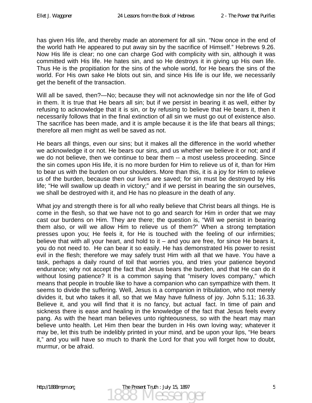has given His life, and thereby made an atonement for all sin. "Now once in the end of the world hath He appeared to put away sin by the sacrifice of Himself." Hebrews 9.26. Now His life is clear; no one can charge God with complicity with sin, although it was committed with His life. He hates sin, and so He destroys it in giving up His own life. Thus He is the propitiation for the sins of the whole world, for He bears the sins of the world. For His own sake He blots out sin, and since His life is our life, we necessarily get the benefit of the transaction.

Will all be saved, then?—No; because they will not acknowledge sin nor the life of God in them. It is true that He bears all sin; but if we persist in bearing it as well, either by refusing to acknowledge that it is sin, or by refusing to believe that He bears it, then it necessarily follows that in the final extinction of all sin we must go out of existence also. The sacrifice has been made, and it is ample because it is the life that bears all things; therefore all men might as well be saved as not.

He bears all things, even our sins; but it makes all the difference in the world whether we acknowledge it or not. He bears our sins, and us whether we believe it or not; and if we do not believe, then we continue to bear them -- a most useless proceeding. Since the sin comes upon His life, it is no more burden for Him to relieve us of it, than for Him to bear us with the burden on our shoulders. More than this, it is a joy for Him to relieve us of the burden, because then our lives are saved; for sin must be destroyed by His life; "He will swallow up death in victory;" and if we persist in bearing the sin ourselves, we shall be destroyed with it, and He has no pleasure in the death of any.

What joy and strength there is for all who really believe that Christ bears all things. He is come in the flesh, so that we have not to go and search for Him in order that we may cast our burdens on Him. They are there; the question is, "Will we persist in bearing them also, or will we allow Him to relieve us of them?" When a strong temptation presses upon you; He feels it, for He is touched with the feeling of our infirmities; believe that with all your heart, and hold to it – and you are free, for since He bears it, you do not need to. He can bear it so easily. He has demonstrated His power to resist evil in the flesh; therefore we may safely trust Him with all that we have. You have a task, perhaps a daily round of toil that worries you, and tries your patience beyond endurance; why not accept the fact that Jesus bears the burden, and that He can do it without losing patience? It is a common saying that "misery loves company," which means that people in trouble like to have a companion who can sympathize with them. It seems to divide the suffering. Well, Jesus is a companion in tribulation, who not merely divides it, but who takes it all, so that we May have fullness of joy. John 5.11; 16.33. Believe it, and you will find that it is no fancy, but actual fact. In time of pain and sickness there is ease and healing in the knowledge of the fact that Jesus feels every pang. As with the heart man believes unto righteousness, so with the heart may man believe unto health. Let Him then bear the burden in His own loving way; whatever it may be, let this truth be indelibly printed in your mind, and be upon your lips, "He bears it," and you will have so much to thank the Lord for that you will forget how to doubt, murmur, or be afraid.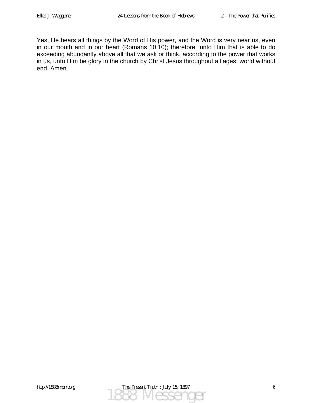Yes, He bears all things by the Word of His power, and the Word is very near us, even in our mouth and in our heart (Romans 10.10); therefore "unto Him that is able to do exceeding abundantly above all that we ask or think, according to the power that works in us, unto Him be glory in the church by Christ Jesus throughout all ages, world without end. Amen.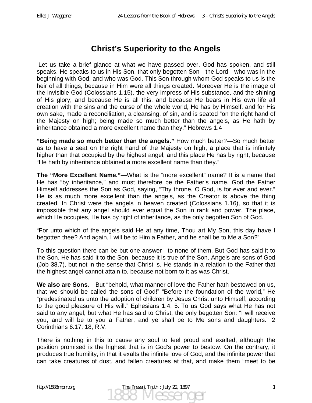### **Christ's Superiority to the Angels**

 Let us take a brief glance at what we have passed over. God has spoken, and still speaks. He speaks to us in His Son, that only begotten Son—the Lord—who was in the beginning with God, and who was God. This Son through whom God speaks to us is the heir of all things, because in Him were all things created. Moreover He is the image of the invisible God (Colossians 1.15), the very impress of His substance, and the shining of His glory; and because He is all this, and because He bears in His own life all creation with the sins and the curse of the whole world, He has by Himself, and for His own sake, made a reconciliation, a cleansing, of sin, and is seated "on the right hand of the Majesty on high; being made so much better than the angels, as He hath by inheritance obtained a more excellent name than they." Hebrews 1.4

**"Being made so much better than the angels."** How much better?—So much better as to have a seat on the right hand of the Majesty on high, a place that is infinitely higher than that occupied by the highest angel; and this place He has by right, because "He hath by inheritance obtained a more excellent name than they."

**The "More Excellent Name."**—What is the "more excellent" name? It is a name that He has "by inheritance," and must therefore be the Father's name. God the Father Himself addresses the Son as God, saying, "Thy throne, O God, is for ever and ever." He is as much more excellent than the angels, as the Creator is above the thing created. In Christ were the angels in heaven created (Colossians 1.16), so that it is impossible that any angel should ever equal the Son in rank and power. The place, which He occupies, He has by right of inheritance, as the only begotten Son of God.

"For unto which of the angels said He at any time, Thou art My Son, this day have I begotten thee? And again, I will be to Him a Father, and he shall be to Me a Son?"

To this question there can be but one answer—to none of them. But God has said it to the Son. He has said it to the Son, because it is true of the Son. Angels are sons of God (Job 38.7), but not in the sense that Christ is. He stands in a relation to the Father that the highest angel cannot attain to, because not born to it as was Christ.

**We also are Sons**.—But "behold, what manner of love the Father hath bestowed on us, that we should be called the sons of God!" "Before the foundation of the world," He "predestinated us unto the adoption of children by Jesus Christ unto Himself, according to the good pleasure of His will." Ephesians 1.4, 5. To us God says what He has not said to any angel, but what He has said to Christ, the only begotten Son: "I will receive you, and will be to you a Father, and ye shall be to Me sons and daughters." 2 Corinthians 6.17, 18, R.V.

There is nothing in this to cause any soul to feel proud and exalted, although the position promised is the highest that is in God's power to bestow. On the contrary, it produces true humility, in that it exalts the infinite love of God, and the infinite power that can take creatures of dust, and fallen creatures at that, and make them "meet to be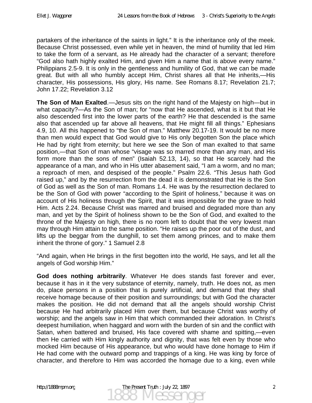partakers of the inheritance of the saints in light." It is the inheritance only of the meek. Because Christ possessed, even while yet in heaven, the mind of humility that led Him to take the form of a servant, as He already had the character of a servant; therefore "God also hath highly exalted Him, and given Him a name that is above every name." Philippians 2.5-9. It is only in the gentleness and humility of God, that we can be made great. But with all who humbly accept Him, Christ shares all that He inherits,—His character, His possessions, His glory, His name. See Romans 8.17; Revelation 21.7; John 17.22; Revelation 3.12

**The Son of Man Exalted**.—Jesus sits on the right hand of the Majesty on high—but in what capacity?—As the Son of man; for "now that He ascended, what is it but that He also descended first into the lower parts of the earth? He that descended is the same also that ascended up far above all heavens, that He might fill all things." Ephesians 4.9, 10. All this happened to "the Son of man." Matthew 20.17-19. It would be no more than men would expect that God would give to His only begotten Son the place which He had by right from eternity; but here we see the Son of man exalted to that same position,—that Son of man whose "visage was so marred more than any man, and His form more than the sons of men" (Isaiah 52.13, 14), so that He scarcely had the appearance of a man, and who in His utter abasement said, "I am a worm, and no man; a reproach of men, and despised of the people." Psalm 22.6. "This Jesus hath God raised up," and by the resurrection from the dead it is demonstrated that He is the Son of God as well as the Son of man. Romans 1.4. He was by the resurrection declared to be the Son of God with power "according to the Spirit of holiness," because it was on account of His holiness through the Spirit, that it was impossible for the grave to hold Him. Acts 2.24. Because Christ was marred and bruised and degraded more than any man, and yet by the Spirit of holiness shown to be the Son of God, and exalted to the throne of the Majesty on high, there is no room left to doubt that the very lowest man may through Him attain to the same position. "He raises up the poor out of the dust, and lifts up the beggar from the dunghill, to set them among princes, and to make them inherit the throne of gory." 1 Samuel 2.8

"And again, when He brings in the first begotten into the world, He says, and let all the angels of God worship Him."

**God does nothing arbitrarily**. Whatever He does stands fast forever and ever, because it has in it the very substance of eternity, namely, truth. He does not, as men do, place persons in a position that is purely artificial, and demand that they shall receive homage because of their position and surroundings; but with God the character makes the position. He did not demand that all the angels should worship Christ because He had arbitrarily placed Him over them, but because Christ was worthy of worship; and the angels saw in Him that which commanded their adoration. In Christ's deepest humiliation, when haggard and worn with the burden of sin and the conflict with Satan, when battered and bruised, His face covered with shame and spitting,—even then He carried with Him kingly authority and dignity, that was felt even by those who mocked Him because of His appearance, but who would have done homage to Him if He had come with the outward pomp and trappings of a king. He was king by force of character, and therefore to Him was accorded the homage due to a king, even while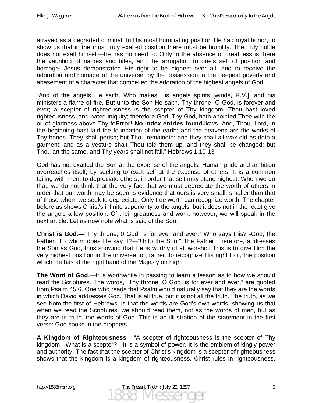arrayed as a degraded criminal. In His most humiliating position He had royal honor, to show us that in the most truly exalted position there must be humility. The truly noble does not exalt himself—he has no need to. Only in the absence of greatness is there the vaunting of names and titles, and the arrogation to one's self of position and homage. Jesus demonstrated His right to be highest over all, and to receive the adoration and homage of the universe, by the possession in the deepest poverty and abasement of a character that compelled the adoration of the highest angels of God.

"And of the angels He saith, Who makes His angels spirits [winds, R.V.], and his ministers a flame of fire. But unto the Son He saith, Thy throne, O God, is forever and ever; a scepter of righteousness is the scepter of Thy kingdom. Thou hast loved righteousness, and hated iniquity; therefore God, Thy God, hath anointed Thee with the oil of gladness above Thy fe**Error! No index entries found.**llows. And, Thou, Lord, in the beginning hast laid the foundation of the earth; and the heavens are the works of Thy hands. They shall perish; but Thou remaineth; and they shall all wax old as doth a garment; and as a vesture shalt Thou told them up, and they shall be changed; but Thou art the same, and Thy years shall not fail." Hebrews 1.10-13

God has not exalted the Son at the expense of the angels. Human pride and ambition overreaches itself, by seeking to exalt self at the expense of others. It is a common failing with men, to depreciate others, in order that self may stand highest. When we do that, we do not think that the very fact that we must depreciate the worth of others in order that our worth may be seen is evidence that ours is very small, smaller than that of those whom we seek to depreciate. Only true worth can recognize worth. The chapter before us shows Christ's infinite superiority to the angels, but it does not in the least give the angels a low position. Of their greatness and work, however, we will speak in the next article. Let as now note what is said of the Son.

**Christ is God**.—"Thy throne, 0 God, is for ever and ever." Who says this? -God, the Father. To whom does He say it?—"Unto the Son." The Father, therefore, addresses the Son as God, thus showing that He is worthy of all worship. This is to give Him the very highest position in the universe, or, rather, to recognize His right to it, the position which He has at the right hand of the Majesty on high.

**The Word of God**.—It is worthwhile in passing to learn a lesson as to how we should read the Scriptures. The words, "Thy throne, O God, is for ever and ever," are quoted from Psalm 45.6. One who reads that Psalm would naturally say that they are the words in which David addresses God. That is all true, but it is not all the truth. The truth, as we see from the first of Hebrews, is that the words are God's own words, showing us that when we read the Scriptures, we should read them, not as the words of men, but as they are in truth, the words of God, This is an illustration of the statement in the first verse: God spoke in the prophets.

**A Kingdom of Righteousness**.—"A scepter of righteousness is the scepter of Thy kingdom." What is a scepter?—It is a symbol of power. It is the emblem of kingly power and authority. The fact that the scepter of Christ's kingdom is a scepter of righteousness shows that the kingdom is a kingdom of righteousness. Christ rules in righteousness.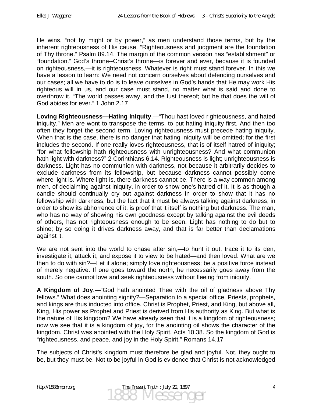He wins, "not by might or by power," as men understand those terms, but by the inherent righteousness of His cause. "Righteousness and judgment are the foundation of Thy throne." Psalm 89.14, The margin of the common version has "establishment" or "foundation." God's throne--Christ's throne—is forever and ever, because it is founded on righteousness,—it is righteousness. Whatever is right must stand forever. In this we have a lesson to learn: We need not concern ourselves about defending ourselves and our cases; all we have to do is to leave ourselves in God's hands that He may work His righteous will in us, and our case must stand, no matter what is said and done to overthrow it. "The world passes away, and the lust thereof; but he that does the will of God abides for ever." 1 John 2.17

**Loving Righteousness—Hating Iniquity**.—"Thou hast loved righteousness, and hated iniquity." Men are wont to transpose the terms, to put hating iniquity first. And then too often they forget the second term. Loving righteousness must precede hating iniquity. When that is the case, there is no danger that hating iniquity will be omitted; for the first includes the second. If one really loves righteousness, that is of itself hatred of iniquity; "for what fellowship hath righteousness with unrighteousness? And what communion hath light with darkness?" 2 Corinthians 6.14. Righteousness is light; unrighteousness is darkness. Light has no communion with darkness, not because it arbitrarily decides to exclude darkness from its fellowship, but because darkness cannot possibly come where light is. Where light is, there darkness cannot be. There is a way common among men, of declaiming against iniquity, in order to show one's hatred of it. It is as though a candle should continually cry out against darkness in order to show that it has no fellowship with darkness, but the fact that it must be always talking against darkness, in order to show its abhorrence of it, is proof that it itself is nothing but darkness. The man, who has no way of showing his own goodness except by talking against the evil deeds of others, has not righteousness enough to be seen. Light has nothing to do but to shine; by so doing it drives darkness away, and that is far better than declamations against it.

We are not sent into the world to chase after sin,—to hunt it out, trace it to its den, investigate it, attack it, and expose it to view to be hated—and then loved. What are we then to do with sin?—Let it alone; simply love righteousness; be a positive force instead of merely negative. If one goes toward the north, he necessarily goes away from the south. So one cannot love and seek righteousness without fleeing from iniquity.

**A Kingdom of Joy**.—"God hath anointed Thee with the oil of gladness above Thy fellows." What does anointing signify?—Separation to a special office. Priests, prophets, and kings are thus inducted into office. Christ is Prophet, Priest, and King, but above all, King, His power as Prophet and Priest is derived from His authority as King. But what is the nature of His kingdom? We have already seen that it is a kingdom of righteousness; now we see that it is a kingdom of joy, for the anointing oil shows the character of the kingdom. Christ was anointed with the Holy Spirit. Acts 10.38. So the kingdom of God is "righteousness, and peace, and joy in the Holy Spirit." Romans 14.17

The subjects of Christ's kingdom must therefore be glad and joyful. Not, they ought to be, but they must be. Not to be joyful in God is evidence that Christ is not acknowledged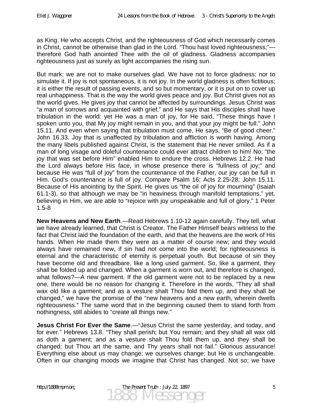as King. He who accepts Christ, and the righteousness of God which necessarily comes in Christ, cannot be otherwise than glad in the Lord. "Thou hast loved righteousness;" therefore God hath anointed Thee with the oil of gladness. Gladness accompanies righteousness just as surely as light accompanies the rising sun.

But mark; we are not to make ourselves glad. We have not to force gladness; nor to simulate it. If joy is not spontaneous, it is not joy. In the world gladness is often fictitious; it is either the result of passing events, and so but momentary, or it is put on to cover up real unhappiness. That is the way the world gives peace and joy. But Christ gives not as the world gives. He gives joy that cannot be affected by surroundings. Jesus Christ was "a man of sorrows and acquainted with grief," and He says that His disciples shall have tribulation in the world: yet He was a man of joy, for He said, "These things have I spoken unto you, that My joy might remain in you, and that your joy might be full." John 15.11. And even when saying that tribulation must come, He says, "Be of good cheer." John 16.33. Joy that is unaffected by tribulation and affliction is worth having. Among the many libels published against Christ, is the statement that He never smiled. As if a man of long visage and doleful countenance could ever attract children to him! No; "the joy that was set before Him" enabled Him to endure the cross. Hebrews 12.2. He had the Lord always before His face, in whose presence there is "fullness of joy;" and because He was "full of joy" from the countenance of the Father, our joy can be full in Him. God's countenance is full of joy. Compare Psalm 16; Acts 2.25-28; John 15.11. Because of His anointing by the Spirit, He gives us "the oil of joy for mourning" (Isaiah 61.1-3), so that although we may be "in heaviness through manifold temptations," yet, believing in Him, we are able to "rejoice with joy unspeakable and full of glory." 1 Peter 1.5-8

**New Heavens and New Earth**.—Read Hebrews 1.10-12 again carefully. They tell, what we have already learned, that Christ is Creator. The Father Himself bears witness to the fact that Christ laid the foundation of the earth, and that the heavens are the work of His hands. When He made them they were as a matter of course new; and they would always have remained new, if sin had not come into the world; for righteousness is eternal and the characteristic of eternity is perpetual youth. But because of sin they have become old and threadbare, like a long used garment. So, like a garment, they shall be folded up and changed. When a garment is worn out, and therefore is changed, what follows?—A new garment. If the old garment were not to be replaced by a new one, there would be no reason for changing it. Therefore in the words, "They all shall wax old like a garment; and as a vesture shalt Thou fold them up, and they shall be changed," we have the promise of the "new heavens and a new earth, wherein dwells righteousness." The same word that in the beginning caused them to stand forth from nothingness, still abides to "create all things new."

**Jesus Christ For Ever the Same**.—"Jesus Christ the same yesterday, and today, and for ever." Hebrews 13.8. "They shall perish; but You remain; and they shall all wax old as doth a garment; and as a vesture shalt Thou fold them up, and they shall be changed; but Thou art the same, and Thy years shall not fail." Glorious assurance! Everything else about us may change; we ourselves change; but He is unchangeable. Often in our changing moods we imagine that Christ has changed. Not so; we have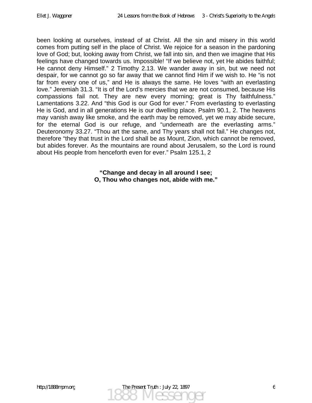been looking at ourselves, instead of at Christ. All the sin and misery in this world comes from putting self in the place of Christ. We rejoice for a season in the pardoning love of God; but, looking away from Christ, we fall into sin, and then we imagine that His feelings have changed towards us. Impossible! "If we believe not, yet He abides faithful; He cannot deny Himself." 2 Timothy 2.13. We wander away in sin, but we need not despair, for we cannot go so far away that we cannot find Him if we wish to. He "is not far from every one of us," and He is always the same. He loves "with an everlasting love." Jeremiah 31.3. "It is of the Lord's mercies that we are not consumed, because His compassions fail not. They are new every morning; great is Thy faithfulness." Lamentations 3.22. And "this God is our God for ever." From everlasting to everlasting He is God, and in all generations He is our dwelling place. Psalm 90.1, 2. The heavens may vanish away like smoke, and the earth may be removed, yet we may abide secure, for the eternal God is our refuge, and "underneath are the everlasting arms." Deuteronomy 33.27. "Thou art the same, and Thy years shall not fail." He changes not, therefore "they that trust in the Lord shall be as Mount, Zion, which cannot be removed, but abides forever. As the mountains are round about Jerusalem, so the Lord is round about His people from henceforth even for ever." Psalm 125.1, 2

> **"Change and decay in all around I see; O, Thou who changes not, abide with me."**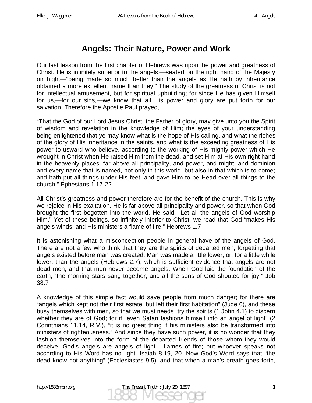#### **Angels: Their Nature, Power and Work**

Our last lesson from the first chapter of Hebrews was upon the power and greatness of Christ. He is infinitely superior to the angels,—seated on the right hand of the Majesty on high,—"being made so much better than the angels as He hath by inheritance obtained a more excellent name than they." The study of the greatness of Christ is not for intellectual amusement, but for spiritual upbuilding; for since He has given Himself for us,—for our sins,—we know that all His power and glory are put forth for our salvation. Therefore the Apostle Paul prayed,

"That the God of our Lord Jesus Christ, the Father of glory, may give unto you the Spirit of wisdom and revelation in the knowledge of Him; the eyes of your understanding being enlightened that ye may know what is the hope of His calling, and what the riches of the glory of His inheritance in the saints, and what is the exceeding greatness of His power to usward who believe, according to the working of His mighty power which He wrought in Christ when He raised Him from the dead, and set Him at His own right hand in the heavenly places, far above all principality, and power, and might, and dominion and every name that is named, not only in this world, but also in that which is to come; and hath put all things under His feet, and gave Him to be Head over all things to the church." Ephesians 1.17-22

All Christ's greatness and power therefore are for the benefit of the church. This is why we rejoice in His exaltation. He is far above all principality and power, so that when God brought the first begotten into the world, He said, "Let all the angels of God worship Him." Yet of these beings, so infinitely inferior to Christ, we read that God "makes His angels winds, and His ministers a flame of fire." Hebrews 1.7

It is astonishing what a misconception people in general have of the angels of God. There are not a few who think that they are the spirits of departed men, forgetting that angels existed before man was created. Man was made a little lower, or, for a little while lower, than the angels (Hebrews 2.7), which is sufficient evidence that angels are not dead men, and that men never become angels. When God laid the foundation of the earth, "the morning stars sang together, and all the sons of God shouted for joy." Job 38.7

A knowledge of this simple fact would save people from much danger; for there are "angels which kept not their first estate, but left their first habitation" (Jude 6), and these busy themselves with men, so that we must needs "try the spirits (1 John 4.1) to discern whether they are of God; for if "even Satan fashions himself into an angel of light" (2) Corinthians 11.14, R.V.), "it is no great thing if his ministers also be transformed into ministers of righteousness." And since they have such power, it is no wonder that they fashion themselves into the form of the departed friends of those whom they would deceive. God's angels are angels of light - flames of fire; but whoever speaks not according to His Word has no light. Isaiah 8.19, 20. Now God's Word says that "the dead know not anything" (Ecclesiastes 9.5), and that when a man's breath goes forth,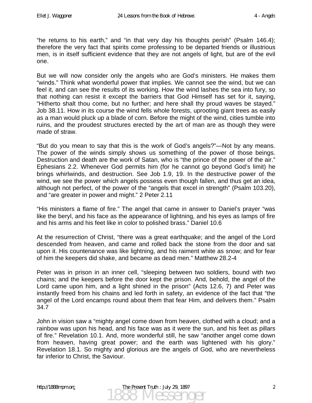"he returns to his earth," and "in that very day his thoughts perish" (Psalm 146.4); therefore the very fact that spirits come professing to be departed friends or illustrious men, is in itself sufficient evidence that they are not angels of light, but are of the evil one.

But we will now consider only the angels who are God's ministers. He makes them "winds." Think what wonderful power that implies. We cannot see the wind, but we can feel it, and can see the results of its working. How the wind lashes the sea into fury, so that nothing can resist it except the barriers that God Himself has set for it, saying, "Hitherto shalt thou come, but no further; and here shall thy proud waves be stayed." Job 38.11. How in its course the wind fells whole forests, uprooting giant trees as easily as a man would pluck up a blade of corn. Before the might of the wind, cities tumble into ruins, and the proudest structures erected by the art of man are as though they were made of straw.

"But do you mean to say that this is the work of God's angels?"—Not by any means. The power of the winds simply shows us something of the power of those beings. Destruction and death are the work of Satan, who is "the prince of the power of the air." Ephesians 2.2. Whenever God permits him (for he cannot go beyond God's limit) he brings whirlwinds, and destruction. See Job 1.9, 19. In the destructive power of the wind, we see the power which angels possess even though fallen, and thus get an idea, although not perfect, of the power of the "angels that excel in strength" (Psalm 103.20), and "are greater in power and might." 2 Peter 2.11

"His ministers a flame of fire." The angel that came in answer to Daniel's prayer "was like the beryl, and his face as the appearance of lightning, and his eyes as lamps of fire and his arms and his feet like in color to polished brass." Daniel 10.6

At the resurrection of Christ, "there was a great earthquake; and the angel of the Lord descended from heaven, and came and rolled back the stone from the door and sat upon it. His countenance was like lightning, and his raiment white as snow; and for fear of him the keepers did shake, and became as dead men." Matthew 28.2-4

Peter was in prison in an inner cell, "sleeping between two soldiers, bound with two chains; and the keepers before the door kept the prison. And, behold, the angel of the Lord came upon him, and a light shined in the prison" (Acts 12.6, 7) and Peter was instantly freed from his chains and led forth in safety, an evidence of the fact that "the angel of the Lord encamps round about them that fear Him, and delivers them." Psalm 34.7

John in vision saw a "mighty angel come down from heaven, clothed with a cloud; and a rainbow was upon his head, and his face was as it were the sun, and his feet as pillars of fire." Revelation 10.1. And, more wonderful still, he saw "another angel come down from heaven, having great power; and the earth was lightened with his glory." Revelation 18.1. So mighty and glorious are the angels of God, who are nevertheless far inferior to Christ, the Saviour.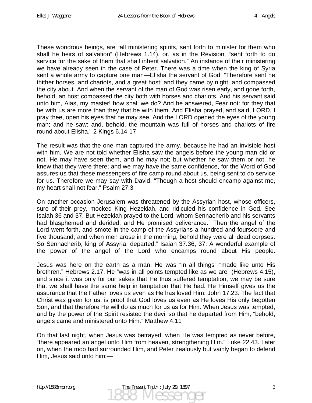These wondrous beings, are "all ministering spirits, sent forth to minister for them who shall he heirs of salvation" (Hebrews 1.14), or, as in the Revision, "sent forth to do service for the sake of them that shall inherit salvation." An instance of their ministering we have already seen in the case of Peter. There was a time when the king of Syria sent a whole army to capture one man—Elisha the servant of God. "Therefore sent he thither horses, and chariots, and a great host: and they came by night, and compassed the city about. And when the servant of the man of God was risen early, and gone forth, behold, an host compassed the city both with horses and chariots. And his servant said unto him, Alas, my master! how shall we do? And he answered, Fear not: for they that be with us are more than they that be with them. And Elisha prayed, and said, LORD, I pray thee, open his eyes that he may see. And the LORD opened the eyes of the young man; and he saw: and, behold, the mountain was full of horses and chariots of fire round about Elisha." 2 Kings 6.14-17

The result was that the one man captured the army, because he had an invisible host with him. We are not told whether Elisha saw the angels before the young man did or not. He may have seen them, and he may not; but whether he saw them or not, he knew that they were there; and we may have the same confidence, for the Word of God assures us that these messengers of fire camp round about us, being sent to do service for us. Therefore we may say with David, "Though a host should encamp against me, my heart shall not fear." Psalm 27.3

On another occasion Jerusalem was threatened by the Assyrian host, whose officers, sure of their prey, mocked King Hezekiah, and ridiculed his confidence in God. See Isaiah 36 and 37. But Hezekiah prayed to the Lord, whom Sennacherib and his servants had blasphemed and derided; and He promised deliverance." Then the angel of the Lord went forth, and smote in the camp of the Assyrians a hundred and fourscore and five thousand; and when men arose in the morning, behold they were all dead corpses. So Sennacherib, king of Assyria, departed." Isaiah 37.36, 37. A wonderful example of the power of the angel of the Lord who encamps round about His people.

Jesus was here on the earth as a man. He was "in all things" "made like unto His brethren." Hebrews 2.17. He "was in all points tempted like as we are" (Hebrews 4.15), and since it was only for our sakes that He thus suffered temptation, we may be sure that we shall have the same help in temptation that He had. He Himself gives us the assurance that the Father loves us even as He has loved Him. John 17.23. The fact that Christ was given for us, is proof that God loves us even as He loves His only begotten Son, and that therefore He will do as much for us as for Him. When Jesus was tempted, and by the power of the Spirit resisted the devil so that he departed from Him, "behold, angels came and ministered unto Him." Matthew 4.11

On that last night, when Jesus was betrayed, when He was tempted as never before, "there appeared an angel unto Him from heaven, strengthening Him." Luke 22.43. Later on, when the mob had surrounded Him, and Peter zealously but vainly began to defend Him, Jesus said unto him:—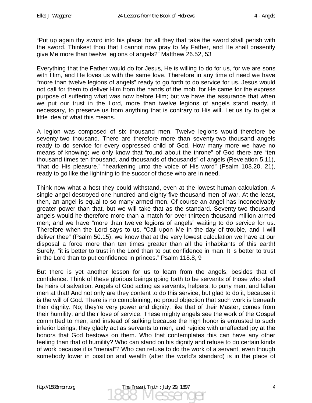"Put up again thy sword into his place: for all they that take the sword shall perish with the sword. Thinkest thou that I cannot now pray to My Father, and He shall presently give Me more than twelve legions of angels?" Matthew 26.52, 53

Everything that the Father would do for Jesus, He is willing to do for us, for we are sons with Him, and He loves us with the same love. Therefore in any time of need we have "more than twelve legions of angels" ready to go forth to do service for us. Jesus would not call for them to deliver Him from the hands of the mob, for He came for the express purpose of suffering what was now before Him; but we have the assurance that when we put our trust in the Lord, more than twelve legions of angels stand ready, if necessary, to preserve us from anything that is contrary to His will. Let us try to get a little idea of what this means.

A legion was composed of six thousand men. Twelve legions would therefore be seventy-two thousand. There are therefore more than seventy-two thousand angels ready to do service for every oppressed child of God. How many more we have no means of knowing; we only know that "round about the throne" of God there are "ten thousand times ten thousand, and thousands of thousands" of angels (Revelation 5.11), "that do His pleasure," "hearkening unto the voice of His word" (Psalm 103.20, 21), ready to go like the lightning to the succor of those who are in need.

Think now what a host they could withstand, even at the lowest human calculation. A single angel destroyed one hundred and eighty-five thousand men of war. At the least, then, an angel is equal to so many armed men. Of course an angel has inconceivably greater power than that, but we will take that as the standard. Seventy-two thousand angels would he therefore more than a match for over thirteen thousand million armed men; and we have "more than twelve legions of angels" waiting to do service for us. Therefore when the Lord says to us, "Call upon Me in the day of trouble, and I will deliver thee" (Psalm 50.15), we know that at the very lowest calculation we have at our disposal a force more than ten times greater than all the inhabitants of this earth! Surely, "it is better to trust in the Lord than to put confidence in man. It is better to trust in the Lord than to put confidence in princes." Psalm 118.8, 9

But there is yet another lesson for us to learn from the angels, besides that of confidence. Think of these glorious beings going forth to be servants of those who shall be heirs of salvation. Angels of God acting as servants, helpers, to puny men, and fallen men at that! And not only are they content to do this service, but glad to do it, because it is the will of God. There is no complaining, no proud objection that such work is beneath their dignity. No; they're very power and dignity, like that of their Master, comes from their humility, and their love of service. These mighty angels see the work of the Gospel committed to men, and instead of sulking because the high honor is entrusted to such inferior beings, they gladly act as servants to men, and rejoice with unaffected joy at the honors that God bestows on them. Who that contemplates this can have any other feeling than that of humility? Who can stand on his dignity and refuse to do certain kinds of work because it is "menial"? Who can refuse to do the work of a servant, even though somebody lower in position and wealth (after the world's standard) is in the place of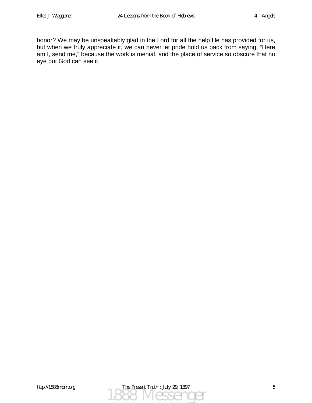honor? We may be unspeakably glad in the Lord for all the help He has provided for us, but when we truly appreciate it, we can never let pride hold us back from saying, "Here am I, send me," because the work is menial, and the place of service so obscure that no eye but God can see it.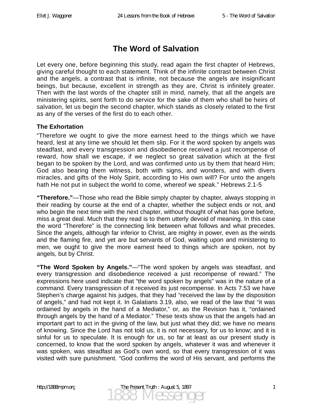# **The Word of Salvation**

Let every one, before beginning this study, read again the first chapter of Hebrews, giving careful thought to each statement. Think of the infinite contrast between Christ and the angels, a contrast that is infinite, not because the angels are insignificant beings, but because, excellent in strength as they are, Christ is infinitely greater. Then with the last words of the chapter still in mind, namely, that all the angels are ministering spirits, sent forth to do service for the sake of them who shall be heirs of salvation, let us begin the second chapter, which stands as closely related to the first as any of the verses of the first do to each other.

#### **The Exhortation**

"Therefore we ought to give the more earnest heed to the things which we have heard, lest at any time we should let them slip. For it the word spoken by angels was steadfast, and every transgression and disobedience received a just recompense of reward, how shall we escape, if we neglect so great salvation which at the first began to be spoken by the Lord, and was confirmed unto us by them that heard Him; God also bearing them witness, both with signs, and wonders, and with divers miracles, and gifts of the Holy Spirit, according to His own will? For unto the angels hath He not put in subject the world to come, whereof we speak." Hebrews 2.1-5

**"Therefore."**—Those who read the Bible simply chapter by chapter, always stopping in their reading by course at the end of a chapter, whether the subject ends or not, and who begin the next time with the next chapter, without thought of what has gone before, miss a great deal. Much that they read is to them utterly devoid of meaning. In this case the word "Therefore" is the connecting link between what follows and what precedes. Since the angels, although far inferior to Christ, are mighty in power, even as the winds and the flaming fire, and yet are but servants of God, waiting upon and ministering to men, we ought to give the more earnest heed to things which are spoken, not by angels, but by Christ.

**"The Word Spoken by Angels."**—"The word spoken by angels was steadfast, and every transgression and disobedience received a just recompense of reward." The expressions here used indicate that "the word spoken by angels" was in the nature of a command. Every transgression of it received its just recompense. In Acts 7.53 we have Stephen's charge against his judges, that they had "received the law by the disposition of angels," and had not kept it. In Galatians 3.19, also, we read of the law that "it was ordained by angels in the hand of a Mediator," or, as the Revision has it, "ordained through angels by the hand of a Mediator." These texts show us that the angels had an important part to act in the giving of the law, but just what they did; we have no means of knowing. Since the Lord has not told us, it is not necessary, for us to know; and it is sinful for us to speculate. It is enough for us, so far at least as our present study is concerned, to know that the word spoken by angels, whatever it was and whenever it was spoken, was steadfast as God's own word, so that every transgression of it was visited with sure punishment. "God confirms the word of His servant, and performs the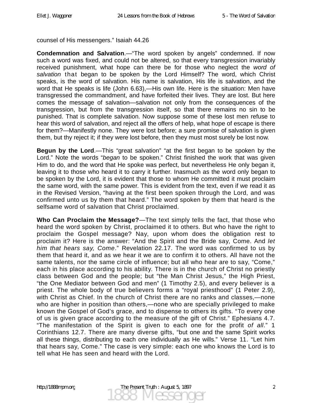counsel of His messengers." Isaiah 44.26

**Condemnation and Salvation**.—"The word spoken by angels" condemned. If now such a word was fixed, and could not be altered, so that every transgression invariably received punishment, what hope can there be for those who neglect the *word of salvation* that began to be spoken by the Lord Himself? The word, which Christ speaks, is the word of salvation. His name is salvation, His life is salvation, and the word that He speaks is life (John 6.63),—His own life. Here is the situation: Men have transgressed the commandment, and have forfeited their lives. They are lost. But here comes the message of salvation—salvation not only from the consequences of the transgression, but from the transgression itself, so that there remains no sin to be punished. That is complete salvation. Now suppose some of these lost men refuse to hear this word of salvation, and reject all the offers of help, what hope of escape is there for them?—Manifestly none. They were lost before; a sure promise of salvation is given them, but thy reject it; if they were lost before, then they must most surely be lost now.

**Begun by the Lord**.—This "great salvation" "at the first began to be spoken by the Lord." Note the words "*began* to be spoken." Christ finished the work that was given Him to do, and the word that He spoke was perfect, but nevertheless He only began it, leaving it to those who heard it to carry it further. Inasmuch as the word only began to be spoken by the Lord, it is evident that those to whom He committed it must proclaim the same word, with the same power. This is evident from the text, even if we read it as in the Revised Version, "having at the first been spoken through the Lord, and was confirmed unto us by them that heard." The word spoken by them that heard is the selfsame word of salvation that Christ proclaimed.

**Who Can Proclaim the Message?**—The text simply tells the fact, that those who heard the word spoken by Christ, proclaimed it to others. But who have the right to proclaim the Gospel message? Nay, upon whom does the obligation rest to proclaim it? Here is the answer: "And the Spirit and the Bride say, Come. And *let him that hears say, Come*." Revelation 22.17. The word was confirmed to us by them that heard it, and as we hear it we are to confirm it to others. All have not the same talents, nor the same circle of influence; but all who hear are to say, "Come," each in his place according to his ability. There is in the church of Christ no priestly class between God and the people; but "the Man Christ Jesus," the High Priest, "the One Mediator between God and men" (1 Timothy 2.5), and every believer is a priest. The whole body of true believers forms a "royal priesthood" (1 Peter 2.9), with Christ as Chief. In the church of Christ there are no ranks and classes,—none who are higher in position than others,—none who are specially privileged to make known the Gospel of God's grace, and to dispense to others its gifts. "To every one of us is given grace according to the measure of the gift of Christ." Ephesians 4.7. "The manifestation of the Spirit is given to each one for the profit *of all*." 1 Corinthians 12.7. There are many diverse gifts, "but one and the same Spirit works all these things, distributing to each one individually as He wills." Verse 11. "Let him that hears say, Come." The case is very simple: each one who knows the Lord is to tell what He has seen and heard with the Lord.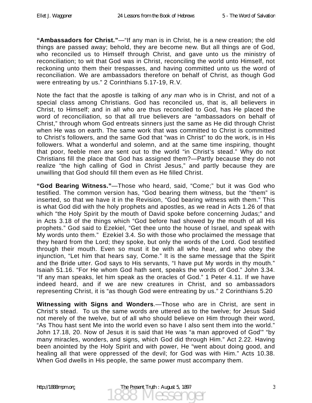**"Ambassadors for Christ."**—"If any man is in Christ, he is a new creation; the old things are passed away; behold, they are become new. But all things are of God, who reconciled us to Himself through Christ, and gave unto us the ministry of reconciliation; to wit that God was in Christ, reconciling the world unto Himself, not reckoning unto them their trespasses, and having committed unto us the word of reconciliation. We are ambassadors therefore on behalf of Christ, as though God were entreating by us." 2 Corinthians 5.17-19, R.V.

Note the fact that the apostle is talking of *any man* who is in Christ, and not of a special class among Christians. God has reconciled us, that is, all believers in Christ, to Himself; and in all who are thus reconciled to God, has He placed the word of reconciliation, so that all true believers are "ambassadors on behalf of Christ," through whom God entreats sinners just the same as He did through Christ when He was on earth. The same work that was committed to Christ is committed to Christ's followers, and the same God that "was in Christ" to do the work, is in His followers. What a wonderful and solemn, and at the same time inspiring, thought that poor, feeble men are sent out to the world "in Christ's stead." Why do not Christians fill the place that God has assigned them?—Partly because they do not realize "the high calling of God in Christ Jesus," and partly because they are unwilling that God should fill them even as He filled Christ.

**"God Bearing Witness."**—Those who heard, said, "Come;" but it was God who testified. The common version has, "God bearing them witness, but the "them" is inserted, so that we have it in the Revision, "God bearing witness with them." This is what God did with the holy prophets and apostles, as we read in Acts 1.26 of that which "the Holy Spirit by the mouth of David spoke before concerning Judas;" and in Acts 3.18 of the things which "God before had showed by the mouth of all His prophets." God said to Ezekiel, "Get thee unto the house of Israel, and speak with My words unto them." Ezekiel 3.4. So with those who proclaimed the message that they heard from the Lord; they spoke, but only the words of the Lord. God testified through their mouth. Even so must it be with all who hear, and who obey the injunction, "Let him that hears say, Come." It is the same message that the Spirit and the Bride utter. God says to His servants, "I have put My words in thy mouth." Isaiah 51.16. "For He whom God hath sent, speaks the words of God." John 3.34. "If any man speaks, let him speak as the oracles of God." 1 Peter 4.11. If we have indeed heard, and if we are new creatures in Christ, and so ambassadors representing Christ, it is "as though God were entreating by us." 2 Corinthians 5.20

**Witnessing with Signs and Wonders**.—Those who are in Christ, are sent in Christ's stead. To us the same words are uttered as to the twelve; for Jesus Said not merely of the twelve, but of all who should believe on Him through their word, "As Thou hast sent Me into the world even so have I also sent them into the world." John 17.18, 20. Now of Jesus it is said that He was "a man approved of God'" "by many miracles, wonders, and signs, which God did through Him." Act 2.22. Having been anointed by the Holy Spirit and with power, He "went about doing good, and healing all that were oppressed of the devil; for God was with Him." Acts 10.38. When God dwells in His people, the same power must accompany them.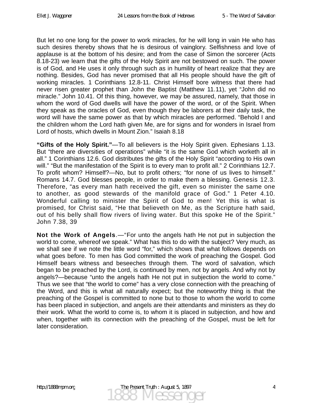But let no one long for the power to work miracles, for he will long in vain He who has such desires thereby shows that he is desirous of vainglory. Selfishness and love of applause is at the bottom of his desire; and from the case of Simon the sorcerer (Acts 8.18-23) we learn that the gifts of the Holy Spirit are not bestowed on such. The power is of God, and He uses it only through such as in humility of heart realize that they are nothing. Besides, God has never promised that all His people should have the gift of working miracles. 1 Corinthians 12.8-11. Christ Himself bore witness that there had never risen greater prophet than John the Baptist (Matthew 11.11), yet "John did no miracle." John 10.41. Of this thing, however, we may be assured, namely, that those in whom the word of God dwells will have the power of the word, or of the Spirit. When they speak as the oracles of God, even though they be laborers at their daily task, the word will have the same power as that by which miracles are performed. "Behold I and the children whom the Lord hath given Me, are for signs and for wonders in Israel from Lord of hosts, which dwells in Mount Zion." Isaiah 8.18

**"Gifts of the Holy Spirit."**—To all believers is the Holy Spirit given. Ephesians 1.13. But "there are diversities of operations" while "it is the same God which worketh all in all." 1 Corinthians 12.6. God distributes the gifts of the Holy Spirit "according to His own will." "But the manifestation of the Spirit is to every man to profit all." 2 Corinthians 12.7. To profit whom? Himself?—No, but to profit others; "for none of us lives to himself." Romans 14.7. God blesses people, in order to make them a blessing. Genesis 12.3. Therefore, "as every man hath received the gift, even so minister the same one to another, as good stewards of the manifold grace of God." 1 Peter 4.10. Wonderful calling to minister the Spirit of God to men! Yet this is what is promised, for Christ said, "He that believeth on Me, as the Scripture hath said, out of his belly shall flow rivers of living water. But this spoke He of the Spirit." John 7.38, 39

**Not the Work of Angels**.—"For unto the angels hath He not put in subjection the world to come, whereof we speak." What has this to do with the subject? Very much, as we shall see if we note the little word "for," which shows that what follows depends on what goes before. To men has God committed the work of preaching the Gospel. God Himself bears witness and beseeches through them. The word of salvation, which began to be preached by the Lord, is continued by men, not by angels. And why not by angels?—because "unto the angels hath He not put in subjection the world to come." Thus we see that "the world to come" has a very close connection with the preaching of the Word, and this is what all naturally expect; but the noteworthy thing is that the preaching of the Gospel is committed to none but to those to whom the world to come has been placed in subjection, and angels are their attendants and ministers as they do their work. What the world to come is, to whom it is placed in subjection, and how and when, together with its connection with the preaching of the Gospel, must be left for later consideration.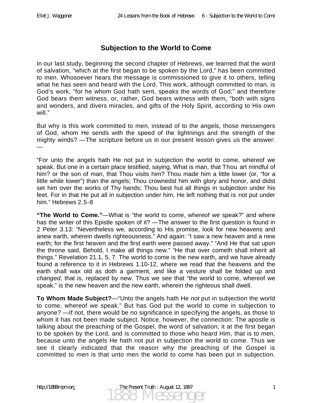#### **Subjection to the World to Come**

In our last study, beginning the second chapter of Hebrews, we learned that the word of salvation, "which at the first began to be spoken by the Lord," has been committed to men. Whosoever hears the message is commissioned to give it to others, telling what he has seen and heard with the Lord. This work, although committed to man, is God's work, "for he whom God hath sent, speaks the words of God;" and therefore God bears them witness, or, rather, God bears witness with them, "both with signs and wonders, and divers miracles, and gifts of the Holy Spirit, according to His own will."

But why is this work committed to men, instead of to the angels, those messengers of God, whom He sends with the speed of the lightnings and the strength of the mighty winds? —The scripture before us in our present lesson gives us the answer: —

"For unto the angels hath He not put in subjection the world to come, whereof we speak. But one in a certain place testified, saying, What is man, that Thou art mindful of him? or the son of man, that Thou visits him? Thou made him a little lower (or, "for a little while lower") than the angels; Thou crownedst him with glory and honor, and didst set him over the works of Thy hands; Thou best hut all things in subjection under his feet. For in that He put all in subjection under him, He left nothing that is not put under him." Hebrews 2.5-8

**"The World to Come."**—What is "the world to come, whereof we speak?" and where has the writer of this Epistle spoken of it? — The answer to the first question is found in 2 Peter 3.13: "Nevertheless we, according to His promise, look for new heavens and anew earth, wherein dwells righteousness." And again: "I saw a new heaven and a new earth; for the first heaven and the first earth were passed away." "And He that sat upon the throne said, Behold, I make all things new." "He that over cometh shall inherit all things." Revelation 21.1, 5, 7. The world to come is the new earth, and we have already found a reference to it in Hebrews 1.10-12, where we read that the heavens and the earth shall wax old as doth a garment, and like a vesture shall be folded up and *changed*, that is, replaced by new. Thus we see that "the world to come, whereof we speak," is the new heaven and the new earth, wherein the righteous shall dwell.

**To Whom Made Subject?**—"Unto the angels hath He *not* put in subjection the world to come, whereof we speak." But has God put the world to come in subjection to anyone? —If not, there would be no significance in specifying the angels, as those to whom it has not been made subject. Notice, however, the connection: The apostle is talking about the preaching of the Gospel, the word of salvation; it at the first began to be spoken by the Lord, and is committed to those who heard Him, that is to men, because unto the angels He hath not put in subjection the world to come. Thus we see it clearly indicated that the reason why the preaching of the Gospel is committed to men is that unto men the world to come has been put in subjection.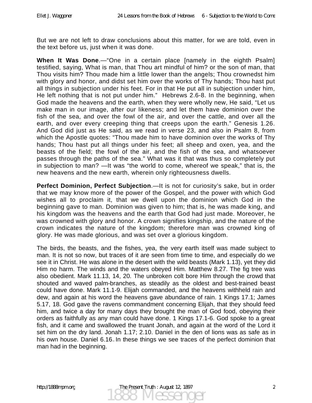But we are not left to draw conclusions about this matter, for we are told, even in the text before us, just when it was done.

**When It Was Done**.—"One in a certain place [namely in the eighth Psalm] testified, saying, What is man, that Thou art mindful of him? or the son of man, that Thou visits him? Thou made him a little lower than the angels; Thou crownedst him with glory and honor, and didst set him over the works of Thy hands; Thou hast put all things in subjection under his feet. For in that He put all in subjection under him, He left nothing that is not put under him." Hebrews 2.6-8. In the beginning, when God made the heavens and the earth, when they were wholly new, He said, "Let us make man in our image, after our likeness; and let them have dominion over the fish of the sea, and over the fowl of the air, and over the cattle, and over all the earth, and over every creeping thing that creeps upon the earth." Genesis 1.26. And God did just as He said, as we read in verse 23, and also in Psalm 8, from which the Apostle quotes: "Thou made him to have dominion over the works of Thy hands; Thou hast put all things under his feet; all sheep and oxen, yea, and the beasts of the field; the fowl of the air, and the fish of the sea, and whatsoever passes through the paths of the sea." What was it that was thus so completely put in subjection to man? —It was "the world to come, whereof we speak," that is, the new heavens and the new earth, wherein only righteousness dwells.

**Perfect Dominion, Perfect Subjection**.—It is not for curiosity's sake, but in order that we may know more of the power of the Gospel, and the power with which God wishes all to proclaim it, that we dwell upon the dominion which God in the beginning gave to man. Dominion was given to him; that is, he was made king, and his kingdom was the heavens and the earth that God had just made. Moreover, he was crowned with glory and honor. A crown signifies kingship, and the nature of the crown indicates the nature of the kingdom; therefore man was crowned king of glory. He was made glorious, and was set over a glorious kingdom.

The birds, the beasts, and the fishes, yea, the very earth itself was made subject to man. It is not so now, but traces of it are seen from time to time, and especially do we see it in Christ. He was alone in the desert with the wild beasts (Mark 1.13), yet they did Him no harm. The winds and the waters obeyed Him. Matthew 8.27. The fig tree was also obedient. Mark 11.13, 14, 20. The unbroken colt bore Him through the crowd that shouted and waved palm-branches, as steadily as the oldest and best-trained beast could have done. Mark 11.1-9. Elijah commanded, and the heavens withheld rain and dew, and again at his word the heavens gave abundance of rain. 1 Kings 17.1; James 5.17, 18. God gave the ravens commandment concerning Elijah, that they should feed him, and twice a day for many days they brought the man of God food, obeying their orders as faithfully as any man could have done. 1 Kings 17.1-6. God spoke to a great fish, and it came and swallowed the truant Jonah, and again at the word of the Lord it set him on the dry land. Jonah 1.17; 2.10. Daniel in the den of lions was as safe as in his own house. Daniel 6.16. In these things we see traces of the perfect dominion that man had in the beginning.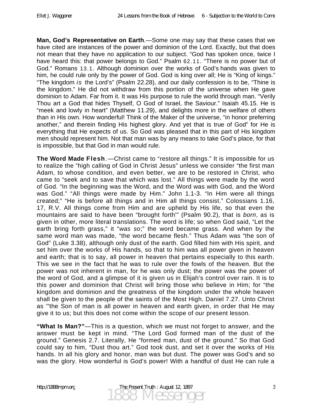**Man, God's Representative on Earth**.—Some one may say that these cases that we have cited are instances of the power and dominion of the Lord. Exactly, but that does not mean that they have no application to our subject. "God has spoken once, twice I have heard this: that power belongs to God." Psalm 62.11. "There is no power but of God." Romans 13.1. Although dominion over the works of God's hands was given to him, he could rule only by the power of God. God is king over all; He is "King of kings." "The kingdom *is* the Lord's" (Psalm 22.28), and our daily confession is to be, "Thine is the kingdom." He did not withdraw from this portion of the universe when He gave dominion to Adam. Far from it. It was His purpose to rule the world through man. "Verily Thou art a God that hides Thyself, O God of Israel, the Saviour." Isaiah 45.15. He is "meek and lowly in heart" (Matthew 11.29), and delights more in the welfare of others than in His own. How wonderful! Think of the Maker of the universe, "in honor preferring another," and therein finding His highest glory. And yet that is true of God" for He is everything that He expects of us. So God was pleased that in this part of His kingdom men should represent him. Not that man was by any means to take God's place, for that is impossible, but that God in man would rule.

**The Word Made Flesh**.—Christ came to "restore all things." It is impossible for us to realize the "high calling of God in Christ Jesus" unless we consider "the first man Adam, to whose condition, and even better, we are to be restored in Christ, who came to "seek and to save that which was lost." All things were made by the word of God. "In the beginning was the Word, and the Word was with God, and the Word was God." "All things were made by Him." John 1.1-3. "In Him were all things created;" "He is before all things and in Him all things consist." Colossians 1.16, 17, R.V. All things come from Him and are upheld by His life, so that even the mountains are said to have been "brought forth'" (Psalm 90.2), that is *born*, as is given in other, more literal translations. The word is life; so when God said, "Let the earth bring forth grass," it "*was so*;" the word became grass. And when by the same word man was made, "the word became flesh." Thus Adam was "the son of God" (Luke 3.38), although only dust of the earth. God filled him with His spirit, and set him over the works of His hands, so that to him was all power given in heaven and earth; that is to say, all power in heaven that pertains especially to this earth. This we see in the fact that he was to rule over the fowls of the heaven. But the power was not inherent in man, for he was only dust; the power was the power of the word of God, and a glimpse of it is given us in Elijah's control over rain. It is to this power and dominion that Christ will bring those who believe in Him; for "the kingdom and dominion and the greatness of the kingdom under the whole heaven shall be given to the people of the saints of the Most High. Daniel 7.27. Unto Christ as '"the Son of man is all power in heaven and earth given, in order that He may give it to us; but this does not come within the scope of our present lesson.

**"What Is Man?"**—This is a question, which we must not forget to answer, and the answer must be kept in mind. "The Lord God formed man of the dust of the ground." Genesis 2.7. Literally, He "formed man, dust of the ground." So that God could say to him, "Dust thou art." God took dust, and set it over the works of His hands. In all his glory and honor, man was but dust. The power was God's and so was the glory. How wonderful is God's power! With a handful of dust He can rule a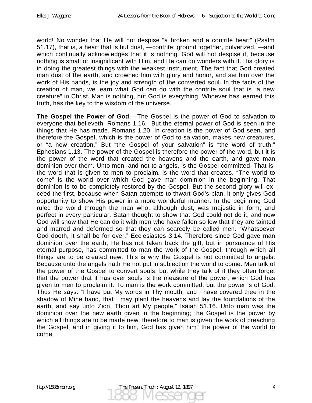world! No wonder that He will not despise "a broken and a contrite heart" (Psalm 51.17), that is, a heart that is but dust, —contrite: ground together, pulverized, —and which continually acknowledges that it is nothing. God will not despise it, because nothing is small or insignificant with Him, and He can do wonders with it. His glory is in doing the greatest things with the weakest instrument. The fact that God created man dust of the earth, and crowned him with glory and honor, and set him over the work of His hands, is the joy and strength of the converted soul. In the facts of the creation of man, we learn what God can do with the contrite soul that is "a new creature" in Christ. Man is nothing, but God is everything. Whoever has learned this truth, has the key to the wisdom of the universe.

**The Gospel the Power of God**.—The Gospel is the power of God to salvation to everyone that believeth. Romans 1.16. But the eternal power of God is seen in the things that He has made. Romans 1.20. In creation is the power of God seen, and therefore the Gospel, which is the power of God to salvation, makes new creatures, or "a new creation." But "the Gospel of your salvation" is "the word of truth." Ephesians 1.13. The power of the Gospel is therefore the power of the word, but it is the power of the word that created the heavens and the earth, and gave man dominion over them. Unto men, and not to angels, is the Gospel committed. That is, the word that is given to men to proclaim, is the word that creates. "The world to come" is the world over which God gave man dominion in the beginning. That dominion is to be completely restored by the Gospel. But the second glory will exceed the first, because when Satan attempts to thwart God's plan, it only gives God opportunity to show His power in a more wonderful manner. In the beginning God ruled the world through the man who, although dust, was majestic in form, and perfect in every particular. Satan thought to show that God could not do it, and now God will show that He can do it with men who have fallen so low that they are tainted and marred and deformed so that they can scarcely be called men. "Whatsoever God doeth, it shall be for ever." Ecclesiastes 3.14. Therefore since God gave man dominion over the earth, He has not taken back the gift, but in pursuance of His eternal purpose, has committed to man the work of the Gospel, through which all things are to be created new. This is why the Gospel is not committed to angels: Because unto the angels hath He not put in subjection the world to come. Men talk of the power of the Gospel to convert souls, but while they talk of it they often forget that the power that it has over souls is the measure of the power, which God has given to men to proclaim it. To man is the work committed, but the power is of God. Thus He says: "I have put My words in Thy mouth, and I have covered thee in the shadow of Mine hand, that I may plant the heavens and lay the foundations of the earth, and say unto Zion, Thou art My people." Isaiah 51.16. Unto man was the dominion over the new earth given in the beginning; the Gospel is the power by which all things are to be made new; therefore to man is given the work of preaching the Gospel, and in giving it to him, God has given him" the power of the world to come.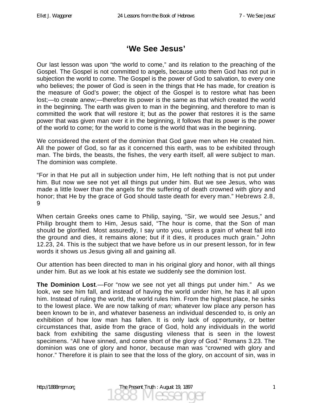#### **'We See Jesus'**

Our last lesson was upon "the world to come," and its relation to the preaching of the Gospel. The Gospel is not committed to angels, because unto them God has not put in subjection the world to come. The Gospel is the power of God to salvation, to every one who believes; the power of God is seen in the things that He has made, for creation is the measure of God's power; the object of the Gospel is to restore what has been lost;—to create anew;—therefore its power is the same as that which created the world in the beginning. The earth was given to man in the beginning, and therefore to man is committed the work that will restore it; but as the power that restores it is the same power that was given man over it in the beginning, it follows that its power is the power of the world to come; for the world to come is the world that was in the beginning.

We considered the extent of the dominion that God gave men when He created him. All the power of God, so far as it concerned this earth, was to be exhibited through man. The birds, the beasts, the fishes, the very earth itself, all were subject to man. The dominion was complete.

"For in that He put all in subjection under him, He left nothing that is not put under him. But now we see not yet all things put under him. But we see Jesus, who was made a little lower than the angels for the suffering of death crowned with glory and honor; that He by the grace of God should taste death for every man." Hebrews 2.8,  $\mathbf{Q}$ 

When certain Greeks ones came to Philip, saying, "Sir, we would see Jesus," and Philip brought them to Him, Jesus said, "The hour is come, that the Son of man should be glorified. Most assuredly, I say unto you, unless a grain of wheat fall into the ground and dies, it remains alone; but if it dies, it produces much grain." John 12.23, 24. This is the subject that we have before us in our present lesson, for in few words it shows us Jesus giving all and gaining all.

Our attention has been directed to man in his original glory and honor, with all things under him. But as we look at his estate we suddenly see the dominion lost.

**The Dominion Lost**.—For "now we see not yet all things put under him." As we look, we see him fall, and instead of having the world under him, he has it all upon him. Instead of ruling the world, the world rules him. From the highest place, he sinks to the lowest place. We are now talking of *man;* whatever low place any person has been known to be in, and whatever baseness an individual descended to, is only an exhibition of how low man has fallen. It is only lack of opportunity, or better circumstances that, aside from the grace of God, hold any individuals in the world back from exhibiting the same disgusting vileness that is seen in the lowest specimens. "All have sinned, and come short of the glory of God." Romans 3.23. The dominion was one of glory and honor, because man was "crowned with glory and honor." Therefore it is plain to see that the loss of the glory, on account of sin, was in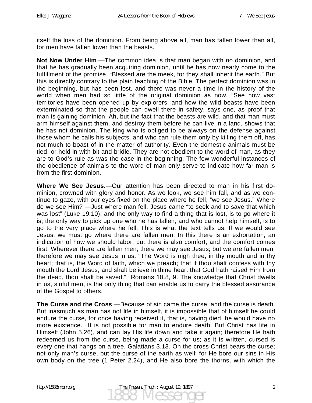itself the loss of the dominion. From being above all, man has fallen lower than all, for men have fallen lower than the beasts.

**Not Now Under Him**.—The common idea is that man began with no dominion, and that he has gradually been acquiring dominion, until he has now nearly come to the fulfillment of the promise, "Blessed are the meek, for they shall inherit the earth." But this is directly contrary to the plain teaching of the Bible. The perfect dominion was in the beginning, but has been lost, and there was never a time in the history of the world when men had so little of the original dominion as now. "See how vast territories have been opened up by explorers, and how the wild beasts have been exterminated so that the people can dwell there in safety, says one, as proof that man is gaining dominion. Ah, but the fact that the beasts are wild, and that man must arm himself against them, and destroy them before he can live in a land, shows that he has not dominion. The king who is obliged to be always on the defense against those whom he calls his subjects, and who can rule them only by killing them off, has not much to boast of in the matter of authority. Even the domestic animals must be tied, or held in with bit and bridle. They are not obedient to the word of man, as they are to God's rule as was the case in the beginning. The few wonderful instances of the obedience of animals to the word of man only serve to indicate how far man is from the first dominion.

**Where We See Jesus**.—Our attention has been directed to man in his first dominion, crowned with glory and honor. As we look, we see him fall, and as we continue to gaze, with our eyes fixed on the place where he fell, "we see Jesus." Where do we see Him? —Just where man fell. Jesus came "to seek and to save that which was lost" (Luke 19.10), and the only way to find a thing that is lost, is to go where it is; the only way to pick up one who he has fallen, and who cannot help himself, is to go to the very place where he fell. This is what the text tells us. If we would see Jesus, we must go where there are fallen men. In this there is an exhortation, an indication of how we should labor; but there is also comfort, and the comfort comes first. Wherever there are fallen men, there we may see Jesus; but we are fallen men; therefore we may see Jesus in us. "The Word is nigh thee, in thy mouth and in thy heart; that is, the Word of faith, which we preach; that if thou shalt confess with thy mouth the Lord Jesus, and shalt believe in thine heart that God hath raised Him from the dead, thou shalt be saved." Romans 10.8, 9. The knowledge that Christ dwells in us, sinful men, is the only thing that can enable us to carry the blessed assurance of the Gospel to others.

**The Curse and the Cross**.—Because of sin came the curse, and the curse is death. But inasmuch as man has not life in himself, it is impossible that of himself he could endure the curse, for once having received it, that is, having died, he would have no more existence. It is not possible for man to endure death. But Christ has life in Himself (John 5.26), and can lay His life down and take it again; therefore He hath redeemed us from the curse, being made a curse for us; as it is written, cursed is every one that hangs on a tree. Galatians 3.13. On the cross Christ bears the curse; not only man's curse, but the curse of the earth as well; for He bore our sins in His own body on the tree (1 Peter 2.24), and He also bore the thorns, with which the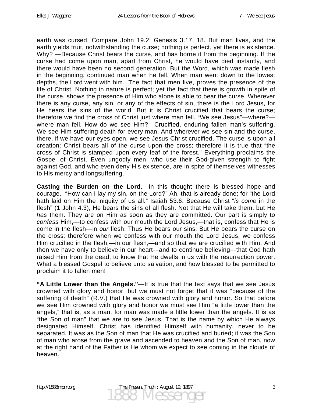earth was cursed. Compare John 19.2; Genesis 3.17, 18. But man lives, and the earth yields fruit, notwithstanding the curse; nothing is perfect, yet there is existence. Why? —Because Christ bears the curse, and has borne it from the beginning. If the curse had come upon man, apart from Christ, he would have died instantly, and there would have been no second generation. But the Word, which was made flesh in the beginning, continued man when he fell. When man went down to the lowest depths, the Lord went with him. The fact that men live, proves the presence of the life of Christ. Nothing in nature is perfect; yet the fact that there is growth in spite of the curse, shows the presence of Him who alone is able to bear the curse. Wherever there is any curse, any sin, or any of the effects of sin, there is the Lord Jesus, for He hears the sins of the world. But it is Christ crucified that bears the curse; therefore we find the cross of Christ just where man fell. "We see Jesus"—where? where man fell. How do we see Him?—Crucified, enduring fallen man's suffering. We see Him suffering death for every man. And wherever we see sin and the curse, there, if we have our eyes open, we see Jesus Christ crucified. The curse is upon all creation; Christ bears all of the curse upon the cross; therefore it is true that "the cross of Christ is stamped upon every leaf of the forest." Everything proclaims the Gospel of Christ. Even ungodly men, who use their God-given strength to fight against God, and who even deny His existence, are in spite of themselves witnesses to His mercy and longsuffering.

**Casting the Burden on the Lord**.—In this thought there is blessed hope and courage. "How can I lay my sin, on the Lord?" Ah, that is already done; for "the Lord hath laid on Him the iniquity of us all." Isaiah 53.6. Because Christ "*is come* in the flesh" (1 John 4.3), He bears the sins of all flesh. Not that He will take them, but He *has* them. They are on Him as soon as they are committed. Our part is simply to *confess* Him,—to confess with our mouth the Lord Jesus,—that is, confess that He is come in the flesh—in *our* flesh. Thus He bears our sins. But He bears the curse on the cross; therefore when we confess with our mouth the Lord Jesus, we confess Him crucified in the flesh,—in our flesh,—and so that we are crucified with Him. And then we have only to believe in our heart—and to continue believing—that God hath raised Him from the dead, to know that He dwells in us with the resurrection power. What a blessed Gospel to believe unto salvation, and how blessed to be permitted to proclaim it to fallen men!

**"A Little Lower than the Angels."**—It is true that the text says that we see Jesus crowned with glory and honor, but we must not forget that it was "because of the suffering of death" (R.V.) that He was crowned with glory and honor. So that before we see Him crowned with glory and honor we must see Him "a little lower than the angels," that is, as a man, for man was made a little lower than the angels. It is as "the Son of man" that we are to see Jesus. That is the name by which He always designated Himself. Christ has identified Himself with humanity, never to be separated. It was as the Son of man that He was crucified and buried; it was the Son of man who arose from the grave and ascended to heaven and the Son of man, now at the right hand of the Father is He whom we expect to see coming in the clouds of heaven.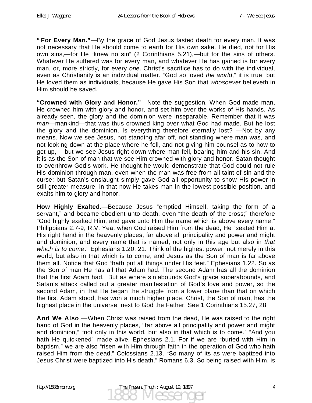**" For Every Man."**—By the grace of God Jesus tasted death for every man. It was not necessary that He should come to earth for His own sake. He died, not for His own sins,—for He "knew no sin" (2 Corinthians 5.21),—but for the sins of others. Whatever He suffered was for every man, and whatever He has gained is for every man, or, more strictly, for every *one*. Christ's sacrifice has to do with the individual, even as Christianity is an individual matter. "God so loved *the world*," it is true, but He loved them as individuals, because He gave His Son that *whosoever* believeth in Him should be saved.

**"Crowned with Glory and Honor."**—Note the suggestion. When God made man, He crowned him with glory and honor, and set him over the works of His hands. As already seen, the glory and the dominion were inseparable. Remember that it was *man*—mankind—that was thus crowned king over what God had made. But he lost the glory and the dominion. Is everything therefore eternally lost? —Not by any means. Now we see Jesus, not standing afar off, not standing where man was, and not looking down at the place where he fell, and not giving him counsel as to how to get up, —but we see Jesus right down where man fell, bearing him and his sin. And it is as the Son of man that we see Him crowned with glory and honor. Satan thought to overthrow God's work. He thought he would demonstrate that God could not rule His dominion through man, even when the man was free from all taint of sin and the curse; but Satan's onslaught simply gave God all opportunity to show His power in still greater measure, in that now He takes man in the lowest possible position, and exalts him to glory and honor.

**How Highly Exalted**.—Because Jesus "emptied Himself, taking the form of a servant," and became obedient unto death, even "the death of the cross;" therefore "God highly exalted Him, and gave unto Him the name which is above every name." Philippians 2.7-9, R.V. Yea, when God raised Him from the dead, He "seated Him at His right hand in the heavenly places, far above all principality and power and might and dominion, and every name that is named, not only in this age but also in *that which is to come*." Ephesians 1.20, 21. Think of the highest power, not merely in this world, but also in that which is to come, and Jesus as the Son of man is far above them all. Notice that God "hath put all things under His feet." Ephesians 1.22. So as the Son of man He has all that Adam had. The second Adam has all the dominion that the first Adam had. But as where sin abounds God's grace superabounds, and Satan's attack called out a greater manifestation of God's love and power, so the second Adam, in that He began the struggle from a lower plane than that on which the first Adam stood, has won a much higher place. Christ, the Son of man, has the highest place in the universe, next to God the Father. See 1 Corinthians 15.27, 28

**And We Also**.—When Christ was raised from the dead, He was raised to the right hand of God in the heavenly places, "far above all principality and power and might and dominion," "not only in this world, but also in that which is to come." "And you hath He quickened" made alive. Ephesians 2.1. For if we are "buried with Him in baptism," we are also "risen with Him through faith in the operation of God who hath raised Him from the dead." Colossians 2.13. "So many of its as were baptized into Jesus Christ were baptized into His death." Romans 6.3. So being raised with Him, is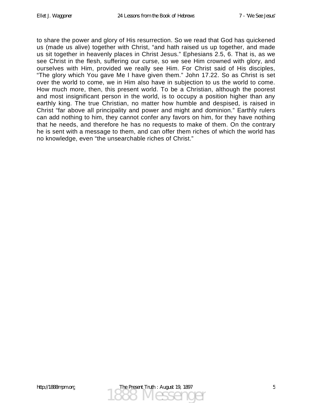to share the power and glory of His resurrection. So we read that God has quickened us (made us alive) together with Christ, "and hath raised us up together, and made us sit together in heavenly places in Christ Jesus." Ephesians 2.5, 6. That is, as we see Christ in the flesh, suffering our curse, so we see Him crowned with glory, and ourselves with Him, provided we really see Him. For Christ said of His disciples, "The glory which You gave Me I have given them." John 17.22. So as Christ is set over the world to come, we in Him also have in subjection to us the world to come. How much more, then, this present world. To be a Christian, although the poorest and most insignificant person in the world, is to occupy a position higher than any earthly king. The true Christian, no matter how humble and despised, is raised in Christ "far above all principality and power and might and dominion." Earthly rulers can add nothing to him, they cannot confer any favors on him, for they have nothing that he needs, and therefore he has no requests to make of them. On the contrary he is sent with a message to them, and can offer them riches of which the world has no knowledge, even "the unsearchable riches of Christ."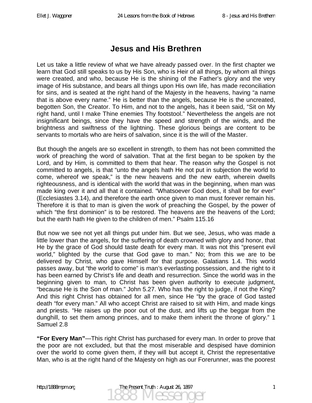## **Jesus and His Brethren**

Let us take a little review of what we have already passed over. In the first chapter we learn that God still speaks to us by His Son, who is Heir of all things, by whom all things were created, and who, because He is the shining of the Father's glory and the very image of His substance, and bears all things upon His own life, has made reconciliation for sins, and is seated at the right hand of the Majesty in the heavens, having "a name that is above every name." He is better than the angels, because He is the uncreated, begotten Son, the Creator. To Him, and not to the angels, has it been said, "Sit on My right hand, until I make Thine enemies Thy footstool." Nevertheless the angels are not insignificant beings, since they have the speed and strength of the winds, and the brightness and swiftness of the lightning. These glorious beings are content to be servants to mortals who are heirs of salvation, since it is the will of the Master.

But though the angels are so excellent in strength, to them has not been committed the work of preaching the word of salvation. That at the first began to be spoken by the Lord, and by Him, is committed to them that hear. The reason why the Gospel is not committed to angels, is that "unto the angels hath He not put in subjection the world to come, whereof we speak," is the new heavens and the new earth, wherein dwells righteousness, and is identical with the world that was in the beginning, when man was made king over it and all that it contained. "Whatsoever God does, it shall be for ever" (Ecclesiastes 3.14), and therefore the earth once given to man must forever remain his. Therefore it is that to man is given the work of preaching the Gospel, by the power of which "the first dominion" is to be restored. The heavens are the heavens of the Lord; but the earth hath He given to the children of men." Psalm 115.16

But now we see not yet all things put under him. But we see, Jesus, who was made a little lower than the angels, for the suffering of death crowned with glory and honor, that He by the grace of God should taste death for every man. It was not this "present evil world," blighted by the curse that God gave to man." No; from this we are to be delivered by Christ, who gave Himself for that purpose. Galatians 1.4. This world passes away, but "the world to come" is man's everlasting possession, and the right to it has been earned by Christ's life and death and resurrection. Since the world was in the beginning given to man, to Christ has been given authority to execute judgment, "because He is the Son of man." John 5.27. Who has the right to judge, if not the King? And this right Christ has obtained for all men, since He "by the grace of God tasted death "for every man." All who accept Christ are raised to sit with Him, and made kings and priests. "He raises up the poor out of the dust, and lifts up the beggar from the dunghill, to set them among princes, and to make them inherit the throne of glory." 1 Samuel 2.8

**"For Every Man"**—This right Christ has purchased for every man. In order to prove that the poor are not excluded, but that the most miserable and despised have dominion over the world to come given them, if they will but accept it, Christ the representative Man, who is at the right hand of the Majesty on high as our Forerunner, was the poorest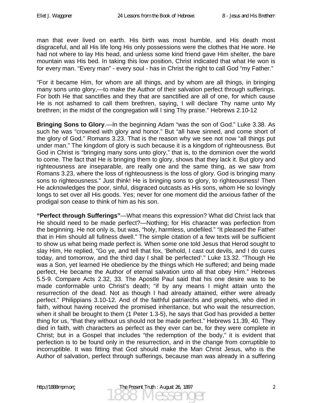man that ever lived on earth. His birth was most humble, and His death most disgraceful, and all His life long His only possessions were the clothes that He wore. He had not where to lay His head, and unless some kind friend gave Him shelter, the bare mountain was His bed. In taking this low position, Christ indicated that what He won is for every man. "Every man" - every soul - has in Christ the right to call God "my Father."

"For it became Him, for whom are all things, and by whom are all things, in bringing many sons unto glory,—to make the Author of their salvation perfect through sufferings. For both He that sanctifies and they that are sanctified are all of one, for which cause He is not ashamed to call them brethren, saying, I will declare Thy name unto My brethren; in the midst of the congregation will I sing Thy praise." Hebrews 2.10-12

**Bringing Sons to Glory**.—In the beginning Adam "was the son of God." Luke 3.38. As such he was "crowned with glory and honor." But "all have sinned, and come short of the glory of God." Romans 3.23. That is the reason why we see not now "all things put under man." The kingdom of glory is such because it is a kingdom of righteousness. But God in Christ is "bringing many sons unto glory," that is, to the dominion over the world to come. The fact that He is bringing them to glory, shows that they lack it. But glory and righteousness are inseparable, are really one and the same thing, as we saw from Romans 3.23, where the loss of righteousness is the loss of glory. God is bringing many sons to righteousness." Just think! He is bringing sons to glory, to righteousness! Then He acknowledges the poor, sinful, disgraced outcasts as His sons, whom He so lovingly longs to set over all His goods. Yes; never for one moment did the anxious father of the prodigal son cease to think of him as his son.

**"Perfect through Sufferings"**—What means this expression? What did Christ lack that He should need to be made perfect?—Nothing; for His character was perfection from the beginning. He not only is, but was, "holy, harmless, undefiled." "It pleased the Father that in Him should all fullness dwell." The simple citation of a few texts will be sufficient to show us what being made perfect is. When some one told Jesus that Herod sought to slay Him, He replied, "Go ye, and tell that fox, 'Behold, I cast out devils, and I do cures today, and tomorrow, and the third day I shall be perfected'." Luke 13.32. "Though He was a Son, yet learned He obedience by the things which He suffered; and being made perfect, He became the Author of eternal salvation unto all that obey Him." Hebrews 5.5-9. Compare Acts 2.32, 33. The Apostle Paul said that his one desire was to be made conformable unto Christ's death; "if by any means I might attain unto the resurrection of the dead. Not as though I had already attained, either were already perfect." Philippians 3.10-12. And of the faithful patriarchs and prophets, who died in faith, without having received the promised inheritance, but who wait the resurrection, when it shall be brought to them (1 Peter 1.3-5), he says that God has provided a better thing for us, "that they without us should not be made perfect." Hebrews 11.39, 40. They died in faith, with characters as perfect as they ever can be, for they were complete in Christ; but in a Gospel that includes "the redemption of the body," it is evident that perfection is to be found only in the resurrection, and in the change from corruptible to incorruptible. It was fitting that God should make the Man Christ Jesus, who is the Author of salvation, perfect through sufferings, because man was already in a suffering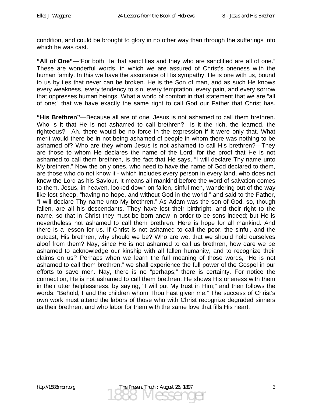condition, and could be brought to glory in no other way than through the sufferings into which he was cast.

**"All of One"**—"For both He that sanctifies and they who are sanctified are all of one." These are wonderful words, in which we are assured of Christ's oneness with the human family. In this we have the assurance of His sympathy. He is one with us, bound to us by ties that never can be broken. He is the Son of man, and as such He knows every weakness, every tendency to sin, every temptation, every pain, and every sorrow that oppresses human beings. What a world of comfort in that statement that we are "all of one;" that we have exactly the same right to call God our Father that Christ has.

**"His Brethren"**—Because all are of one, Jesus is not ashamed to call them brethren. Who is it that He is not ashamed to call brethren?—is it the rich, the learned, the righteous?—Ah, there would be no force in the expression if it were only that. What merit would there be in not being ashamed of people in whom there was nothing to be ashamed of? Who are they whom Jesus is not ashamed to call His brethren?—They are those to whom He declares the name of the Lord; for the proof that He is not ashamed to call them brethren, is the fact that He says, "I will declare Thy name unto My brethren." Now the only ones, who need to have the name of God declared to them, are those who do not know it - which includes every person in every land, who does not know the Lord as his Saviour. It means all mankind before the word of salvation comes to them. Jesus, in heaven, looked down on fallen, sinful men, wandering out of the way like lost sheep, "having no hope, and without God in the world," and said to the Father, "I will declare Thy name unto My brethren." As Adam was the son of God, so, though fallen, are all his descendants. They have lost their birthright, and their right to the name, so that in Christ they must be born anew in order to be sons indeed; but He is nevertheless not ashamed to call them brethren. Here is hope for all mankind. And there is a lesson for us. If Christ is not ashamed to call the poor, the sinful, and the outcast, His brethren, why should we be? Who are we, that we should hold ourselves aloof from them? Nay, since He is not ashamed to call us brethren, how dare we be ashamed to acknowledge our kinship with all fallen humanity, and to recognize their claims on us? Perhaps when we learn the full meaning of those words, "He is not ashamed to call them brethren," we shall experience the full power of the Gospel in our efforts to save men. Nay, there is no "perhaps;" there is certainty. For notice the connection, He is not ashamed to call them brethren; He shows His oneness with them in their utter helplessness, by saying, "I will put My trust in Him;" and then follows the words: "Behold, I and the children whom Thou hast given me." The success of Christ's own work must attend the labors of those who with Christ recognize degraded sinners as their brethren, and who labor for them with the same love that fills His heart.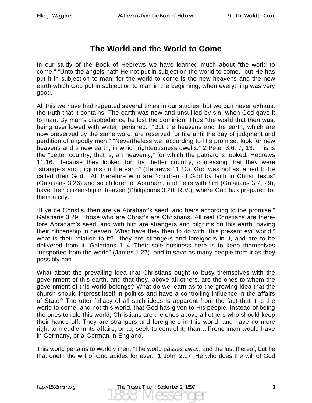# **The World and the World to Come**

In our study of the Book of Hebrews we have learned much about "the world to come." "Unto the angels hath He not put in subjection the world to come," but He has put it in subjection to man; for the world to come is the new heavens and the new earth which God put in subjection to man in the beginning, when everything was very good.

All this we have had repeated several times in our studies, but we can never exhaust the truth that it contains. The earth was new and unsullied by sin, when God gave it to man. By man's disobedience he lost the dominion. Thus "the world that then was, being overflowed with water, perished." "But the heavens and the earth, which are now preserved by the same word, are reserved for fire until the day of judgment and perdition of ungodly men." "Nevertheless we, according to His promise, look for new heavens and a new earth, in which righteousness dwells." 2 Peter 3.6, 7, 13. This is the "better country, that is, an heavenly," for which the patriarchs looked. Hebrews 11.16. Because they looked for that better country, confessing that they were "strangers and pilgrims on the earth" (Hebrews 11.13), God was not ashamed to be called their God. All therefore who are "children of God by faith in Christ Jesus" (Galatians 3.26) and so children of Abraham, and heirs with him (Galatians 3.7, 29), have their citizenship in heaven (Philippians 3.20. R.V.), where God has prepared for them a city.

"If ye be Christ's, then are ye Abraham's seed, and heirs according to the promise." Galatians 3.29. Those who are Christ's are Christians. All real Christians are therefore Abraham's seed, and with him are strangers and pilgrims on this earth, having their citizenship in heaven. What have they then to do with "this present evil world;" what is their relation to it?—they are strangers and foreigners in it, and are to be delivered from it. Galatians 1 . 4 . Their sole business here is to keep themselves "unspotted from the world" (James 1.27), and to save as many people from it as they possibly can.

What about the prevailing idea that Christians ought to busy themselves with the government of this earth, and that they, above all others, are the ones to whom the government of this world belongs? What do we learn as to the growing idea that the church should interest itself in politics and have a controlling influence in the affairs of State? The utter fallacy of all such ideas is apparent from the fact that it is the world to come, and not this world, that God has given to His people. Instead of being the ones to rule this world, Christians are the ones above all others who should keep their hands off. They are strangers and foreigners in this world, and have no more right to meddle in its affairs, or to, seek to control it, than a Frenchman would have in Germany, or a German in England.

This world pertains to worldly men. "The world passes away, and the lust thereof; but he that doeth the will of God abides for ever." 1 John 2.17. He who does the will of God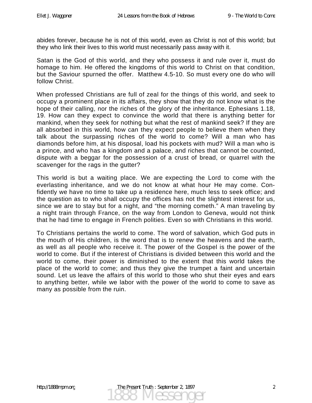abides forever, because he is not of this world, even as Christ is not of this world; but they who link their lives to this world must necessarily pass away with it.

Satan is the God of this world, and they who possess it and rule over it, must do homage to him. He offered the kingdoms of this world to Christ on that condition, but the Saviour spurned the offer. Matthew 4.5-10. So must every one do who will follow Christ.

When professed Christians are full of zeal for the things of this world, and seek to occupy a prominent place in its affairs, they show that they do not know what is the hope of their calling, nor the riches of the glory of the inheritance. Ephesians 1.18, 19. How can they expect to convince the world that there is anything better for mankind, when they seek for nothing but what the rest of mankind seek? If they are all absorbed in this world, how can they expect people to believe them when they talk about the surpassing riches of the world to come? Will a man who has diamonds before him, at his disposal, load his pockets with mud? Will a man who is a prince, and who has a kingdom and a palace, and riches that cannot be counted, dispute with a beggar for the possession of a crust of bread, or quarrel with the scavenger for the rags in the gutter?

This world is but a waiting place. We are expecting the Lord to come with the everlasting inheritance, and we do not know at what hour He may come. Confidently we have no time to take up a residence here, much less to seek office; and the question as to who shall occupy the offices has not the slightest interest for us, since we are to stay but for a night, and "the morning cometh." A man traveling by a night train through France, on the way from London to Geneva, would not think that he had time to engage in French polities. Even so with Christians in this world.

To Christians pertains the world to come. The word of salvation, which God puts in the mouth of His children, is the word that is to renew the heavens and the earth, as well as all people who receive it. The power of the Gospel is the power of the world to come. But if the interest of Christians is divided between this world and the world to come, their power is diminished to the extent that this world takes the place of the world to come; and thus they give the trumpet a faint and uncertain sound. Let us leave the affairs of this world to those who shut their eyes and ears to anything better, while we labor with the power of the world to come to save as many as possible from the ruin.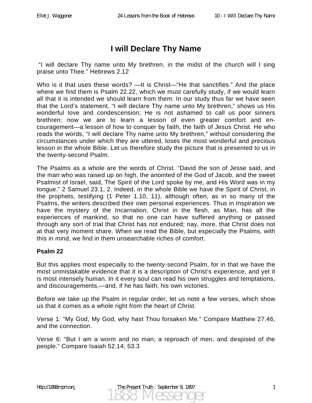## **I will Declare Thy Name**

 "I will declare Thy name unto My brethren, in the midst of the church will I sing praise unto Thee." Hebrews 2.12

Who is it that uses these words? —It is Christ—"He that sanctifies." And the place where we find them is Psalm 22.22, which we must carefully study, if we would learn all that it is intended we should learn from them. In our study thus far we have seen that the Lord's statement, "I will declare Thy name unto My brethren," shows us His wonderful love and condescension; He is not ashamed to call us poor sinners brethren; now we are to learn a lesson of even greater comfort and encouragement—a lesson of how to conquer by faith, the faith of Jesus Christ. He who reads the words, "I will declare Thy name unto My brethren," without considering the circumstances under which they are uttered, loses the most wonderful and precious lesson in the whole Bible. Let us therefore study the picture that is presented to us in the twenty-second Psalm.

The Psalms as a whole are the words of Christ. "David the son of Jesse said, and the man who was raised up on high, the anointed of the God of Jacob, and the sweet Psalmist of Israel, said, The Spirit of the Lord spoke by me, and His Word was in my tongue." 2 Samuel 23.1, 2. Indeed, in the whole Bible we have the Spirit of Christ, in the prophets, testifying (1 Peter 1.10, 11), although often, as in so many of the Psalms, the writers described their own personal experiences. Thus in Inspiration we have the mystery of the Incarnation. Christ in the flesh, as Man, has all the experiences of mankind, so that no one can have suffered anything or passed through any sort of trial that Christ has not endured; nay, more, that Christ does not at that very moment share. When we read the Bible, but especially the Psalms, with this in mind, we find in them unsearchable riches of comfort.

### **Psalm 22**

But this applies most especially to the twenty-second Psalm, for in that we have the most unmistakable evidence that it is a description of Christ's experience, and yet it is most intensely human. In it every soul can read his own struggles and temptations, and discouragements,—and, if he has faith, his own victories.

Before we take up the Psalm in regular order, let us note a few verses, which show us that it comes as a whole right from the heart of Christ.

Verse 1: "My God, My God, why hast Thou forsaken Me." Compare Matthew 27.46, and the connection.

Verse 6: "But I am a worm and no man; a reproach of men, and despised of the people." Compare Isaiah 52.14; 53.3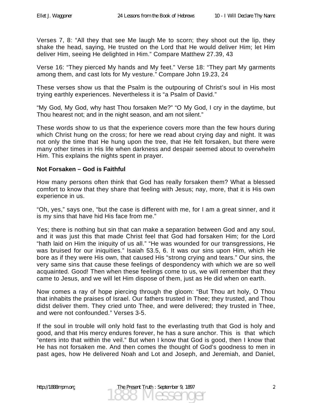Verses 7, 8: "All they that see Me laugh Me to scorn; they shoot out the lip, they shake the head, saying, He trusted on the Lord that He would deliver Him; let Him deliver Him, seeing He delighted in Him." Compare Matthew 27.39, 43

Verse 16: "They pierced My hands and My feet." Verse 18: "They part My garments among them, and cast lots for My vesture." Compare John 19.23, 24

These verses show us that the Psalm is the outpouring of Christ's soul in His most trying earthly experiences. Nevertheless it is "a Psalm of David."

"My God, My God, why hast Thou forsaken Me?" "O My God, I cry in the daytime, but Thou hearest not; and in the night season, and am not silent."

These words show to us that the experience covers more than the few hours during which Christ hung on the cross; for here we read about crying day and night. It was not only the time that He hung upon the tree, that He felt forsaken, but there were many other times in His life when darkness and despair seemed about to overwhelm Him. This explains the nights spent in prayer.

#### **Not Forsaken – God is Faithful**

How many persons often think that God has really forsaken them? What a blessed comfort to know that they share that feeling with Jesus; nay, more, that it is His own experience in us.

"Oh, yes," says one, "but the case is different with me, for I am a great sinner, and it is my sins that have hid His face from me."

Yes; there is nothing but sin that can make a separation between God and any soul, and it was just this that made Christ feel that God had forsaken Him; for the Lord "hath laid on Him the iniquity of us all." "He was wounded for our transgressions, He was bruised for our iniquities." Isaiah 53.5, 6. It was our sins upon Him, which He bore as if they were His own, that caused His "strong crying and tears." Our sins, the very same sins that cause these feelings of despondency with which we are so well acquainted. Good! Then when these feelings come to us, we will remember that they came to Jesus, and we will let Him dispose of them, just as He did when on earth.

Now comes a ray of hope piercing through the gloom: "But Thou art holy, O Thou that inhabits the praises of Israel. Our fathers trusted in Thee; they trusted, and Thou didst deliver them. They cried unto Thee, and were delivered; they trusted in Thee, and were not confounded." Verses 3-5.

If the soul in trouble will only hold fast to the everlasting truth that God is holy and good, and that His mercy endures forever, he has a sure anchor. This is that which "enters into that within the veil." But when I know that God is good, then I know that He has not forsaken me. And then comes the thought of God's goodness to men in past ages, how He delivered Noah and Lot and Joseph, and Jeremiah, and Daniel,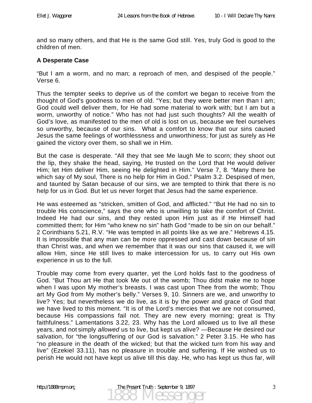and so many others, and that He is the same God still. Yes, truly God is good to the children of men.

### **A Desperate Case**

"But I am a worm, and no man; a reproach of men, and despised of the people." Verse 6.

Thus the tempter seeks to deprive us of the comfort we began to receive from the thought of God's goodness to men of old. "Yes; but they were better men than I am; God could well deliver them, for He had some material to work with; but I am but a worm, unworthy of notice." Who has not had just such thoughts? All the wealth of God's love, as manifested to the men of old is lost on us, because we feel ourselves so unworthy, because of our sins. What a comfort to know that our sins caused Jesus the same feelings of worthlessness and unworthiness; for just as surely as He gained the victory over them, so shall we in Him.

But the case is desperate. "All they that see Me laugh Me to scorn; they shoot out the lip, they shake the head, saying, He trusted on the Lord that He would deliver Him; let Him deliver Him, seeing He delighted in Him." Verse 7, 8. "Many there be which say of My soul, There is no help for Him in God." Psalm 3.2. Despised of men, and taunted by Satan because of our sins, we are tempted to think that there is no help for us in God. But let us never forget that Jesus had the same experience.

He was esteemed as "stricken, smitten of God, and afflicted." "But He had no sin to trouble His conscience," says the one who is unwilling to take the comfort of Christ. Indeed He had our sins, and they rested upon Him just as if He Himself had committed them; for Him "who knew no sin" hath God "made to be sin on our behalf." 2 Corinthians 5.21, R.V. "He was tempted in all points like as we are." Hebrews 4.15. It is impossible that any man can be more oppressed and cast down because of sin than Christ was, and when we remember that it was our sins that caused it, we will allow Him, since He still lives to make intercession for us, to carry out His own experience in us to the full.

Trouble may come from every quarter, yet the Lord holds fast to the goodness of God. "But Thou art He that took Me out of the womb; Thou didst make me to hope when I was upon My mother's breasts. I was cast upon Thee from the womb; Thou art My God from My mother's belly." Verses 9, 10. Sinners are we, and unworthy to live? Yes; but nevertheless we do live, as it is by the power and grace of God that we have lived to this moment. "It is of the Lord's mercies that we are not consumed, because His compassions fail not. They are new every morning; great is Thy faithfulness." Lamentations 3.22, 23. Why has the Lord allowed us to live all these years, and not simply *allowed* us to live, but kept us alive? —Because He desired our salvation, for "the longsuffering of our God is salvation." 2 Peter 3.15. He who has "no pleasure in the death of the wicked; but that the wicked turn from his way and live" (Ezekiel 33.11), has no pleasure in trouble and suffering. If He wished us to perish He would not have kept us alive till this day. He, who has kept us thus far, will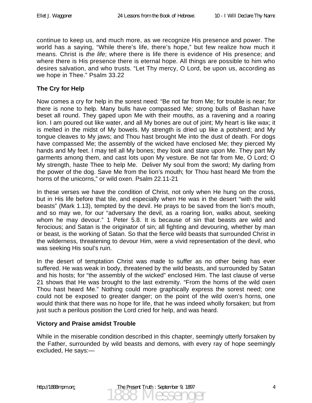continue to keep us, and much more, as we recognize His presence and power. The world has a saying, "While there's life, there's hope," but few realize how much it means. Christ is *the life*; where there is life there is evidence of His presence; and where there is His presence there is eternal hope. All things are possible to him who desires salvation, and who trusts. "Let Thy mercy, O Lord, be upon us, according as we hope in Thee." Psalm 33.22

#### **The Cry for Help**

Now comes a cry for help in the sorest need: "Be not far from Me; for trouble is near; for there is none to help. Many bulls have compassed Me; strong bulls of Bashan have beset all round. They gaped upon Me with their mouths, as a ravening and a roaring lion. I am poured out like water, and all My bones are out of joint; My heart is like wax; it is melted in the midst of My bowels. My strength is dried up like a potsherd; and My tongue cleaves to My jaws; and Thou hast brought Me into the dust of death. For dogs have compassed Me; the assembly of the wicked have enclosed Me; they pierced My hands and My feet. I may tell all My bones; they look and stare upon Me. They part My garments among them, and cast lots upon My vesture. Be not far from Me, O Lord; O My strength, haste Thee to help Me. Deliver My soul from the sword; My darling from the power of the dog. Save Me from the lion's mouth; for Thou hast heard Me from the horns of the unicorns," or wild oxen. Psalm 22.11-21

In these verses we have the condition of Christ, not only when He hung on the cross, but in His life before that tile, and especially when He was in the desert "with the wild beasts" (Mark 1.13), tempted by the devil. He prays to be saved from the lion's mouth, and so may we, for our "adversary the devil, as a roaring lion, walks about, seeking whom he may devour." 1 Peter 5.8. It is because of sin that beasts are wild and ferocious; and Satan is the originator of sin; all fighting and devouring, whether by man or beast, is the working of Satan. So that the fierce wild beasts that surrounded Christ in the wilderness, threatening to devour Him, were a vivid representation of the devil, who was seeking His soul's ruin.

In the desert of temptation Christ was made to suffer as no other being has ever suffered. He was weak in body, threatened by the wild beasts, and surrounded by Satan and his hosts; for "the assembly of the wicked" enclosed Him. The last clause of verse 21 shows that He was brought to the last extremity. "From the horns of the wild oxen Thou hast heard Me." Nothing could more graphically express the sorest need; one could not be exposed to greater danger; on the point of the wild oxen's horns, one would think that there was no hope for life, that he was indeed wholly forsaken; but from just such a perilous position the Lord cried for help, and was heard.

#### **Victory and Praise amidst Trouble**

While in the miserable condition described in this chapter, seemingly utterly forsaken by the Father, surrounded by wild beasts and demons, with every ray of hope seemingly excluded, He says:—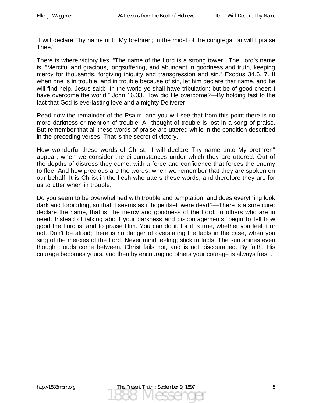"I will declare Thy name unto My brethren; in the midst of the congregation will I praise Thee."

There is where victory lies. "The name of the Lord is a strong tower." The Lord's name is, "Merciful and gracious, longsuffering, and abundant in goodness and truth, keeping mercy for thousands, forgiving iniquity and transgression and sin." Exodus 34.6, 7. If when one is in trouble, and in trouble because of sin, let him declare that name, and he will find help. Jesus said: "In the world ye shall have tribulation; but be of good cheer; I have overcome the world." John 16.33. How did He overcome?—By holding fast to the fact that God is everlasting love and a mighty Deliverer.

Read now the remainder of the Psalm, and you will see that from this point there is no more darkness or mention of trouble. All thought of trouble is lost in a song of praise. But remember that all these words of praise are uttered while in the condition described in the preceding verses. That is the secret of victory.

How wonderful these words of Christ, "I will declare Thy name unto My brethren" appear, when we consider the circumstances under which they are uttered. Out of the depths of distress they come, with a force and confidence that forces the enemy to flee. And how precious are the words, when we remember that they are spoken on our behalf. It is Christ in the flesh who utters these words, and therefore they are for us to utter when in trouble.

Do you seem to be overwhelmed with trouble and temptation, and does everything look dark and forbidding, so that it seems as if hope itself were dead?—There is a sure cure: declare the name, that is, the mercy and goodness of the Lord, to others who are in need. Instead of talking about your darkness and discouragements, begin to tell how good the Lord is, and to praise Him. You can do it, for it is true, whether you feel it or not. Don't be afraid; there is no danger of overstating the facts in the case, when you sing of the mercies of the Lord. Never mind feeling; stick to facts. The sun shines even though clouds come between. Christ fails not, and is not discouraged. By faith, His courage becomes yours, and then by encouraging others your courage is always fresh.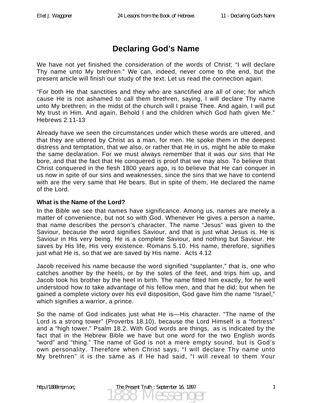# **Declaring God's Name**

We have not yet finished the consideration of the words of Christ; "I will declare Thy name unto My brethren." We can, indeed, never come to the end, but the present article will finish our study of the text. Let us read the connection again.

"For both He that sanctities and they who are sanctified are all of one; for which cause He is not ashamed to call them brethren, saying, I will declare Thy name unto My brethren; in the midst of the church will I praise Thee. And again, I will put My trust in Him. And again, Behold I and the children which God hath given Me." Hebrews 2.11-13

Already have we seen the circumstances under which these words are uttered, and that they are uttered by Christ as a man, for men. He spoke them in the deepest distress and temptation, that we also, or rather that He in us, might he able to make the same declaration. For we must always remember that it was *our sins* that He bore, and that the fact that He conquered is proof that we may also. To believe that Christ conquered in the flesh 1800 years ago, is to believe that He can conquer in us now in spite of our sins and weaknesses, since the sins that we have to contend with are the very same that He bears. But in spite of them, He declared the name of the Lord.

#### **What is the Name of the Lord?**

In the Bible we see that names have significance. Among us, names are merely a matter of convenience, but not so with God. Whenever He gives a person a name, that name describes the person's character. The name "Jesus" was given to the Saviour, because the word signifies Saviour, and that is just what Jesus is. He is Saviour in His very being. He is a complete Saviour, and nothing but Saviour. He saves by His life, His very existence. Romans 5.10. His name, therefore, signifies just what He is, so that we are saved by His name. Acts 4.12

Jacob received his name because the word signified "supplanter," that is, one who catches another by the heels, or by the soles of the feet, and trips him up, and Jacob took his brother by the heel in birth. The name fitted him exactly, for he well understood how to take advantage of his fellow men, and that he did; but when he gained a complete victory over his evil disposition, God gave him the name "Israel," which signifies a warrior, a prince.

So the name of God indicates just what He is—His character. "The name of the Lord is a strong tower" (Proverbs 18.10), because the Lord Himself is a "fortress" and a "high tower." Psalm 18.2. With God words are things, as is indicated by the fact that in the Hebrew Bible we have but one word for the two English words "word" and "thing." The name of God is not a mere empty sound, but is God's own personality. Therefore when Christ says, "I will declare Thy name unto My brethren" it is the same as if He had said, "I will reveal to them Your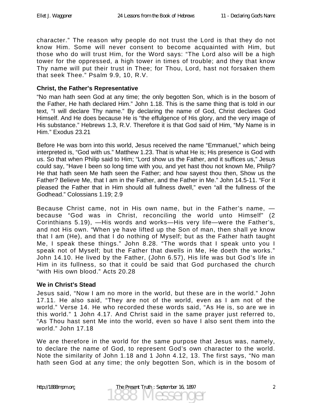character." The reason why people do not trust the Lord is that they do not know Him. Some will never consent to become acquainted with Him, but those who do will trust Him, for the Word says: "The Lord also will be a high tower for the oppressed, a high tower in times of trouble; and they that know Thy name will put their trust in Thee; for Thou, Lord, hast not forsaken them that seek Thee." Psalm 9.9, 10, R.V.

#### **Christ, the Father's Representative**

"No man hath seen God at any time; the only begotten Son, which is in the bosom of the Father, He hath declared Him." John 1.18. This is the same thing that is told in our text, "I will declare Thy name." By declaring the name of God, Christ declares God Himself. And He does because He is "the effulgence of His glory, and the very image of His substance." Hebrews 1.3, R.V. Therefore it is that God said of Him, "My Name is in Him." Exodus 23.21

Before He was born into this world, Jesus received the name "Emmanuel," which being interpreted is, "God with us." Matthew 1.23. That is what He is; His presence is God with us. So that when Philip said to Him; "Lord show us the Father, and it suffices us," Jesus could say, "Have I been so long time with you, and yet hast thou not known Me, Philip? He that hath seen Me hath seen the Father; and how sayest thou then, Show us the Father? Believe Me, that I am in the Father, and the Father in Me." John 14.5-11. "For it pleased the Father that in Him should all fullness dwell," even "all the fullness of the Godhead." Colossians 1.19; 2.9

Because Christ came, not in His own name, but in the Father's name, because "God was in Christ, reconciling the world unto Himself" (2 Corinthians 5.19), —His words and works—His very life—were the Father's, and not His own. "When ye have lifted up the Son of man, then shall ye know that I am (He), and that I do nothing of Myself; but as the Father hath taught Me, I speak these things." John 8.28. "The words that I speak unto you I speak not of Myself; but the Father that dwells in Me, He doeth the works." John 14.10. He lived by the Father, (John 6.57), His life was but God's life in Him in its fullness, so that it could be said that God purchased the church "with His own blood." Acts 20.28

#### **We in Christ's Stead**

Jesus said, "Now I am no more in the world, but these are in the world." John 17.11. He also said, "They are not of the world, even as I am not of the world." Verse 14. He who recorded these words said, "As He is, so are we in this world." 1 John 4.17. And Christ said in the same prayer just referred to, "As Thou hast sent Me into the world, even so have I also sent them into the world." John 17.18

We are therefore in the world for the same purpose that Jesus was, namely, to declare the name of God, to represent God's own character to the world. Note the similarity of John 1.18 and 1 John 4.12, 13. The first says, "No man hath seen God at any time; the only begotten Son, which is in the bosom of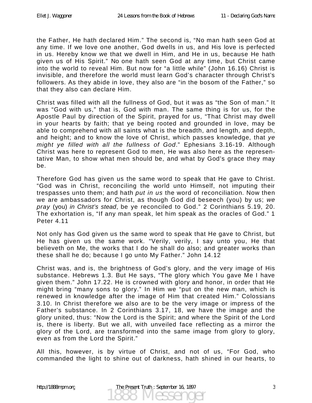the Father, He hath declared Him." The second is, "No man hath seen God at any time. If we love one another, God dwells in us, and His love is perfected in us. Hereby know we that we dwell in Him, and He in us, because He hath given us of His Spirit." No one hath seen God at any time, but Christ came into the world to reveal Him. But now for "a little while" (John 16.16) Christ is invisible, and therefore the world must learn God's character through Christ's followers. As they abide in love, they also are "in the bosom of the Father," so that they also can declare Him.

Christ was filled with all the fullness of God, but it was as "the Son of man." It was "God with us," that is, God with man. The same thing is for us, for the Apostle Paul by direction of the Spirit, prayed for us, "That Christ may dwell in your hearts by faith; that ye being rooted and grounded in love, may be able to comprehend with all saints what is the breadth, and length, and depth, and height; and to know the love of Christ, which passes knowledge, that *ye might ye filled with all the fullness of God*." Ephesians 3.16-19. Although Christ was here to represent God to men, He was also here as the representative Man, to show what men should be, and what by God's grace they may be.

Therefore God has given us the same word to speak that He gave to Christ. "God was in Christ, reconciling the world unto Himself, not imputing their trespasses unto them; and hath *put in us* the word of reconciliation. Now then we are ambassadors for Christ, as though God did beseech (you) by us; *we pray* (you) *in Christ's stead*, be ye reconciled to God." 2 Corinthians 5.19, 20. The exhortation is, "If any man speak, let him speak as the oracles of God." 1 Peter 4.11

Not only has God given us the same word to speak that He gave to Christ, but He has given us the same work. "Verily, verily, I say unto you, He that believeth on Me, the works that I do he shall do also; and greater works than these shall he do; because I go unto My Father." John 14.12

Christ was, and is, the brightness of God's glory, and the very image of His substance. Hebrews 1.3. But He says, "The glory which You gave Me I have given them." John 17.22. He is crowned with glory and honor, in order that He might bring "many sons to glory." In Him we "put on the new man, which is renewed in knowledge after the image of Him that created Him." Colossians 3.10. In Christ therefore we also are to be the very image or impress of the Father's substance. In 2 Corinthians 3.17, 18, we have the image and the glory united, thus: "Now the Lord is the Spirit; and where the Spirit of the Lord is, there is liberty. But we all, with unveiled face reflecting as a mirror the glory of the Lord, are transformed into the same image from glory to glory, even as from the Lord the Spirit."

All this, however, is by virtue of Christ, and not of us, "For God, who commanded the light to shine out of darkness, hath shined in our hearts, to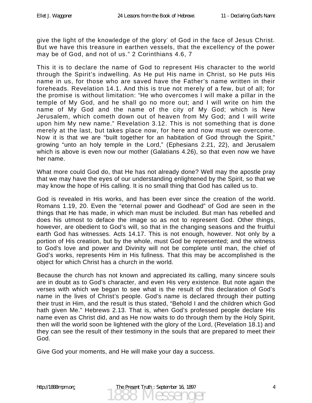give the light of the knowledge of the glory<sup>-</sup> of God in the face of Jesus Christ. But we have this treasure in earthen vessels, that the excellency of the power may be of God, and not of us." 2 Corinthians 4.6, 7

This it is to declare the name of God to represent His character to the world through the Spirit's indwelling. As He put His name in Christ, so He puts His name in us, for those who are saved have the Father's name written in their foreheads. Revelation 14.1. And this is true not merely of a few, but of all; for the promise is without limitation: "He who overcomes I will make a pillar in the temple of My God, and he shall go no more out; and I will write on him the name of My God and the name of the city of My God; which is New Jerusalem, which cometh down out of heaven from My God; and I will write upon him My new name." Revelation 3.12. This is not something that is done merely at the last, but takes place now, for here and now must we overcome. Now it is that we are "built together for an habitation of God through the Spirit," growing "unto an holy temple in the Lord," (Ephesians 2.21, 22), and Jerusalem which is above is even now our mother (Galatians 4.26), so that even now we have her name.

What more could God do, that He has not already done? Well may the apostle pray that we may have the eyes of our understanding enlightened by the Spirit, so that we may know the hope of His calling. It is no small thing that God has called us to.

God is revealed in His works, and has been ever since the creation of the world. Romans 1.19, 20. Even the "eternal power and Godhead" of God are seen in the things that He has made, in which man must be included. But man has rebelled and does his utmost to deface the image so as not to represent God. Other things, however, are obedient to God's will, so that in the changing seasons and the fruitful earth God has witnesses. Acts 14.17. This is not enough, however. Not only by a portion of His creation, but by the whole, must God be represented; and the witness to God's love and power and Divinity will not be complete until man, the chief of God's works, represents Him in His fullness. That this may be accomplished is the object for which Christ has a church in the world.

Because the church has not known and appreciated its calling, many sincere souls are in doubt as to God's character, and even His very existence. But note again the verses with which we began to see what is the result of this declaration of God's name in the lives of Christ's people. God's name is declared through their putting their trust in Him, and the result is thus stated, "Behold I and the children which God hath given Me." Hebrews 2.13. That is, when God's professed people declare His name even as Christ did, and as He now waits to do through them by the Holy Spirit, then will the world soon be lightened with the glory of the Lord, (Revelation 18.1) and they can see the result of their testimony in the souls that are prepared to meet their God.

Give God your moments, and He will make your day a success.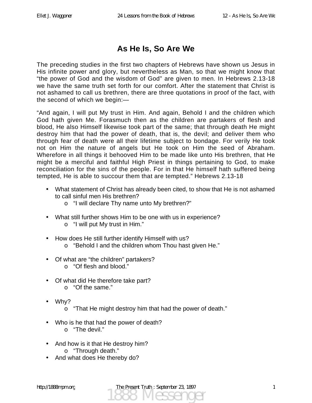# **As He Is, So Are We**

The preceding studies in the first two chapters of Hebrews have shown us Jesus in His infinite power and glory, but nevertheless as Man, so that we might know that "the power of God and the wisdom of God" are given to men. In Hebrews 2.13-18 we have the same truth set forth for our comfort. After the statement that Christ is not ashamed to call us brethren, there are three quotations in proof of the fact, with the second of which we begin:—

"And again, I will put My trust in Him. And again, Behold I and the children which God hath given Me. Forasmuch then as the children are partakers of flesh and blood, He also Himself likewise took part of the same; that through death He might destroy him that had the power of death, that is, the devil; and deliver them who through fear of death were all their lifetime subject to bondage. For verily He took not on Him the nature of angels but He took on Him the seed of Abraham. Wherefore in all things it behooved Him to be made like unto His brethren, that He might be a merciful and faithful High Priest in things pertaining to God, to make reconciliation for the sins of the people. For in that He himself hath suffered being tempted, He is able to succour them that are tempted." Hebrews 2.13-18

- What statement of Christ has already been cited, to show that He is not ashamed to call sinful men His brethren?
	- o "I will declare Thy name unto My brethren?"
- What still further shows Him to be one with us in experience? o "I will put My trust in Him."
- How does He still further identify Himself with us?
	- o "Behold I and the children whom Thou hast given He."
- Of what are "the children" partakers?
	- o "Of flesh and blood."
- Of what did He therefore take part?
	- o "Of the same."
- Why?
	- o "That He might destroy him that had the power of death."
- Who is he that had the power of death?
	- $\circ$  "The devil."
- And how is it that He destroy him? o "Through death."
- And what does He thereby do?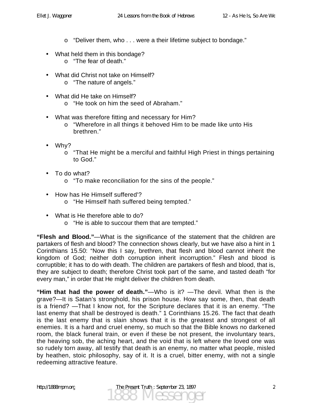- o "Deliver them, who . . . were a their lifetime subject to bondage."
- What held them in this bondage?
	- o "The fear of death."
- What did Christ not take on Himself?
	- o "The nature of angels."
- What did He take on Himself?
	- o "He took on him the seed of Abraham."
- What was therefore fitting and necessary for Him?
	- o "Wherefore in all things it behoved Him to be made like unto His brethren."
- Why?
	- o "That He might be a merciful and faithful High Priest in things pertaining to God."
- To do what?
	- o "To make reconciliation for the sins of the people."
- How has He Himself suffered'?
	- o "He Himself hath suffered being tempted."
- What is He therefore able to do?
	- o "He is able to succour them that are tempted."

**"Flesh and Blood."**—What is the significance of the statement that the children are partakers of flesh and blood? The connection shows clearly, but we have also a hint in 1 Corinthians 15.50: "Now this I say, brethren, that flesh and blood cannot inherit the kingdom of God; neither doth corruption inherit incorruption." Flesh and blood is corruptible; it has to do with death. The children are partakers of flesh and blood, that is, they are subject to death; therefore Christ took part of the same, and tasted death "for every man," in order that He might deliver the children from death.

**"Him that had the power of death."**—Who is it? —The devil. What then is the grave?—It is Satan's stronghold, his prison house. How say some, then, that death is a friend? —That I know not, for the Scripture declares that it is an enemy. "The last enemy that shall be destroyed is death." 1 Corinthians 15.26. The fact that death is the last enemy that is slain shows that it is the greatest and strongest of all enemies. It is a hard and cruel enemy, so much so that the Bible knows no darkened room, the black funeral train, or even if these be not present, the involuntary tears, the heaving sob, the aching heart, and the void that is left where the loved one was so rudely torn away, all testify that death is an enemy, no matter what people, misled by heathen, stoic philosophy, say of it. It is a cruel, bitter enemy, with not a single redeeming attractive feature.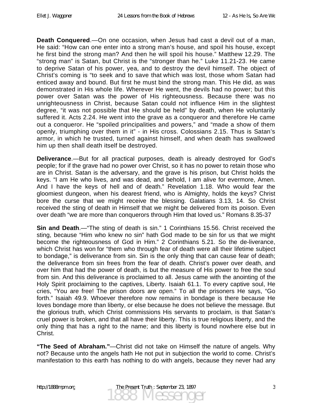**Death Conquered**.—On one occasion, when Jesus had cast a devil out of a man, He said: "How can one enter into a strong man's house, and spoil his house, except he first bind the strong man? And then he will spoil his house." Matthew 12.29. The "strong man" is Satan, but Christ is the "stronger than he." Luke 11.21-23. He came to deprive Satan of his power, yea, and to destroy the devil himself. The object of Christ's coming is "to seek and to save that which was lost, those whom Satan had enticed away and bound. But first he must bind the strong man. This He did, as was demonstrated in His whole life. Wherever He went, the devils had no power; but this power over Satan was the power of His righteousness. Because there was no unrighteousness in Christ, because Satan could not influence Him in the slightest degree, "it was not possible that He should be held" by death, when He voluntarily suffered it. Acts 2.24. He went into the grave as a conqueror and therefore He came out a conqueror. He "spoiled principalities and powers," and "made a show of them openly, triumphing over them in it" - in His cross. Colossians 2.15. Thus is Satan's armor, in which he trusted, turned against himself, and when death has swallowed him up then shall death itself be destroyed.

**Deliverance**.—But for all practical purposes, death is already destroyed for God's people; for if the grave had no power over Christ, so it has no power to retain those who are in Christ. Satan is the adversary, and the grave is his prison, but Christ holds the keys. "I am He who lives, and was dead, and behold, I am alive for evermore, Amen. And I have the keys of hell and of death." Revelation 1.18. Who would fear the gloomiest dungeon, when his dearest friend, who is Almighty, holds the keys? Christ bore the curse that we might receive the blessing. Galatians 3.13, 14. So Christ received the sting of death in Himself that we might be delivered from its poison. Even over death "we are more than conquerors through Him that loved us." Romans 8.35-37

**Sin and Death**.—"The sting of death is sin." 1 Corinthians 15.56. Christ received the sting, because "Him who knew no sin" hath God made to be sin for us that we might become the righteousness of God in Him." 2 Corinthians 5.21. So the de-liverance, which Christ has won for "them who through fear of death were all their lifetime subject to bondage," is deliverance from sin. Sin is the only thing that can cause fear of death; the deliverance from sin frees from the fear of death. Christ's power over death, and over him that had the power of death, is but the measure of His power to free the soul from sin. And this deliverance is proclaimed to all. Jesus came with the anointing of the Holy Spirit proclaiming to the captives, Liberty. Isaiah 61.1. To every captive soul, He cries, "You are free! The prison doors are open." To all the prisoners He says, "Go forth." Isaiah 49.9. Whoever therefore now remains in bondage is there because He loves bondage more than liberty, or else because he does not believe the message. But the glorious truth, which Christ commissions His servants to proclaim, is that Satan's cruel power is broken, and that all have their liberty. This is true religious liberty, and the only thing that has a right to the name; and this liberty is found nowhere else but in Christ.

**"The Seed of Abraham."**—Christ did not take on Himself the nature of angels. Why not? Because unto the angels hath He not put in subjection the world to come. Christ's manifestation to this earth has nothing to do with angels, because they never had any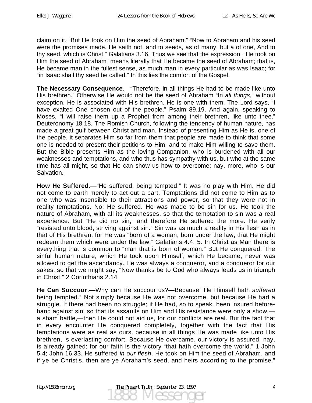claim on it. "But He took on Him the seed of Abraham." "Now to Abraham and his seed were the promises made. He saith not, and to seeds, as of many; but a of one, And to thy seed, which is Christ." Galatians 3.16. Thus we see that the expression, "He took on Him the seed of Abraham" means literally that He became the seed of Abraham; that is, He became man in the fullest sense, as much man in every particular as was Isaac; for "in Isaac shall thy seed be called." In this lies the comfort of the Gospel.

**The Necessary Consequence**.—"Therefore, in all things He had to be made like unto His brethren." Otherwise He would not be the seed of Abraham "In *all things*," without exception, He is associated with His brethren. He is one with them. The Lord says, "I have exalted One chosen out of the people." Psalm 89.19. And again, speaking to Moses, "I will raise them up a Prophet from among their brethren, like unto thee." Deuteronomy 18.18. The Romish Church, following the tendency of human nature, has made a great gulf between Christ and man. Instead of presenting Him as He is, one of the people, it separates Him so far from them that people are made to think that some one is needed to present their petitions to Him, and to make Him willing to save them. But the Bible presents Him as the loving Companion, who is burdened with all our weaknesses and temptations, and who thus has sympathy with us, but who at the same time has all might, so that He can show us how to overcome; nay, more, who is our Salvation.

**How He Suffered**.—"He suffered, being tempted." It was no play with Him. He did not come to earth merely to act out a part. Temptations did not come to Him as to one who was insensible to their attractions and power, so that they were not in reality temptations. No; He suffered. He was made to be sin for us. He took the nature of Abraham, with all its weaknesses, so that the temptation to sin was a real experience. But "He did no sin," and therefore He suffered the more. He verily "resisted unto blood, striving against sin." Sin was as much a reality in His flesh as in that of His brethren, for He was "born of a woman, born under the law, that He might redeem them which were under the law." Galatians 4.4, 5. In Christ as Man there is everything that is common to "man that is born of woman." But He conquered. The sinful human nature, which He took upon Himself, which He became, never was allowed to get the ascendancy. He was always a conqueror, and a conqueror for our sakes, so that we might say, "Now thanks be to God who always leads us in triumph in Christ." 2 Corinthians 2.14

**He Can Succour**.—Why can He succour us?—Because "He Himself hath *suffered* being tempted." Not simply because He was not overcome, but because He had a struggle. If there had been no struggle; if He had, so to speak, been insured beforehand against sin, so that its assaults on Him and His resistance were only a show, a sham battle,—then He could not aid us, for our conflicts are real. But the fact that in every encounter He conquered completely, together with the fact that His temptations were as real as ours, because in all things He was made like unto His brethren, is everlasting comfort. Because He overcame, our victory is assured, nay, is already gained; for our faith is the victory "that hath overcome the world." 1 John 5.4; John 16.33. He suffered *in our flesh*. He took on Him the seed of Abraham, and if ye be Christ's, then are ye Abraham's seed, and heirs according to the promise."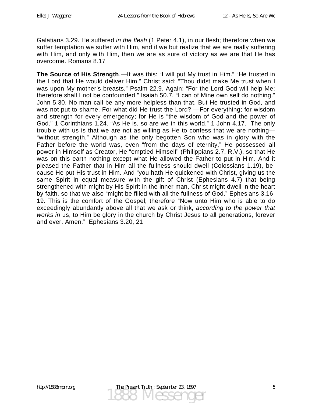Galatians 3.29. He suffered *in the flesh* (1 Peter 4.1), in our flesh; therefore when we suffer temptation we suffer with Him, and if we but realize that we are really suffering with Him, and only with Him, then we are as sure of victory as we are that He has overcome. Romans 8.17

**The Source of His Strength**.—It was this: "I will put My trust in Him." "He trusted in the Lord that He would deliver Him." Christ said: "Thou didst make Me trust when I was upon My mother's breasts." Psalm 22.9. Again: "For the Lord God will help Me; therefore shall I not be confounded." Isaiah 50.7. "I can of Mine own self do nothing." John 5.30. No man call be any more helpless than that. But He trusted in God, and was not put to shame. For what did He trust the Lord? —For everything; for wisdom and strength for every emergency; for He is "the wisdom of God and the power of God." 1 Corinthians 1.24. "As He is, so are we in this world." 1 John 4.17. The only trouble with us is that we are not as willing as He to confess that we are nothing— "without strength." Although as the only begotten Son who was in glory with the Father before the world was, even "from the days of eternity," He possessed all power in Himself as Creator, He "emptied Himself" (Philippians 2.7, R.V.), so that He was on this earth nothing except what He allowed the Father to put in Him. And it pleased the Father that in Him all the fullness should dwell (Colossians 1.19), because He put His trust in Him. And "you hath He quickened with Christ, giving us the same Spirit in equal measure with the gift of Christ (Ephesians 4.7) that being strengthened with might by His Spirit in the inner man, Christ might dwell in the heart by faith, so that we also "might be filled with all the fullness of God." Ephesians 3.16- 19. This is the comfort of the Gospel; therefore "Now unto Him who is able to do exceedingly abundantly above all that we ask or think, *according to the power that works in* us, to Him be glory in the church by Christ Jesus to all generations, forever and ever. Amen." Ephesians 3.20, 21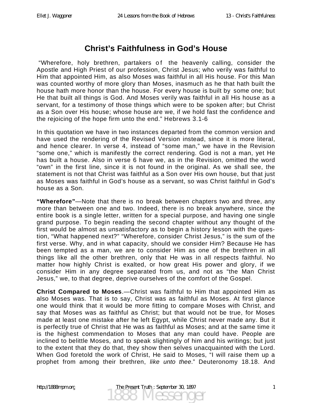# **Christ's Faithfulness in God's House**

"Wherefore, holy brethren, partakers of the heavenly calling, consider the Apostle and High Priest of our profession, Christ Jesus; who verily was faithful to Him that appointed Him, as also Moses was faithful in all His house. For this Man was counted worthy of more glory than Moses, inasmuch as he that hath built the house hath more honor than the house. For every house is built by some one; but He that built all things is God. And Moses verily was faithful in all His house as a servant, for a testimony of those things which were to be spoken after; but Christ as a Son over His house; whose house are we, if we hold fast the confidence and the rejoicing of the hope firm unto the end." Hebrews 3.1-6

In this quotation we have in two instances departed from the common version and have used the rendering of the Revised Version instead, since it is more literal, and hence clearer. In verse 4, instead of "some man," we have in the Revision "some one," which is manifestly the correct rendering. God is not a man, yet He has built a house. Also in verse 6 have we, as in the Revision, omitted the word "own" in the first line, since it is not found in the original. As we shall see, the statement is not that Christ was faithful as a Son over His own house, but that just as Moses was faithful in God's house as a servant, so was Christ faithful in God's house as a Son.

**"Wherefore"**—Note that there is no break between chapters two and three, any more than between one and two. Indeed, there is no break anywhere, since the entire book is a single letter, written for a special purpose, and having one single grand purpose. To begin reading the second chapter without any thought of the first would be almost as unsatisfactory as to begin a history lesson with the question, "What happened next?" "Wherefore, consider Christ Jesus," is the sum of the first verse. Why, and in what capacity, should we consider Him? Because He has been tempted as a man, we are to consider Him as one of the brethren in all things like all the other brethren, only that He was in all respects faithful. No matter how highly Christ is exalted, or how great His power and glory, if we consider Him in any degree separated from us, and not as "the Man Christ Jesus," we, to that degree, deprive ourselves of the comfort of the Gospel.

**Christ Compared to Moses**.—Christ was faithful to Him that appointed Him as also Moses was. That is to say, Christ was as faithful as Moses. At first glance one would think that it would be more fitting to compare Moses with Christ, and say that Moses was as faithful as Christ; but that would not be true, for Moses made at least one mistake after he left Egypt, while Christ never made any. But it is perfectly true of Christ that He was as faithful as Moses; and at the same time it is the highest commendation to Moses that any man could have. People are inclined to belittle Moses, and to speak slightingly of him and his writings; but just to the extent that they do that, they show then selves unacquainted with the Lord. When God foretold the work of Christ, He said to Moses, "I will raise them up a prophet from among their brethren, *like unto thee*." Deuteronomy 18.18. And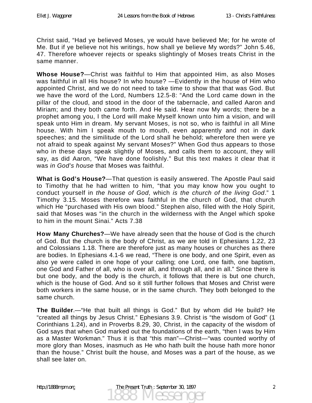Christ said, "Had ye believed Moses, ye would have believed Me; for he wrote of Me. But if ye believe not his writings, how shall ye believe My words?" John 5.46, 47. Therefore whoever rejects or speaks slightingly of Moses treats Christ in the same manner.

**Whose House?**—Christ was faithful to Him that appointed Him, as also Moses was faithful in all His house? In who house? —Evidently in the house of Him who appointed Christ, and we do not need to take time to show that that was God. But we have the word of the Lord, Numbers 12.5-8: "And the Lord came down in the pillar of the cloud, and stood in the door of the tabernacle, and called Aaron and Miriam; and they both came forth. And He said. Hear now My words; there be a prophet among you, I the Lord will make Myself known unto him a vision, and will speak unto Him in dream. My servant Moses, is not so, who is faithful in all Mine house. With him I speak mouth to mouth, even apparently and not in dark speeches; and the similitude of the Lord shall he behold; wherefore then were ye not afraid to speak against My servant Moses?" When God thus appears to those who in these days speak slightly of Moses, and calls them to account, they will say, as did Aaron, "We have done foolishly." But this text makes it clear that it was *in God's house* that Moses was faithful.

**What is God's House?**—That question is easily answered. The Apostle Paul said to Timothy that he had written to him, "that you may know how you ought to conduct yourself in *the house of God*, which *is the church of the living God*." 1 Timothy 3.15. Moses therefore was faithful in the church of God, that church which He "purchased with His own blood." Stephen also, filled with the Holy Spirit, said that Moses was "in the church in the wilderness with the Angel which spoke to him in the mount Sinai." Acts 7.38

**How Many Churches?**—We have already seen that the house of God is the church of God. But the church is the body of Christ, as we are told in Ephesians 1.22, 23 and Colossians 1.18. There are therefore just as many houses or churches as there are bodies. In Ephesians 4.1-6 we read, "There is one body, and one Spirit, even as also ye were called in one hope of your calling; one Lord, one faith, one baptism, one God and Father of all, who is over all, and through all, and in all." Since there is but one body, and the body is the church, it follows that there is but one church, which is the house of God. And so it still further follows that Moses and Christ were both workers in the same house, or in the same church. They both belonged to the same church.

**The Builder**.—"He that built all things is God." But by whom did He build? He "created all things by Jesus Christ." Ephesians 3.9. Christ is "the wisdom of God" (1 Corinthians 1.24), and in Proverbs 8.29, 30, Christ, in the capacity of the wisdom of God says that when God marked out the foundations of the earth, "then I was by Him as a Master Workman." Thus it is that "this man"—Christ—"was counted worthy of more glory than Moses, inasmuch as He who hath built the house hath more honor than the house." Christ built the house, and Moses was a part of the house, as we shall see later on.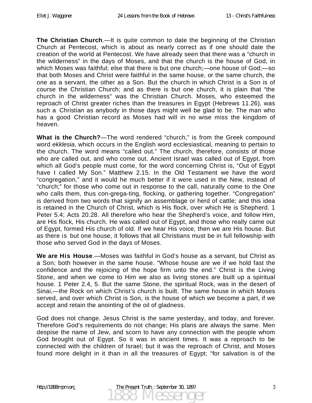**The Christian Church**.—It is quite common to date the beginning of the Christian Church at Pentecost, which is about as nearly correct as if one should date the creation of the world at Pentecost. We have already seen that there was a "church in the wilderness" in the days of Moses, and that the church is the house of God, in which Moses was faithful; else that there is but one church;—one house of God;—so that both Moses and Christ were faithful in the same house, or the same church, the one as a servant, the other as a Son. But the church in which Christ is a Son is of course the Christian Church; and as there is but one church, it is plain that "the church in the wilderness" was the Christian Church. Moses, who esteemed the reproach of Christ greater riches than the treasures in Egypt (Hebrews 11.26), was such a Christian as anybody in those days might well be glad to be. The man who has a good Christian record as Moses had will in no wise miss the kingdom of heaven.

**What is the Church?**—The word rendered "church," is from the Greek compound word *ekklesia*, which occurs in the English word ecclesiastical, meaning to pertain to the church. The word means "called out." The church, therefore, consists of those who are called out, and who come out. Ancient Israel was called out of Egypt, from which all God's people must come, for the word concerning Christ is, "Out of Egypt have I called My Son." Matthew 2.15. In the Old Testament we have the word "congregation," and it would he much better if it were used in the New, instead of "church;" for those who come out in response to the call, naturally come to the One who calls them, thus con-grega-ting, flocking, or gathering together. "Congregation" is derived from two words that signify an assemblage or herd of cattle; and this idea is retained in the Church of Christ, which is His flock, over which He is Shepherd. 1 Peter 5.4; Acts 20.28. All therefore who hear the Shepherd's voice, and follow Him, are His flock, His church. He was called out of Egypt, and those who really came out of Egypt, formed His church of old. If we hear His voice, then we are His house. But as there is but one house, it follows that all Christians must be in full fellowship with those who served God in the days of Moses.

**We are His House**.—Moses was faithful in God's house as a servant, but Christ as a Son; both however in the same house. "Whose house are we if we hold fast the confidence and the rejoicing of the hope firm unto the end." Christ is the Living Stone, and when we come to Him we also as living stones are built up a spiritual house. 1 Peter 2.4, 5. But the same Stone, the spiritual Rock, was in the desert of Sinai,—the Rock on which Christ's church is built. The same house in which Moses served, and over which Christ is Son, is the house of which we become a part, if we accept and retain the anointing of the oil of gladness.

God does not change. Jesus Christ is the same yesterday, and today, and forever. Therefore God's requirements do not change; His plans are always the same. Men despise the name of Jew, and scorn to have any connection with the people whom God brought out of Egypt. So it was in ancient times. It was a reproach to be connected with the children of Israel; but it was the reproach of Christ, and Moses found more delight in it than in all the treasures of Egypt; "for salvation is of the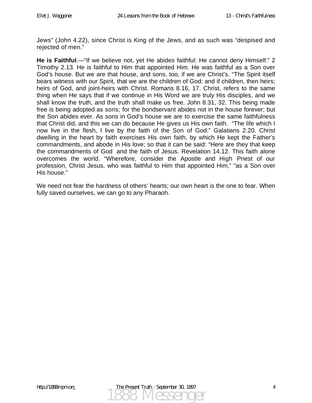Jews" (John 4.22), since Christ is King of the Jews, and as such was "despised and rejected of men."

**He is Faithful**.—"If we believe not, yet He abides faithful: He cannot deny Himself." 2 Timothy 2.13. He is faithful to Him that appointed Him. He was faithful as a Son over God's house. But we are that house, and sons, too, if we are Christ's. "The Spirit itself bears witness with our Spirit, that we are the children of God; and if children, then heirs; heirs of God, and joint-heirs with Christ. Romans 8.16, 17. Christ, refers to the same thing when He says that if we continue in His Word we are truly His disciples, and we shall know the truth, and the truth shall make us free. John 8.31, 32. This being made free is being adopted as sons; for the bondservant abides not in the house forever; but the Son abides ever. As sons in God's house we are to exercise the same faithfulness that Christ did, and this we can do because He gives us His own faith. "The life which I now live in the flesh, I live by the faith of the Son of God." Galatians 2.20. Christ dwelling in the heart by faith exercises His own faith, by which He kept the Father's commandments, and abode in His love; so that it can be said: "Here are they that keep the commandments of God and the faith of Jesus. Revelation 14.12. This faith alone overcomes the world. "Wherefore, consider the Apostle and High Priest of our profession, Christ Jesus, who was faithful to Him that appointed Him," "as a Son over His house."

We need not fear the hardness of others' hearts; our own heart is the one to fear. When fully saved ourselves, we can go to any Pharaoh.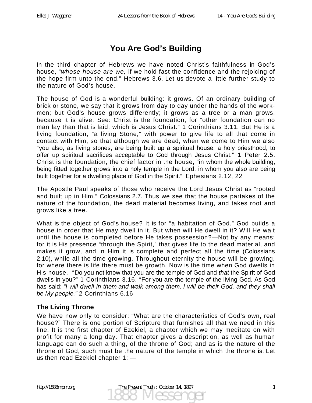# **You Are God's Building**

In the third chapter of Hebrews we have noted Christ's faithfulness in God's house, "*whose house are we,* if we hold fast the confidence and the rejoicing of the hope firm unto the end." Hebrews 3.6. Let us devote a little further study to the nature of God's house.

The house of God is a wonderful building: it grows. Of an ordinary building of brick or stone, we say that it grows from day to day under the hands of the workmen; but God's house grows differently; it grows as a tree or a man grows, because it is alive. See: Christ is the foundation, for "other foundation can no man lay than that is laid, which is Jesus Christ." 1 Corinthians 3.11. But He is a living foundation, "a living Stone," with power to give life to all that come in contact with Him, so that although we are dead, when we come to Him we also "you also, as living stones, are being built up a spiritual house, a holy priesthood, to offer up spiritual sacrifices acceptable to God through Jesus Christ." 1 Peter 2.5. Christ is the foundation, the chief factor in the house, "in whom the whole building, being fitted together grows into a holy temple in the Lord, in whom you also are being built together for a dwelling place of God in the Spirit." Ephesians 2.12, 22

The Apostle Paul speaks of those who receive the Lord Jesus Christ as "rooted and built up in Him." Colossians 2.7. Thus we see that the house partakes of the nature of the foundation, the dead material becomes living, and takes root and grows like a tree.

What is the object of God's house? It is for "a habitation of God." God builds a house in order that He may dwell in it. But when will He dwell in it? Will He wait until the house is completed before He takes possession?—Not by any means; for it is His presence "through the Spirit," that gives life to the dead material, and makes it grow, and in Him it is complete and perfect all the time (Colossians 2.10), while all the time growing. Throughout eternity the house will be growing, for where there is life there must be growth. Now is the time when God dwells in His house. "Do you not know that you are the temple of God and *that* the Spirit of God dwells in you?" 1 Corinthians 3.16. "For you are the temple of the living God. As God has said: *"I will dwell in them and walk among them. I will be their God, and they shall be My people."* 2 Corinthians 6.16

### **The Living Throne**

We have now only to consider: "What are the characteristics of God's own, real house?" There is one portion of Scripture that furnishes all that we need in this line. It is the first chapter of Ezekiel, a chapter which we may meditate on with profit for many a long day. That chapter gives a description, as well as human language can do such a thing, of the throne of God; and as is the nature of the throne of God, such must be the nature of the temple in which the throne is. Let us then read Ezekiel chapter 1: —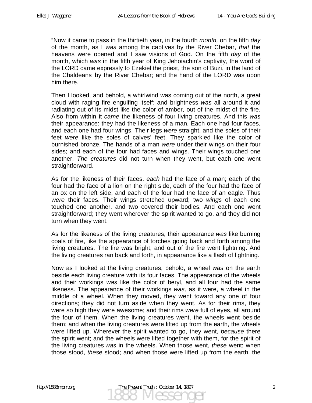"Now it came to pass in the thirtieth year, in the fourth *month,* on the fifth *day* of the month, as I *was* among the captives by the River Chebar, *that* the heavens were opened and I saw visions of God. On the fifth *day* of the month, which *was* in the fifth year of King Jehoiachin's captivity, the word of the LORD came expressly to Ezekiel the priest, the son of Buzi, in the land of the Chaldeans by the River Chebar; and the hand of the LORD was upon him there.

Then I looked, and behold, a whirlwind was coming out of the north, a great cloud with raging fire engulfing itself; and brightness *was* all around it and radiating out of its midst like the color of amber, out of the midst of the fire. Also from within it *came* the likeness of four living creatures. And this *was* their appearance: they had the likeness of a man. Each one had four faces, and each one had four wings. Their legs *were* straight, and the soles of their feet *were* like the soles of calves' feet. They sparkled like the color of burnished bronze. The hands of a man *were* under their wings on their four sides; and each of the four had faces and wings. Their wings touched one another. *The creatures* did not turn when they went, but each one went straightforward.

As for the likeness of their faces, *each* had the face of a man; each of the four had the face of a lion on the right side, each of the four had the face of an ox on the left side, and each of the four had the face of an eagle. Thus *were* their faces. Their wings stretched upward; two *wings* of each one touched one another, and two covered their bodies. And each one went straightforward; they went wherever the spirit wanted to go, and they did not turn when they went.

As for the likeness of the living creatures, their appearance *was* like burning coals of fire, like the appearance of torches going back and forth among the living creatures. The fire was bright, and out of the fire went lightning. And the living creatures ran back and forth, in appearance like a flash of lightning.

Now as I looked at the living creatures, behold, a wheel *was* on the earth beside each living creature with its four faces. The appearance of the wheels and their workings *was* like the color of beryl, and all four had the same likeness. The appearance of their workings *was,* as it were, a wheel in the middle of a wheel. When they moved, they went toward any one of four directions; they did not turn aside when they went. As for their rims, they were so high they were awesome; and their rims *were* full of eyes, all around the four of them. When the living creatures went, the wheels went beside them; and when the living creatures were lifted up from the earth, the wheels were lifted up. Wherever the spirit wanted to go, they went, *because* there the spirit went; and the wheels were lifted together with them, for the spirit of the living creatures *was* in the wheels. When those went, *these* went; when those stood, *these* stood; and when those were lifted up from the earth, the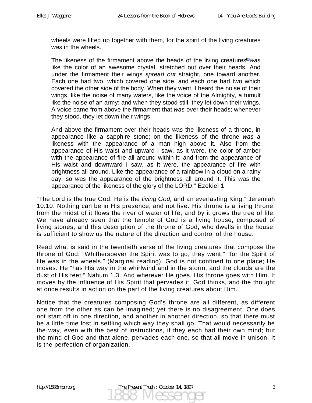wheels were lifted up together with them, for the spirit of the living creatures w*as* in the wheels.

The likeness of the firmament above the heads of the living creatures[e] *was* like the color of an awesome crystal, stretched out over their heads. And under the firmament their wings *spread out* straight, one toward another. Each one had two, which covered one side, and each one had two which covered the other side of the body. When they went, I heard the noise of their wings, like the noise of many waters, like the voice of the Almighty, a tumult like the noise of an army; and when they stood still, they let down their wings. A voice came from above the firmament that *was* over their heads; whenever they stood, they let down their wings.

And above the firmament over their heads *was* the likeness of a throne, in appearance like a sapphire stone; on the likeness of the throne *was* a likeness with the appearance of a man high above it. Also from the appearance of His waist and upward I saw, as it were, the color of amber with the appearance of fire all around within it; and from the appearance of His waist and downward I saw, as it were, the appearance of fire with brightness all around. Like the appearance of a rainbow in a cloud on a rainy day, so *was* the appearance of the brightness all around it. This *was* the appearance of the likeness of the glory of the LORD." Ezekiel 1

"The Lord is the true God, He is the *living God,* and an everlasting King." Jeremiah 10.10. Nothing can be in His presence, and not live. His throne is a living throne; from the midst of it flows the river of water of life, and by it grows the tree of life. We have already seen that the temple of God is a living house, composed of living stones, and this description of the throne of God, who dwells in the house, is sufficient to show us the nature of the direction and control of the house.

Read what is said in the twentieth verse of the living creatures that compose the throne of God: "Whithersoever the Spirit was to go, they went;" "for the Spirit of life was in the wheels." (Marginal reading). God is not confined to one place; He moves. He "has His way in the whirlwind and in the storm, and the clouds are the dust of His feet." Nahum 1.3. And wherever He goes, His throne goes with Him. It moves by the influence of His Spirit that pervades it. God thinks, and the thought at once results in action on the part of the living creatures about Him.

Notice that the creatures composing God's throne are all different, as different one from the other as can be imagined; yet there is no disagreement. One does not start off in one direction, and another in another direction, so that there must be a little time lost in settling which way they shall go. That would necessarily be the way, even with the best of instructions, if they each had their own mind; but the mind of God and that alone, pervades each one, so that all move in unison. It is the perfection of organization.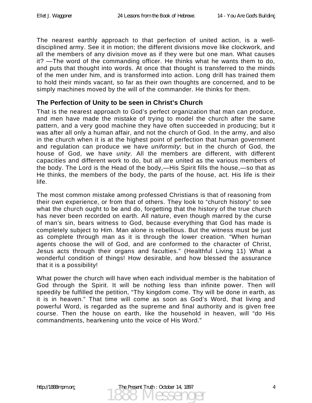The nearest earthly approach to that perfection of united action, is a welldisciplined army. See it in motion; the different divisions move like clockwork, and all the members of any division move as if they were but one man. What causes it? —The word of the commanding officer. He thinks what he wants them to do, and puts that thought into words. At once that thought is transferred to the minds of the men under him, and is transformed into action. Long drill has trained them to hold their minds vacant, so far as their own thoughts are concerned, and to be simply machines moved by the will of the commander. He thinks for them.

### **The Perfection of Unity to be seen in Christ's Church**

That is the nearest approach to God's perfect organization that man can produce, and men have made the mistake of trying to model the church after the same pattern, and a very good machine they have often succeeded in producing; but it was after all only a human affair, and not the church of God. In the army, and also in the church when it is at the highest point of perfection that human government and regulation can produce we have *uniformity*; but in the church of God, the house of God, we have *unity*. All the members are different, with different capacities and different work to do, but all are united as the various members of the body. The Lord is the Head of the body,—His Spirit fills the house,—so that as He thinks, the members of the body, the parts of the house, act. His life is their life.

The most common mistake among professed Christians is that of reasoning from their own experience, or from that of others. They look to "church history" to see what the church ought to be and do, forgetting that the history of the true church has never been recorded on earth. All nature, even though marred by the curse of man's sin, bears witness to God, because everything that God has made is completely subject to Him. Man alone is rebellious. But the witness must be just as complete through man as it is through the lower creation. "When human agents choose the will of God, and are conformed to the character of Christ, Jesus acts through their organs and faculties." (Healthful Living 11) What a wonderful condition of things! How desirable, and how blessed the assurance that it is a possibility!

What power the church will have when each individual member is the habitation of God through the Spirit. It will be nothing less than infinite power. Then will speedily be fulfilled the petition, "Thy kingdom come. Thy will be done in earth, as it is in heaven." That time will come as soon as God's Word, that living and powerful Word, is regarded as the supreme and final authority and is given free course. Then the house on earth, like the household in heaven, will "do His commandments, hearkening unto the voice of His Word."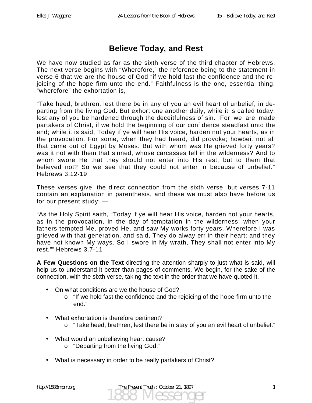## **Believe Today, and Rest**

We have now studied as far as the sixth verse of the third chapter of Hebrews. The next verse begins with "Wherefore," the reference being to the statement in verse 6 that we are the house of God "if we hold fast the confidence and the rejoicing of the hope firm unto the end." Faithfulness is the one, essential thing, "wherefore" the exhortation is,

"Take heed, brethren, lest there be in any of you an evil heart of unbelief, in departing from the living God. But exhort one another daily, while it is called today; lest any of you be hardened through the deceitfulness of sin. For we are made partakers of Christ, if we hold the beginning of our confidence steadfast unto the end; while it is said, Today if ye will hear His voice, harden not your hearts, as in the provocation. For some, when they had heard, did provoke; howbeit not all that came out of Egypt by Moses. But with whom was He grieved forty years? was it not with them that sinned, whose carcasses fell in the wilderness? And to whom swore He that they should not enter into His rest, but to them that believed not? So we see that they could not enter in because of unbelief." Hebrews 3.12-19

These verses give, the direct connection from the sixth verse, but verses 7-11 contain an explanation in parenthesis, and these we must also have before us for our present study: —

"As the Holy Spirit saith, "Today if ye will hear His voice, harden not your hearts, as in the provocation, in the day of temptation in the wilderness; when your fathers tempted Me, proved He, and saw My works forty years. Wherefore I was grieved with that generation, and said, They do alway err in their heart; and they have not known My ways. So I swore in My wrath, They shall not enter into My rest."" Hebrews 3.7-11

**A Few Questions on the Text** directing the attention sharply to just what is said, will help us to understand it better than pages of comments. We begin, for the sake of the connection, with the sixth verse, taking the text in the order that we have quoted it.

- On what conditions are we the house of God?
	- o "If we hold fast the confidence and the rejoicing of the hope firm unto the end."
- What exhortation is therefore pertinent?
	- o "Take heed, brethren, lest there be in stay of you an evil heart of unbelief."
- What would an unbelieving heart cause?
	- o "Departing from the living God."
- What is necessary in order to be really partakers of Christ?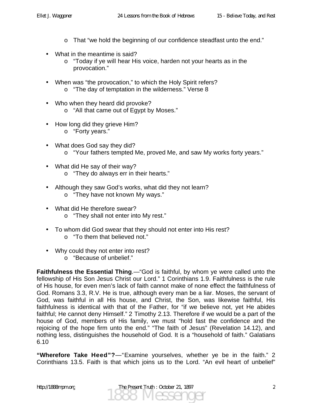- o That "we hold the beginning of our confidence steadfast unto the end."
- What in the meantime is said?
	- o "Today if ye will hear His voice, harden not your hearts as in the provocation."
- When was "the provocation," to which the Holy Spirit refers?
	- o "The day of temptation in the wilderness." Verse 8
- Who when they heard did provoke?
	- o "All that came out of Egypt by Moses."
- How long did they grieve Him?
	- o "Forty years."
- What does God say they did?
	- o "Your fathers tempted Me, proved Me, and saw My works forty years."
- What did He say of their way?
	- o "They do always err in their hearts."
- Although they saw God's works, what did they not learn? o "They have not known My ways."
- What did He therefore swear?
	- o "They shall not enter into My rest."
- To whom did God swear that they should not enter into His rest?
	- o "To them that believed not."
- Why could they not enter into rest?
	- o "Because of unbelief."

**Faithfulness the Essential Thing**.—"God is faithful, by whom ye were called unto the fellowship of His Son Jesus Christ our Lord." 1 Corinthians 1.9. Faithfulness is the rule of His house, for even men's lack of faith cannot make of none effect the faithfulness of God. Romans 3.3, R.V. He is true, although every man be a liar. Moses, the servant of God, was faithful in all His house, and Christ, the Son, was likewise faithful, His faithfulness is identical with that of the Father, for "if we believe not, yet He abides faithful; He cannot deny Himself." 2 Timothy 2.13. Therefore if we would be a part of the house of God, members of His family, we must "hold fast the confidence and the rejoicing of the hope firm unto the end." "The faith of Jesus" (Revelation 14.12), and nothing less, distinguishes the household of God. It is a "household of faith." Galatians 6.10

**"Wherefore Take Heed"?**—"Examine yourselves, whether ye be in the faith." 2 Corinthians 13.5. Faith is that which joins us to the Lord. "An evil heart of unbelief"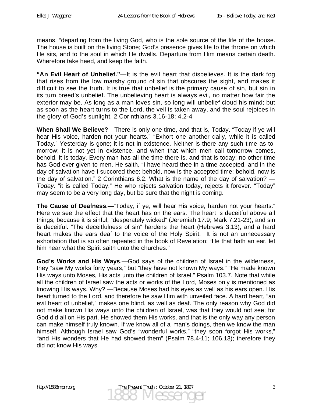means, "departing from the living God, who is the sole source of the life of the house. The house is built on the living Stone; God's presence gives life to the throne on which He sits, and to the soul in which He dwells. Departure from Him means certain death. Wherefore take heed, and keep the faith.

**"An Evil Heart of Unbelief."**—It is the evil heart that disbelieves. It is the dark fog that rises from the low marshy ground of sin that obscures the sight, and makes it difficult to see the truth. It is true that unbelief is the primary cause of sin, but sin in its turn breed's unbelief. The unbelieving heart is always evil, no matter how fair the exterior may be. As long as a man loves sin, so long will unbelief cloud his mind; but as soon as the heart turns to the Lord, the veil is taken away, and the soul rejoices in the glory of God's sunlight. 2 Corinthians 3.16-18; 4.2-4

**When Shall We Believe?**—There is only one time, and that is, Today. "Today if ye will hear His voice, harden not your hearts." "Exhort one another daily, while it is called Today." Yesterday is gone; it is not in existence. Neither is there any such time as tomorrow; it is not yet in existence, and when that which men call tomorrow comes, behold, it is today. Every man has all the time there is, and that is today; no other time has God ever given to men. He saith, "I have heard thee in a time accepted, and in the day of salvation have I succored thee; behold, now is the accepted time; behold, now is the day of salvation." 2 Corinthians 6.2. What is the name of the day of salvation? — *Today;* "it is called Today." He who rejects salvation today, rejects it forever. "Today" may seem to be a very long day, but be sure that the night is coming.

**The Cause of Deafness**.—"Today, if ye, will hear His voice, harden not your hearts." Here we see the effect that the heart has on the ears. The heart is deceitful above all things, because it is sinful, "desperately wicked" (Jeremiah 17.9; Mark 7.21-23), and sin is deceitful. "The deceitfulness of sin" hardens the heart (Hebrews 3.13), and a hard heart makes the ears deaf to the voice of the Holy Spirit. It is not an unnecessary exhortation that is so often repeated in the book of Revelation: "He that hath an ear, let him hear what the Spirit saith unto the churches."

**God's Works and His Ways**.—God says of the children of Israel in the wilderness, they "saw My works forty years," but "they have not known My ways." "He made known His ways unto Moses, His acts unto the children of Israel." Psalm 103.7. Note that while all the children of Israel saw the acts or works of the Lord, Moses only is mentioned as knowing His ways. Why? —Because Moses had his eyes as well as his ears open. His heart turned to the Lord, and therefore he saw Him with unveiled face. A hard heart, "an evil heart of unbelief," makes one blind, as well as deaf. The only reason why God did not make known His ways unto the children of Israel, was that they would not see; for God did all on His part. He showed them His works, and that is the only way any person can make himself truly known. If we know all of a man's doings, then we know the man himself. Although Israel saw God's "wonderful works," "they soon forgot His works," "and His wonders that He had showed them" (Psalm 78.4-11; 106.13); therefore they did not know His ways.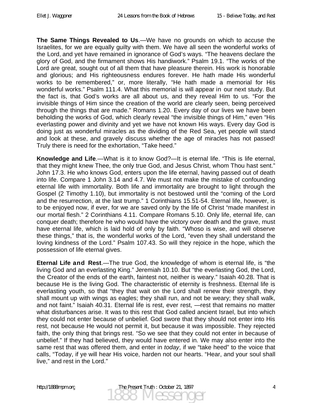**The Same Things Revealed to Us**.—We have no grounds on which to accuse the Israelites, for we are equally guilty with them. We have all seen the wonderful works of the Lord, and yet have remained in ignorance of God's ways. "The heavens declare the glory of God, and the firmament shows His handiwork." Psalm 19.1. "The works of the Lord are great, sought out of all them that have pleasure therein. His work is honorable and glorious; and His righteousness endures forever. He hath made His wonderful works to be remembered," or, more literally, "He hath made a memorial for His wonderful works." Psalm 111.4. What this memorial is will appear in our next study. But the fact is, that God's works are all about us, and they reveal Him to us. "For the invisible things of Him since the creation of the world are clearly seen, being perceived through the things that are made." Romans 1.20. Every day of our lives we have been beholding the works of God, which clearly reveal "the invisible things of Him," even "His everlasting power and divinity and yet we have not known His ways. Every day God is doing just as wonderful miracles as the dividing of the Red Sea, yet people will stand and look at these, and gravely discuss whether the age of miracles has not passed! Truly there is need for the exhortation, "Take heed."

**Knowledge and Life**.—What is it to know God?—It is eternal life. "This is life eternal, that they might knew Thee, the only true God, and Jesus Christ, whom Thou hast sent." John 17.3. He who knows God, enters upon the life eternal, having passed out of death into life. Compare 1 John 3.14 and 4.7. We must not make the mistake of confounding eternal life with immortality. Both life and immortality are brought to light through the Gospel (2 Timothy 1.10), but immortality is not bestowed until the "coming of the Lord and the resurrection, at the last trump." 1 Corinthians 15.51-54. Eternal life, however, is to be enjoyed now, if ever, for we are saved only by the life of Christ "made manifest in our mortal flesh." 2 Corinthians 4.11. Compare Romans 5.10. Only life, eternal life, can conquer death; therefore he who would have the victory over death and the grave, must have eternal life, which is laid hold of only by faith. "Whoso is wise, and will observe these things," that is, the wonderful works of the Lord, "even they shall understand the loving kindness of the Lord." Psalm 107.43. So will they rejoice in the hope, which the possession of life eternal gives.

**Eternal Life and Rest**.—The true God, the knowledge of whom is eternal life, is "the living God and an everlasting King." Jeremiah 10.10. But "the everlasting God, the Lord, the Creator of the ends of the earth, faintest not, neither is weary." Isaiah 40.28. That is because He is the living God. The characteristic of eternity is freshness. Eternal life is everlasting youth, so that "they that wait on the Lord shall renew their strength, they shall mount up with wings as eagles; they shall run, and not be weary; they shall walk, and not faint." Isaiah 40.31. Eternal life is rest, ever rest, —rest that remains no matter what disturbances arise. It was to this rest that God called ancient Israel, but into which they could not enter because of unbelief. God swore that they should not enter into His rest, not because He would not permit it, but because it was impossible. They rejected faith, the only thing that brings rest. "So we see that they could not enter in because of unbelief." If they had believed, they would have entered in. We may also enter into the same rest that was offered them, and enter in *today*, if we "take heed" to the voice that calls, "Today, if ye will hear His voice, harden not our hearts. "Hear, and your soul shall live," and rest in the Lord."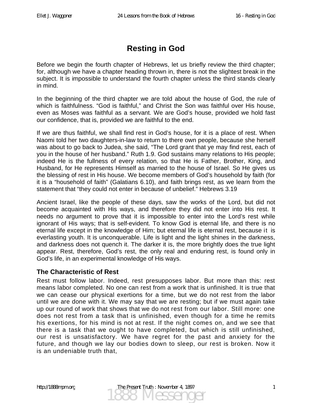# **Resting in God**

Before we begin the fourth chapter of Hebrews, let us briefly review the third chapter; for, although we have a chapter heading thrown in, there is not the slightest break in the subject. It is impossible to understand the fourth chapter unless the third stands clearly in mind.

In the beginning of the third chapter we are told about the house of God, the rule of which is faithfulness. "God is faithful," and Christ the Son was faithful over His house, even as Moses was faithful as a servant. We are God's house, provided we hold fast our confidence, that is, provided we are faithful to the end.

If we are thus faithful, we shall find rest in God's house, for it is a place of rest. When Naomi told her two daughters-in-law to return to there own people, because she herself was about to go back to Judea, she said, "The Lord grant that ye may find rest, each of you in the house of her husband." Ruth 1.9. God sustains many relations to His people; indeed He is the fullness of every relation, so that He is Father, Brother, King, and Husband, for He represents Himself as married to the house of Israel. So He gives us the blessing of rest in His house. We become members of God's household by faith (for it is a "household of faith" (Galatians 6.10), and faith brings rest, as we learn from the statement that "they could not enter in because of unbelief." Hebrews 3.19

Ancient Israel, like the people of these days, saw the works of the Lord, but did not become acquainted with His ways, and therefore they did not enter into His rest. It needs no argument to prove that it is impossible to enter into the Lord's rest while ignorant of His ways; that is self-evident. To know God is eternal life, and there is no eternal life except in the knowledge of Him; but eternal life is eternal rest, because it is everlasting youth. It is unconquerable. Life is light and the light shines in the darkness, and darkness does not quench it. The darker it is, the more brightly does the true light appear. Rest, therefore, God's rest, the only real and enduring rest, is found only in God's life, in an experimental knowledge of His ways.

### **The Characteristic of Rest**

Rest must follow labor. Indeed, rest presupposes labor. But more than this: rest means labor completed. No one can rest from a work that is unfinished. It is true that we can cease our physical exertions for a time, but we do not rest from the labor until we are done with it. We may say that we are resting; but if we must again take up our round of work that shows that we do not rest from our labor. Still more: one does not rest from a task that is unfinished, even though for a time he remits his exertions, for his mind is not at rest. If the night comes on, and we see that there is a task that we ought to have completed, but which is still unfinished, our rest is unsatisfactory. We have regret for the past and anxiety for the future, and though we lay our bodies down to sleep, our rest is broken. Now it is an undeniable truth that,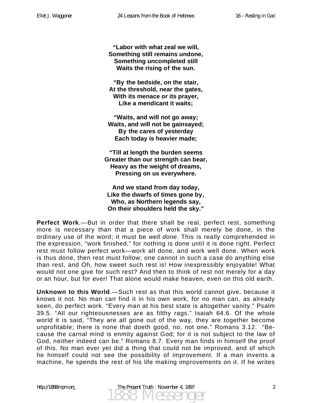**"Labor with what zeal we will, Something still remains undone, Something uncompleted still Waits the rising of the sun.** 

**"By the bedside, on the stair, At the threshold, near the gates, With its menace or its prayer, Like a mendicant it waits;** 

**"Waits, and will not go away; Waits, and will not be gainsayed; By the cares of yesterday Each today is heavier made;** 

**"Till at length the burden seems Greater than our strength can bear, Heavy as the weight of dreams, Pressing on us everywhere.** 

**And we stand from day today, Like the dwarfs of times gone by, Who, as Northern legends say, On their shoulders held the sky."** 

**Perfect Work**.—But in order that there shall be real, perfect rest, something more is necessary than that a piece of work shall merely be done, in the ordinary use of the word; it must be *well done*. This is really comprehended in the expression, "work finished," for nothing is done until it is done right. Perfect rest must follow perfect work—work all done, and work well done. When work is thus done, then rest must follow; one cannot in such a case do anything else than rest, and Oh, how sweet such rest is! How inexpressibly enjoyable! What would not one give for such rest? And then to think of rest not merely for a day or an hour, but for ever! That alone would make heaven, even on this old earth.

**Unknown to this World**.—Such rest as that this world cannot give, because it knows it not. No man can find it in his own work, for no man can, as already seen, do perfect work. "Every man at his best state is altogether vanity." Psalm 39.5. "All our righteousnesses are as filthy rags." Isaiah 64.6. Of the whole world it is said, "They are all gone out of the way, they are together become unprofitable; there is none that doeth good, no, not one." Romans 3.12. "Because the carnal mind is enmity against God; for it is not subject to the law of God, neither indeed can be." Romans 8.7. Every man finds in himself the proof of this. No man ever yet did a thing that could not be improved, and of which he himself could not see the possibility of improvement. If a man invents a machine, he spends the rest of his life making improvements on it. If he writes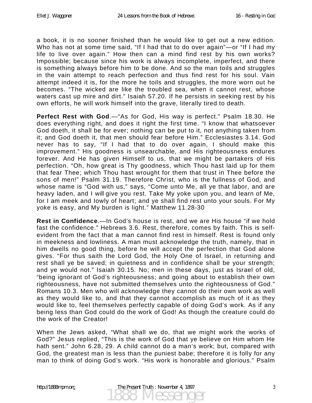a book, it is no sooner finished than he would like to get out a new edition. Who has not at some time said, "If I had that to do over again"—or "If I had my life to live over again." How then can a mind find rest by his own works? Impossible; because since his work is always incomplete, imperfect, and there is something always before him to be done. And so the man toils and struggles in the vain attempt to reach perfection and thus find rest for his soul. Vain attempt indeed it is, for the more he toils and struggles, the more worn out he becomes. "The wicked are like the troubled sea, when it cannot rest, whose waters cast up mire and dirt." Isaiah 57.20. If he persists in seeking rest by his own efforts, he will work himself into the grave, literally tired to death.

**Perfect Rest with God**.—"As for God, His way is perfect." Psalm 18.30. He does everything right, and does it right the first time. "I know that whatsoever God doeth, it shall be for ever; nothing can be put to it, not anything taken from it; and God doeth it, that men should fear before Him." Ecclesiastes 3.14. God never has to say, "If I had that to do over again, I should make this improvement." His goodness is unsearchable, and His righteousness endures forever. And He has given Himself to us, that we might be partakers of His perfection. "Oh, how great is Thy goodness, which Thou hast laid up for them that fear Thee; which Thou hast wrought for them that trust in Thee before the sons of men!" Psalm 31.19. Therefore Christ, who is the fullness of God, and whose name is "God with us," says, "Come unto Me, all ye that labor, and are heavy laden, and I will give you rest. Take My yoke upon you, and learn of Me, for I am meek and Iowly of heart; and ye shall find rest unto your souls. For My yoke is easy, and My burden is light." Matthew 11.28-30

**Rest in Confidence**.—In God's house is rest, and we are His house "if we hold fast the confidence." Hebrews 3.6. Rest, therefore, comes by faith. This is selfevident from the fact that a man cannot find rest in himself. Rest is found only in meekness and lowliness. A man must acknowledge the truth, namely, that in him dwells no good thing, before he will accept the perfection that God alone gives. "For thus saith the Lord God, the Holy One of Israel, in returning and rest shall ye be saved; in quietness and in confidence shall be your strength; and ye would not." Isaiah 30.15. No; men in these days, just as Israel of old, "being ignorant of God's righteousness; and going about to establish their own righteousness, have not submitted themselves unto the righteousness of God." Romans 10.3. Men who will acknowledge they cannot do their own work as well as they would like to, and that they cannot accomplish as much of it as they would like to, feel themselves perfectly capable of doing God's work. As if any being less than God could do the work of God! As though the creature could do the work of the Creator!

When the Jews asked, "What shall we do, that we might work the works of God?" Jesus replied, "This is the work of God that ye believe on Him whom He hath sent." John 6.28, 29. A child cannot do a man's work; but, compared with God, the greatest man is less than the puniest babe; therefore it is folly for any man to think of doing God's work. "His work is honorable and glorious." Psalm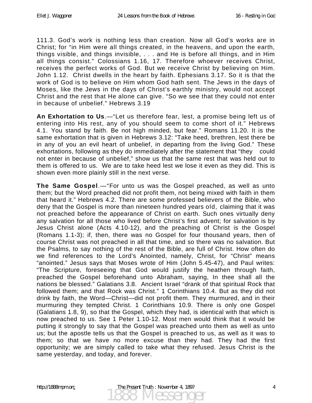111.3. God's work is nothing less than creation. Now all God's works are in Christ; for "in Him were all things created, in the heavens, and upon the earth, things visible, and things invisible, . . . and He is before all things, and in Him all things consist." Colossians 1.16, 17. Therefore whoever receives Christ, receives the perfect works of God. But we receive Christ by believing on Him. John 1.12. Christ dwells in the heart by faith. Ephesians 3.17. So it is that the work of God is to believe on Him whom God hath sent. The Jews in the days of Moses, like the Jews in the days of Christ's earthly ministry, would not accept Christ and the rest that He alone can give. "So we see that they could not enter in because of unbelief." Hebrews 3.19

**An Exhortation to Us**.—"Let us therefore fear, lest, a promise being left us of entering into His rest, any of you should seem to come short of it." Hebrews 4.1. You stand by faith. Be not high minded, but fear." Romans 11.20. It is the same exhortation that is given in Hebrews 3.12: "Take heed, brethren, lest there be in any of you an evil heart of unbelief, in departing from the living God." These exhortations, following as they do immediately after the statement that "they could not enter in because of unbelief," show us that the same rest that was held out to them is offered to us. We are to take heed lest we lose it even as they did. This is shown even more plainly still in the next verse.

**The Same Gospel**.—"For unto us was the Gospel preached, as well as unto them; but the Word preached did not profit them, not being mixed with faith in them that heard it." Hebrews 4.2. There are some professed believers of the Bible, who deny that the Gospel is more than nineteen hundred years old, claiming that it was not preached before the appearance of Christ on earth. Such ones virtually deny any salvation for all those who lived before Christ's first advent; for salvation is by Jesus Christ alone (Acts 4.10-12), and the preaching of Christ is the Gospel (Romans 1.1-3); if, then, there was no Gospel for four thousand years, then of course Christ was not preached in all that time, and so there was no salvation. But the Psalms, to say nothing of the rest of the Bible, are full of Christ. How often do we find references to the Lord's Anointed, namely, Christ, for "Christ" means "anointed." Jesus says that Moses wrote of Him (John 5.45-47), and Paul writes: "The Scripture, foreseeing that God would justify the heathen through faith, preached the Gospel beforehand unto Abraham, saying, In thee shall all the nations be blessed." Galatians 3.8. Ancient Israel "drank of that spiritual Rock that followed them; and that Rock was Christ." 1 Corinthians 10.4. But as they did not drink by faith, the Word—Christ—did not profit them. They murmured, and in their murmuring they tempted Christ. 1 Corinthians 10.9. There is only one Gospel (Galatians 1.8, 9), so that the Gospel, which they had, is identical with that which is now preached to us. See 1 Peter 1.10-12. Most men would think that it would be putting it strongly to say that the Gospel was preached unto them as well as unto us; but the apostle tells us that the Gospel is preached to us, as well as it was to them; so that we have no more excuse than they had. They had the first opportunity; we are simply called to take what they refused. Jesus Christ is the same yesterday, and today, and forever.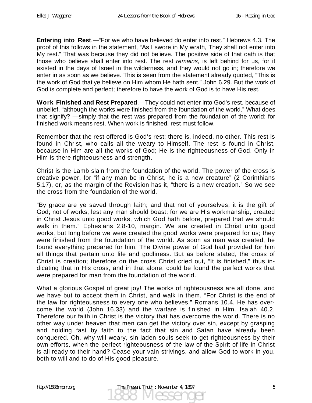**Entering into Rest**.—"For we who have believed do enter into rest." Hebrews 4.3. The proof of this follows in the statement, "As I swore in My wrath, They shall not enter into My rest." That was because they did not believe. The positive side of that oath is that those who believe shall enter into rest. The rest *remains*, is left behind for us, for it existed in the days of Israel in the wilderness, and they would not go in; therefore we enter in as soon as we believe. This is seen from the statement already quoted, "This is the work of God that ye believe on Him whom He hath sent." John 6.29. But the work of God is complete and perfect; therefore to have the work of God is to have His rest.

**Work Finished and Rest Prepared**.—They could not enter into God's rest, because of unbelief, "although the works were finished from the foundation of the world." What does that signify? —simply that the rest was prepared from the foundation of the world; for finished work means rest. When work is finished, rest must follow.

Remember that the rest offered is God's rest; there is, indeed, no other. This rest is found in Christ, who calls all the weary to Himself. The rest is found in Christ, because in Him are all the works of God; He is the righteousness of God. Only in Him is there righteousness and strength.

Christ is the Lamb slain from the foundation of the world. The power of the cross is creative power, for "if any man be in Christ, he is a new creature" (2 Corinthians 5.17), or, as the margin of the Revision has it, "there is a new creation." So we see the cross from the foundation of the world.

"By grace are ye saved through faith; and that not of yourselves; it is the gift of God; not of works, lest any man should boast; for we are His workmanship, created in Christ Jesus unto good works, which God hath before, prepared that we should walk in them." Ephesians 2.8-10, margin. We are created in Christ unto good works, but long before we were created the good works were prepared for us; they were finished from the foundation of the world. As soon as man was created, he found everything prepared for him. The Divine power of God had provided for him all things that pertain unto life and godliness. But as before stated, the cross of Christ is creation; therefore on the cross Christ cried out, "It is finished," thus indicating that in His cross, and in that alone, could be found the perfect works that were prepared for man from the foundation of the world.

What a glorious Gospel of great joy! The works of righteousness are all done, and we have but to accept them in Christ, and walk in them. "For Christ is the end of the law for righteousness to every one who believes." Romans 10.4. He has overcome the world (John 16.33) and the warfare is finished in Him. Isaiah 40.2. Therefore our faith in Christ is the victory that has overcome the world. There is no other way under heaven that men can get the victory over sin, except by grasping and holding fast by faith to the fact that sin and Satan have already been conquered. Oh, why will weary, sin-laden souls seek to get righteousness by their own efforts, when the perfect righteousness of the law of the Spirit of life in Christ is all ready to their hand? Cease your vain strivings, and allow God to work in you, both to will and to do of His good pleasure.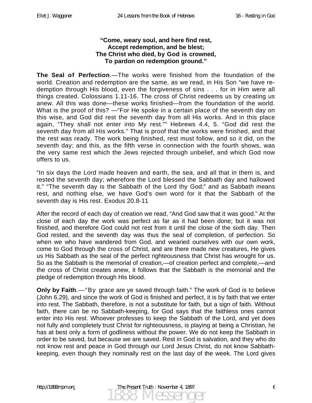#### **"Come, weary soul, and here find rest, Accept redemption, and be blest; The Christ who died, by God is crowned, To pardon on redemption ground."**

**The Seal of Perfection**.—The works were finished from the foundation of the world. Creation and redemption are the same, as we read, in His Son "we have redemption through His blood, even the forgiveness of sins . . . for in Him were all things created. Colossians 1.11-16. The cross of Christ redeems us by creating us anew. All this was done—these works finished—from the foundation of the world. What is the proof of this? —"For He spoke in a certain place of the seventh day on this wise, and God did rest the seventh day from all His works. And in this place again, "They shall not enter into My rest."" Hebrews 4.4, 5. "God did rest the seventh day from all His works." That is proof that the works were finished, and that the rest was ready. The work being finished, rest must follow, and so it did, on the seventh day; and this, as the fifth verse in connection with the fourth shows, was the very same rest which the Jews rejected through unbelief, and which God now offers to us.

"In six days the Lord made heaven and earth, the sea, and all that in them is, and rested the seventh day; wherefore the Lord blessed the Sabbath day and hallowed it." "The seventh day is the Sabbath of the Lord thy God;" and as Sabbath means rest, and nothing else, we have God's own word for it that the Sabbath of the seventh day is His rest. Exodus 20.8-11

After the record of each day of creation we read, "And God saw that it was good." At the close of each day the work was perfect as far as it had been done; but it was not finished, and therefore God could not rest from it until the close of the sixth day. Then God rested, and the seventh day was thus the seal of completion, of perfection. So when we who have wandered from God, and wearied ourselves with our own work, come to God through the cross of Christ, and are there made new creatures, He gives us His Sabbath as the seal of the perfect righteousness that Christ has wrought for us. So as the Sabbath is the memorial of creation,—of creation perfect and complete,—and the cross of Christ creates anew, it follows that the Sabbath is the memorial and the pledge of redemption through His blood.

**Only by Faith**.—"By grace are ye saved through faith." The work of God is to believe (John 6.29), and since the work of God is finished and perfect, it is by faith that we enter into rest. The Sabbath, therefore, is not a substitute for faith, but a sign of faith. Without faith, there can be no Sabbath-keeping, for God says that the faithless ones cannot enter into His rest. Whoever professes to keep the Sabbath of the Lord, and yet does not fully and completely trust Christ for righteousness, is playing at being a Christian, he has at best only a form of godliness without the power. We do not keep the Sabbath in order to be saved, but because we are saved. Rest in God is salvation, and they who do not know rest and peace in God through our Lord Jesus Christ, do not know Sabbathkeeping, even though they nominally rest on the last day of the week. The Lord gives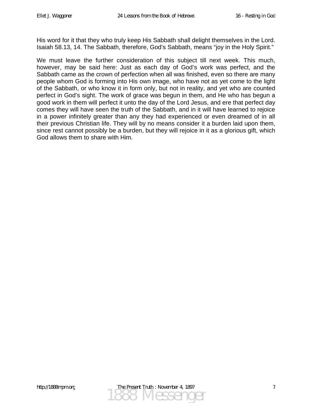His word for it that they who truly keep His Sabbath shall delight themselves in the Lord. Isaiah 58.13, 14. The Sabbath, therefore, God's Sabbath, means "joy in the Holy Spirit."

We must leave the further consideration of this subject till next week. This much, however, may be said here: Just as each day of God's work was perfect, and the Sabbath came as the crown of perfection when all was finished, even so there are many people whom God is forming into His own image, who have not as yet come to the light of the Sabbath, or who know it in form only, but not in reality, and yet who are counted perfect in God's sight. The work of grace was begun in them, and He who has begun a good work in them will perfect it unto the day of the Lord Jesus, and ere that perfect day comes they will have seen the truth of the Sabbath, and in it will have learned to rejoice in a power infinitely greater than any they had experienced or even dreamed of in all their previous Christian life. They will by no means consider it a burden laid upon them, since rest cannot possibly be a burden, but they will rejoice in it as a glorious gift, which God allows them to share with Him.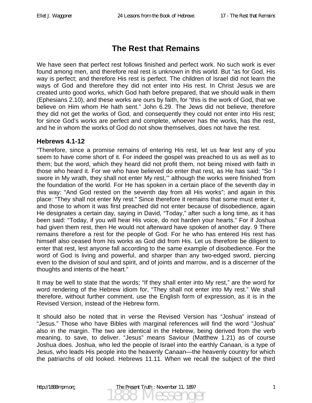## **The Rest that Remains**

We have seen that perfect rest follows finished and perfect work. No such work is ever found among men, and therefore real rest is unknown in this world. But "as for God, His way is perfect; and therefore His rest is perfect. The children of Israel did not learn the ways of God and therefore they did not enter into His rest. In Christ Jesus we are created unto good works, which God hath before prepared, that we should walk in them (Ephesians 2.10), and these works are ours by faith, for "this is the work of God, that we believe on Him whom He hath sent." John 6.29. The Jews did not believe, therefore they did not get the works of God, and consequently they could not enter into His rest; for since God's works are perfect and complete, whoever has the works, has the rest, and he in whom the works of God do not show themselves, does not have the rest.

#### **Hebrews 4.1-12**

"Therefore, since a promise remains of entering His rest, let us fear lest any of you seem to have come short of it. For indeed the gospel was preached to us as well as to them; but the word, which they heard did not profit them, not being mixed with faith in those who heard it. For we who have believed do enter that rest, as He has said: "So I swore in My wrath, they shall not enter My rest," although the works were finished from the foundation of the world. For He has spoken in a certain place of the seventh day in this way: "And God rested on the seventh day from all His works"; and again in this place: "They shall not enter My rest." Since therefore it remains that some must enter it, and those to whom it was first preached did not enter because of disobedience, again He designates a certain day, saying in David, "Today," after such a long time, as it has been said: "Today, if you will hear His voice, do not harden your hearts." For if Joshua had given them rest, then He would not afterward have spoken of another day. 9 There remains therefore a rest for the people of God. For he who has entered His rest has himself also ceased from his works as God did from His. Let us therefore be diligent to enter that rest, lest anyone fall according to the same example of disobedience. For the word of God is living and powerful, and sharper than any two-edged sword, piercing even to the division of soul and spirit, and of joints and marrow, and is a discerner of the thoughts and intents of the heart."

It may be well to state that the words; "If they shall enter into My rest," are the word for word rendering of the Hebrew idiom for, "They shall not enter into My rest." We shall therefore, without further comment, use the English form of expression, as it is in the Revised Version, instead of the Hebrew form.

It should also be noted that in verse the Revised Version has "Joshua" instead of "Jesus." Those who have Bibles with marginal references will find the word "Joshua" also in the margin. The two are identical in the Hebrew, being derived from the verb meaning, to save, to deliver. "Jesus" means Saviour (Matthew 1.21) as of course Joshua does. Joshua, who led the people of Israel into the earthly Canaan, is a type of Jesus, who leads His people into the heavenly Canaan—the heavenly country for which the patriarchs of old looked. Hebrews 11.11. When we recall the subject of the third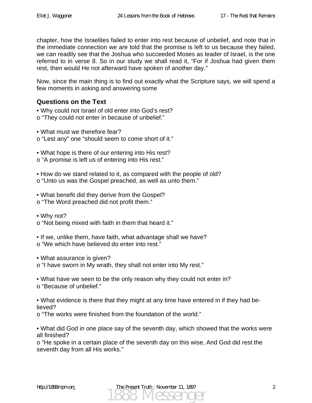chapter, how the Israelites failed to enter into rest because of unbelief, and note that in the immediate connection we are told that the promise is left to us because they failed, we can readily see that the Joshua who succeeded Moses as leader of Israel, is the one referred to in verse 8. So in our study we shall read it, "For if Joshua had given them rest, then would He not afterward have spoken of another day."

Now, since the main thing is to find out exactly what the Scripture says, we will spend a few moments in asking and answering some

### **Questions on the Text**

• Why could not Israel of old enter into God's rest?

o "They could not enter in because of unbelief."

• What must we therefore fear?

o "Lest any" one "should seem to come short of it."

• What hope is there of our entering into His rest? o "A promise is left us of entering into His rest."

• How do we stand related to it, as compared with the people of old? o "Unto us was the Gospel preached, as well as unto them."

• What benefit did they derive from the Gospel?

o "The Word preached did not profit them."

• Why not? o "Not being mixed with faith in them that heard it."

• If we, unlike them, have faith, what advantage shall we have? o "We which have believed do enter into rest."

• What assurance is given?

o "I have sworn in My wrath, they shall not enter into My rest."

• What have we seen to be the only reason why they could not enter in? o "Because of unbelief."

• What evidence is there that they might at any time have entered in if they had believed?

o "The works were finished from the foundation of the world."

• What did God in one place say of the seventh day, which showed that the works were all finished?

o "He spoke in a certain place of the seventh day on this wise, And God did rest the seventh day from all His works."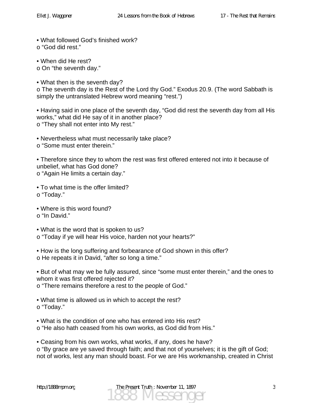• What followed God's finished work? o "God did rest."

• When did He rest?

o On "the seventh day."

• What then is the seventh day?

o The seventh day is the Rest of the Lord thy God." Exodus 20.9. (The word Sabbath is simply the untranslated Hebrew word meaning "rest.")

• Having said in one place of the seventh day, "God did rest the seventh day from all His works," what did He say of it in another place? o "They shall not enter into My rest."

• Nevertheless what must necessarily take place? o "Some must enter therein."

• Therefore since they to whom the rest was first offered entered not into it because of unbelief, what has God done? o "Again He limits a certain day."

• To what time is the offer limited? o "Today."

• Where is this word found? o "In David."

• What is the word that is spoken to us? o "Today if ye will hear His voice, harden not your hearts?"

• How is the long suffering and forbearance of God shown in this offer? o He repeats it in David, "after so long a time."

• But of what may we be fully assured, since "some must enter therein," and the ones to whom it was first offered rejected it? o "There remains therefore a rest to the people of God."

• What time is allowed us in which to accept the rest? o "Today."

• What is the condition of one who has entered into His rest?

o "He also hath ceased from his own works, as God did from His."

• Ceasing from his own works, what works, if any, does he have? o "By grace are ye saved through faith; and that not of yourselves; it is the gift of God; not of works, lest any man should boast. For we are His workmanship, created in Christ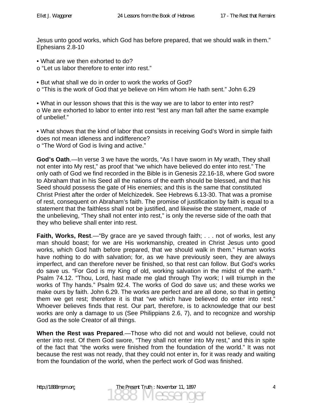Jesus unto good works, which God has before prepared, that we should walk in them." Ephesians 2.8-10

• What are we then exhorted to do?

o "Let us labor therefore to enter into rest."

• But what shall we do in order to work the works of God?

o "This is the work of God that ye believe on Him whom He hath sent." John 6.29

• What in our lesson shows that this is the way we are to labor to enter into rest? o We are exhorted to labor to enter into rest "lest any man fall after the same example of unbelief."

• What shows that the kind of labor that consists in receiving God's Word in simple faith does not mean idleness and indifference? o "The Word of God is living and active."

**God's Oath**.—In verse 3 we have the words, "As I have sworn in My wrath, They shall not enter into My rest," as proof that "we which have believed do enter into rest." The only oath of God we find recorded in the Bible is in Genesis 22.16-18, where God swore to Abraham that in his Seed all the nations of the earth should be blessed, and that his Seed should possess the gate of His enemies; and this is the same that constituted Christ Priest after the order of Melchizedek. See Hebrews 6.13-30. That was a promise of rest, consequent on Abraham's faith. The promise of justification by faith is equal to a statement that the faithless shall not be justified, and likewise the statement, made of the unbelieving, "They shall not enter into rest," is only the reverse side of the oath that they who believe shall enter into rest.

**Faith, Works, Rest.**— "By grace are ye saved through faith; . . . not of works, lest any man should boast; for we are His workmanship, created in Christ Jesus unto good works, which God hath before prepared, that we should walk in them." Human works have nothing to do with salvation; for, as we have previously seen, they are always imperfect, and can therefore never be finished, so that rest can follow. But God's works do save us. "For God is my King of old, working salvation in the midst of the earth." Psalm 74.12. "Thou, Lord, hast made me glad through Thy work; I will triumph in the works of Thy hands." Psalm 92.4. The works of God do save us; and these works we make ours by faith. John 6.29. The works are perfect and are all done, so that in getting them we get rest; therefore it is that "we which have believed do enter into rest." Whoever believes finds that rest. Our part, therefore, is to acknowledge that our best works are only a damage to us (See Philippians 2.6, 7), and to recognize and worship God as the sole Creator of all things.

**When the Rest was Prepared**.—Those who did not and would not believe, could not enter into rest. Of them God swore, "They shall not enter into My rest," and this in spite of the fact that "the works were finished from the foundation of the world." It was not because the rest was not ready, that they could not enter in, for it was ready and waiting from the foundation of the world, when the perfect work of God was finished.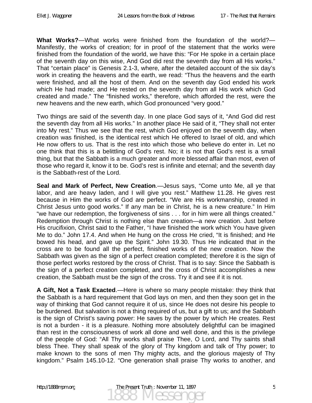**What Works?**—What works were finished from the foundation of the world?— Manifestly, the works of creation; for in proof of the statement that the works were finished from the foundation of the world, we have this: "For He spoke in a certain place of the seventh day on this wise, And God did rest the seventh day from all His works." That "certain place" is Genesis 2.1-3, where, after the detailed account of the six day's work in creating the heavens and the earth, we read: "Thus the heavens and the earth were finished, and all the host of them. And on the seventh day God ended his work which He had made; and He rested on the seventh day from all His work which God created and made." The "finished works," therefore, which afforded the rest, were the new heavens and the new earth, which God pronounced "very good."

Two things are said of the seventh day. In one place God says of it, "And God did rest the seventh day from all His works." In another place He said of it, "They shall not enter into My rest." Thus we see that the rest, which God enjoyed on the seventh day, when creation was finished, is the identical rest which He offered to Israel of old, and which He now offers to us. That is the rest into which those who believe do enter in. Let no one think that this is a belittling of God's rest. No; it is not that God's rest is a small thing, but that the Sabbath is a much greater and more blessed affair than most, even of those who regard it, know it to be. God's rest is infinite and eternal; and the seventh day is the Sabbath-rest of the Lord.

**Seal and Mark of Perfect, New Creation**.—Jesus says, "Come unto Me, all ye that labor, and are heavy laden, and I will give you rest." Matthew 11.28. He gives rest because in Him the works of God are perfect. "We are His workmanship, created in Christ Jesus unto good works." If any man be in Christ, he is a new creature." In Him "we have our redemption, the forgiveness of sins . . . for in him were all things created." Redemption through Christ is nothing else than creation—a new creation. Just before His crucifixion, Christ said to the Father, "I have finished the work which You have given Me to do." John 17.4. And when He hung on the cross He cried, "It is finished; and He bowed his head, and gave up the Spirit." John 19.30. Thus He indicated that in the cross are to be found all the perfect, finished works of the new creation. Now the Sabbath was given as the sign of a perfect creation completed; therefore it is the sign of those perfect works restored by the cross of Christ. That is to say: Since the Sabbath is the sign of a perfect creation completed, and the cross of Christ accomplishes a new creation, the Sabbath must be the sign of the cross. Try it and see if it is not.

**A Gift, Not a Task Exacted**.—Here is where so many people mistake: they think that the Sabbath is a hard requirement that God lays on men, and then they soon get in the way of thinking that God cannot require it of us, since He does not desire his people to be burdened. But salvation is not a thing required of us, but a gift to us; and the Sabbath is the sign of Christ's saving power: He saves by the power by which He creates. Rest is not a burden - it is a pleasure. Nothing more absolutely delightful can be imagined than rest in the consciousness of work all done and well done, and this is the privilege of the people of God: "All Thy works shall praise Thee, O Lord, and Thy saints shall bless Thee. They shall speak of the glory of Thy kingdom and talk of Thy power; to make known to the sons of men Thy mighty acts, and the glorious majesty of Thy kingdom." Psalm 145.10-12. "One generation shall praise Thy works to another, and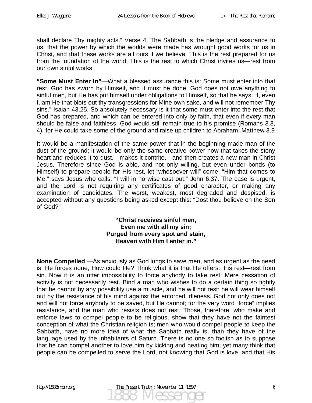shall declare Thy mighty acts." Verse 4. The Sabbath is the pledge and assurance to us, that the power by which the worlds were made has wrought good works for us in Christ, and that these works are all ours if we believe. This is the rest prepared for us from the foundation of the world. This is the rest to which Christ invites us—rest from our own sinful works.

**"Some Must Enter In"**—What a blessed assurance this is: Some must enter into that rest. God has sworn by Himself, and it must be done. God does not owe anything to sinful men, but He has put himself under obligations to Himself, so that he says: "I, even I, am He that blots out thy transgressions for Mine own sake, and will not remember Thy sins." Isaiah 43.25. So absolutely necessary is it that some must enter into the rest that God has prepared, and which can be entered into only by faith, that even if every man should be false and faithless, God would still remain true to his promise (Romans 3.3, 4), for He could take some of the ground and raise up children to Abraham. Matthew 3.9

It would be a manifestation of the same power that in the beginning made man of the dust of the ground; it would be only the same creative power now that takes the stony heart and reduces it to dust,—makes it contrite,—and then creates a new man in Christ Jesus. Therefore since God is able, and not only willing, but even under bonds (to Himself) to prepare people for His rest, let "whosoever will" come. "Him that comes to Me," says Jesus who calls, "I will in no wise cast out." John 6.37. The case is urgent, and the Lord is not requiring any certificates of good character, or making any examination of candidates. The worst, weakest, most degraded and despised, is accepted without any questions being asked except this: "Dost thou believe on the Son of God?"

> **"Christ receives sinful men, Even me with all my sin; Purged from every spot and stain, Heaven with Him I enter in."**

**None Compelled**.—As anxiously as God longs to save men, and as urgent as the need is, He forces none, How could He? Think what it is that He offers: it is rest—rest from sin. Now it is an utter impossibility to force anybody to take rest. Mere cessation of activity is not necessarily rest. Bind a man who wishes to do a certain thing so tightly that he cannot by any possibility use a muscle, and he will not rest; he will wear himself out by the resistance of his mind against the enforced idleness. God not only does not and will not force anybody to be saved, but He cannot; for the very word "force" implies resistance, and the man who resists does not rest. Those, therefore, who make and enforce laws to compel people to be religious, show that they have not the faintest conception of what the Christian religion is; men who would compel people to keep the Sabbath, have no more idea of what the Sabbath really is, than they have of the language used by the inhabitants of Saturn. There is no one so foolish as to suppose that he can compel another to love him by kicking and beating him; yet many think that people can be compelled to serve the Lord, not knowing that God is love, and that His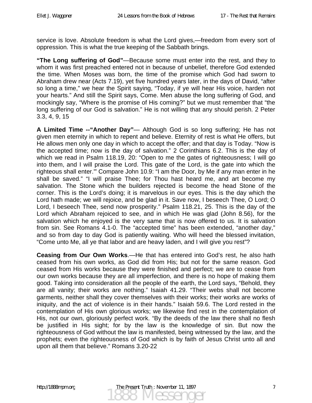service is love. Absolute freedom is what the Lord gives,—freedom from every sort of oppression. This is what the true keeping of the Sabbath brings.

**"The Long suffering of God"**—Because some must enter into the rest, and they to whom it was first preached entered not in because of unbelief, therefore God extended the time. When Moses was born, the time of the promise which God had sworn to Abraham drew near (Acts 7.19), yet five hundred years later, in the days of David, "after so long a time," we hear the Spirit saying, "Today, if ye will hear His voice, harden not your hearts." And still the Spirit says, Come. Men abuse the long suffering of God, and mockingly say, "Where is the promise of His coming?" but we must remember that "the long suffering of our God is salvation." He is not willing that any should perish. 2 Peter 3.3, 4, 9, 15

**A Limited Time --"Another Day"**— Although God is so long suffering; He has not given men eternity in which to repent and believe. Eternity of rest is what He offers, but He allows men only one day in which to accept the offer; and that day is Today. "Now is the accepted time; now is the day of salvation." 2 Corinthians 6.2. This is the day of which we read in Psalm 118.19, 20: "Open to me the gates of righteousness; I will go into them, and I will praise the Lord. This gate of the Lord, is the gate into which the righteous shall enter.'" Compare John 10.9: "I am the Door, by Me if any man enter in he shall be saved." "I will praise Thee; for Thou hast heard me, and art become my salvation. The Stone which the builders rejected is become the head Stone of the corner. This is the Lord's doing; it is marvelous in our eyes. This is the day which the Lord hath made; we will rejoice, and be glad in it. Save now, I beseech Thee, O Lord; O Lord, I beseech Thee, send now prosperity." Psalm 118.21, 25. This is the day of the Lord which Abraham rejoiced to see, and in which He was glad (John 8.56), for the salvation which he enjoyed is the very same that is now offered to us. It is salvation from sin. See Romans 4.1-0. The "accepted time" has been extended, "another day," and so from day to day God is patiently waiting. Who will heed the blessed invitation, "Come unto Me, all ye that labor and are heavy laden, and I will give you rest"?

**Ceasing from Our Own Works**.—He that has entered into God's rest, he also hath ceased from his own works, as God did from His; but not for the same reason. God ceased from His works because they were finished and perfect; we are to cease from our own works because they are all imperfection, and there is no hope of making them good. Taking into consideration all the people of the earth, the Lord says, "Behold, they are all vanity; their works are nothing." Isaiah 41.29. "Their webs shall not become garments, neither shall they cover themselves with their works; their works are works of iniquity, and the act of violence is in their hands." Isaiah 59.6. The Lord rested in the contemplation of His own glorious works; we likewise find rest in the contemplation of His, not our own, gloriously perfect work. "By the deeds of the law there shall no flesh be justified in His sight; for by the law is the knowledge of sin. But now the righteousness of God without the law is manifested, being witnessed by the law, and the prophets; even the righteousness of God which is by faith of Jesus Christ unto all and upon all them that believe." Romans 3.20-22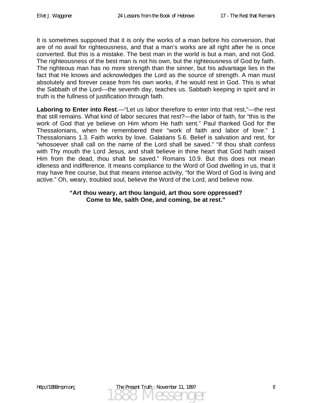It is sometimes supposed that it is only the works of a man before his conversion, that are of no avail for righteousness, and that a man's works are all right after he is once converted. But this is a mistake. The best man in the world is but a man, and not God. The righteousness of the best man is not his own, but the righteousness of God by faith. The righteous man has no more strength than the sinner, but his advantage lies in the fact that He knows and acknowledges the Lord as the source of strength. A man must absolutely and forever cease from his own works, if he would rest in God. This is what the Sabbath of the Lord—the seventh day, teaches us. Sabbath keeping in spirit and in truth is the fullness of justification through faith.

**Laboring to Enter into Rest**.—"Let us labor therefore to enter into that rest,"—the rest that still remains. What kind of labor secures that rest?—the labor of faith, for "this is the work of God that ye believe on Him whom He hath sent." Paul thanked God for the Thessalonians, when he remembered their "work of faith and labor of love." 1 Thessalonians 1.3. Faith works by love. Galatians 5.6. Belief is salvation and rest, for "whosoever shall call on the name of the Lord shall be saved." "If thou shalt confess with Thy mouth the Lord Jesus, and shalt believe in thine heart that God hath raised Him from the dead, thou shalt be saved." Romans 10.9. But this does not mean idleness and indifference. It means compliance to the Word of God dwelling in us, that it may have free course, but that means intense activity, "for the Word of God is living and active." Oh, weary, troubled soul, believe the Word of the Lord, and believe now.

#### **"Art thou weary, art thou languid, art thou sore oppressed? Come to Me, saith One, and coming, be at rest."**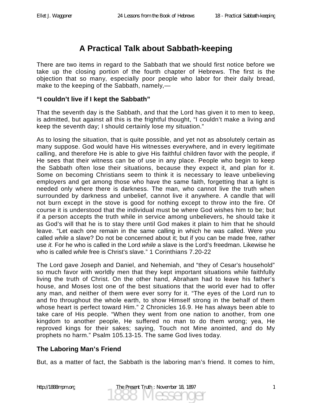## **A Practical Talk about Sabbath-keeping**

There are two items in regard to the Sabbath that we should first notice before we take up the closing portion of the fourth chapter of Hebrews. The first is the objection that so many, especially poor people who labor for their daily bread, make to the keeping of the Sabbath, namely,—

#### **"I couldn't live if I kept the Sabbath"**

That the seventh day is the Sabbath, and that the Lord has given it to men to keep, is admitted, but against all this is the frightful thought, "I couldn't make a living and keep the seventh day; I should certainly lose my situation."

As to losing the situation, that is quite possible, and yet not as absolutely certain as many suppose. God would have His witnesses everywhere, and in every legitimate calling, and therefore He is able to give His faithful children favor with the people, if He sees that their witness can be of use in any place. People who begin to keep the Sabbath often lose their situations, because they expect it, and plan for it. Some on becoming Christians seem to think it is necessary to leave unbelieving employers and get among those who have the same faith, forgetting that a light is needed only where there is darkness. The man, who cannot live the truth when surrounded by darkness and unbelief, cannot live it anywhere. A candle that will not burn except in the stove is good for nothing except to throw into the fire. Of course it is understood that the individual must be where God wishes him to be; but if a person accepts the truth while in service among unbelievers, he should take it as God's will that he is to stay there until God makes it plain to him that he should leave. "Let each one remain in the same calling in which he was called. Were you called *while* a slave? Do not be concerned about it; but if you can be made free, rather use *it.* For he who is called in the Lord *while* a slave is the Lord's freedman. Likewise he who is called *while* free is Christ's slave." 1 Corinthians 7.20-22

The Lord gave Joseph and Daniel, and Nehemiah, and "they of Cesar's household" so much favor with worldly men that they kept important situations while faithfully living the truth of Christ. On the other hand, Abraham had to leave his father's house, and Moses lost one of the best situations that the world ever had to offer any man, and neither of them were ever sorry for it. "The eyes of the Lord run to and fro throughout the whole earth, to show Himself strong in the behalf of them whose heart is perfect toward Him." 2 Chronicles 16.9. He has always been able to take care of His people. "When they went from one nation to another, from one kingdom to another people, He suffered no man to do them wrong; yea, He reproved kings for their sakes; saying, Touch not Mine anointed, and do My prophets no harm." Psalm 105.13-15. The same God lives today.

### **The Laboring Man's Friend**

But, as a matter of fact, the Sabbath is the laboring man's friend. It comes to him,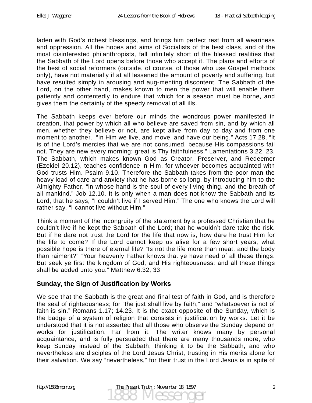laden with God's richest blessings, and brings him perfect rest from all weariness and oppression. All the hopes and aims of Socialists of the best class, and of the most disinterested philanthropists, fall infinitely short of the blessed realities that the Sabbath of the Lord opens before those who accept it. The plans and efforts of the best of social reformers (outside, of course, of those who use Gospel methods only), have not materially if at all lessened the amount of poverty and suffering, but have resulted simply in arousing and aug-menting discontent. The Sabbath of the Lord, on the other hand, makes known to men the power that will enable them patiently and contentedly to endure that which for a season must be borne, and gives them the certainty of the speedy removal of all ills.

The Sabbath keeps ever before our minds the wondrous power manifested in creation, that power by which all who believe are saved from sin, and by which all men, whether they believe or not, are kept alive from day to day and from one moment to another. "In Him we live, and move, and have our being." Acts 17.28. "It is of the Lord's mercies that we are not consumed, because His compassions fail not. They are new every morning; great is Thy faithfulness." Lamentations 3.22, 23. The Sabbath, which makes known God as Creator, Preserver, and Redeemer (Ezekiel 20.12), teaches confidence in Him, for whoever becomes acquainted with God trusts Him. Psalm 9.10. Therefore the Sabbath takes from the poor man the heavy load of care and anxiety that he has borne so long, by introducing him to the Almighty Father, "in whose hand is the soul of every living thing, and the breath of all mankind." Job 12.10. It is only when a man does not know the Sabbath and its Lord, that he says, "I couldn't live if I served Him." The one who knows the Lord will rather say, "I cannot live without Him."

Think a moment of the incongruity of the statement by a professed Christian that he couldn't live if he kept the Sabbath of the Lord; that he wouldn't dare take the risk. But if he dare not trust the Lord for the life that now is, how dare he trust Him for the life to come? If the Lord cannot keep us alive for a few short years, what possible hope is there of eternal life? "Is not the life more than meat, and the body than raiment?" "Your heavenly Father knows that ye have need of all these things. But seek ye first the kingdom of God, and His righteousness; and all these things shall be added unto you." Matthew 6.32, 33

### **Sunday, the Sign of Justification by Works**

We see that the Sabbath is the great and final test of faith in God, and is therefore the seal of righteousness; for "the just shall live by faith," and "whatsoever is not of faith is sin." Romans 1.17; 14.23. It is the exact opposite of the Sunday, which is the badge of a system of religion that consists in justification by works. Let it be understood that it is not asserted that all those who observe the Sunday depend on works for justification. Far from it. The writer knows many by personal acquaintance, and is fully persuaded that there are many thousands more, who keep Sunday instead of the Sabbath, thinking it to be the Sabbath, and who nevertheless are disciples of the Lord Jesus Christ, trusting in His merits alone for their salvation. We say "nevertheless," for their trust in the Lord Jesus is in spite of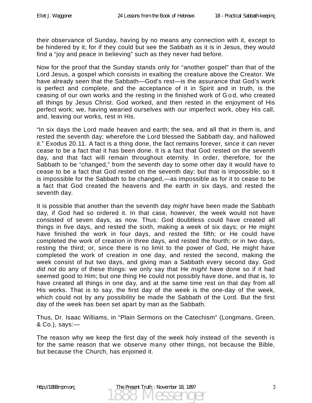their observance of Sunday, having by no means any connection with it, except to be hindered by it; for if they could but see the Sabbath as it is in Jesus, they would find a "joy and peace in believing" such as they never had before.

Now for the proof that the Sunday stands only for "another gospel" than that of the Lord Jesus, a gospel which consists in exalting the creature above the Creator. We have already seen that the Sabbath—God's rest—is the assurance that God's work is perfect and complete, and the acceptance of it in Spirit and in truth, is the ceasing of our own works and the resting in the finished work of G o d, who created all things by Jesus Christ. God worked, and then rested in the enjoyment of His perfect work; we, having wearied ourselves with our imperfect work, obey His call, and, leaving our works, rest in His.

"In six days the Lord made heaven and earth; the sea, and all that in them is, and rested the seventh day; wherefore the Lord blessed the Sabbath day, and hallowed it." Exodus 20.11. A fact is a thing done, the fact remains forever, since it can never cease to be a fact that it has been done. It is a fact that God rested on the seventh day, and that fact will remain throughout eternity. In order, therefore, for the Sabbath to be "changed," from the seventh day to some other day it would have to cease to be a fact that God rested on the seventh day; but that is impossible; so it is impossible for the Sabbath to be changed,—as impossible as for it to cease to be a fact that God created the heavens and the earth in six days, and rested the seventh day.

It is possible that another than the seventh day *might* have been made the Sabbath day, if God had so ordered it. In that case, however, the week would not have consisted of seven days, as now. Thus: God doubtless could have created all things in five days, and rested the sixth, making a week of six days; or He might have finished the work in four days, and rested the fifth; or He could have completed the work of creation in three days, and rested the fourth; or in two days, resting the third; or, since there is no limit to the power of God, He might have completed the work of creation in one day, and rested the second, making the week consist of but two days, and giving man a Sabbath every second day. God *did not* do any of these things: we only say that He *might* have done so if it had seemed good to Him; but one thing He could not possibly have done, and that is, to have created all things in one day, and at the same time rest on that day from all His works. That is to say, the first day of the week is the one-day of the week, which could not by any possibility be made the Sabbath of the Lord. But the first day of the week has been set apart by man as the Sabbath.

Thus, Dr. Isaac Williams, in "Plain Sermons on the Catechism" (Longmans, Green, & Co.), says:—

The reason why we keep the first day of the week holy instead of the seventh is for the same reason that we observe many other things, not because the Bible, but because the Church, has enjoined it.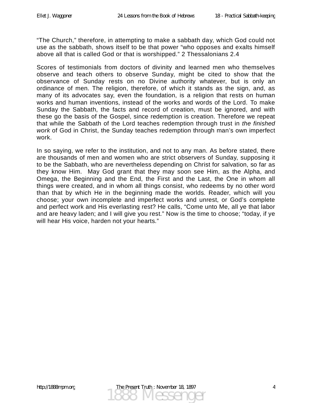"The Church," therefore, in attempting to make a sabbath day, which God could not use as the sabbath, shows itself to be that power "who opposes and exalts himself above all that is called God or that is worshipped." 2 Thessalonians 2.4

Scores of testimonials from doctors of divinity and learned men who themselves observe and teach others to observe Sunday, might be cited to show that the observance of Sunday rests on no Divine authority whatever, but is only an ordinance of men. The religion, therefore, of which it stands as the sign, and, as many of its advocates say, even the foundation, is a religion that rests on human works and human inventions, instead of the works and words of the Lord. To make Sunday the Sabbath, the facts and record of creation, must be ignored, and with these go the basis of the Gospel, since redemption is creation. Therefore we repeat that while the Sabbath of the Lord teaches redemption through trust in *the finished work* of God in Christ, the Sunday teaches redemption through man's own imperfect work.

In so saying, we refer to the institution, and not to any man. As before stated, there are thousands of men and women who are strict observers of Sunday, supposing it to be the Sabbath, who are nevertheless depending on Christ for salvation, so far as they know Him. May God grant that they may soon see Him, as the Alpha, and Omega, the Beginning and the End, the First and the Last, the One in whom all things were created, and in whom all things consist, who redeems by no other word than that by which He in the beginning made the worlds. Reader, which will you choose; your own incomplete and imperfect works and unrest, or God's complete and perfect work and His everlasting rest? He calls, "Come unto Me, all ye that labor and are heavy laden; and I will give you rest." Now is the time to choose; "today, if ye will hear His voice, harden not your hearts."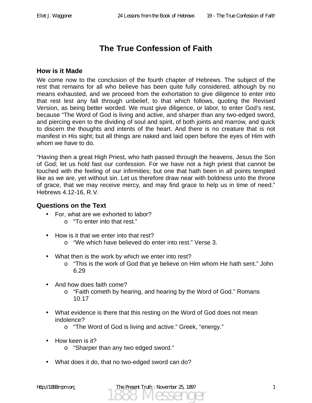# **The True Confession of Faith**

#### **How is it Made**

We come now to the conclusion of the fourth chapter of Hebrews. The subject of the rest that remains for all who believe has been quite fully considered, although by no means exhausted, and we proceed from the exhortation to give diligence to enter into that rest lest any fall through unbelief, to that which follows, quoting the Revised Version, as being better worded. We must give diligence, or labor, to enter God's rest, because "The Word of God is living and active, and sharper than any two-edged sword, and piercing even to the dividing of soul and spirit, of both joints and marrow, and quick to discern the thoughts and intents of the heart. And there is no creature that is not manifest in His sight; but all things are naked and laid open before the eyes of Him with whom we have to do.

"Having then a great High Priest, who hath passed through the heavens, Jesus the Son of God; let us hold fast our confession. For we have not a high priest that cannot be touched with the feeling of our infirmities; but one that hath been in all points tempted like as we are, yet without sin. Let us therefore draw near with boldness unto the throne of grace, that we may receive mercy, and may find grace to help us in time of need." Hebrews 4.12-16, R.V.

#### **Questions on the Text**

- For, what are we exhorted to labor?
	- o "To enter into that rest."
- How is it that we enter into that rest?
	- o "We which have believed do enter into rest." Verse 3.
- What then is the work by which we enter into rest?
	- o "This is the work of God that ye believe on Him whom He hath sent." John 6.29
- And how does faith come?
	- o "Faith cometh by hearing, and hearing by the Word of God." Romans 10.17
- What evidence is there that this resting on the Word of God does not mean indolence?
	- o "The Word of God is living and active." Greek, "energy."
- How keen is it?
	- o "Sharper than any two edged sword."
- What does it do, that no two-edged sword can do?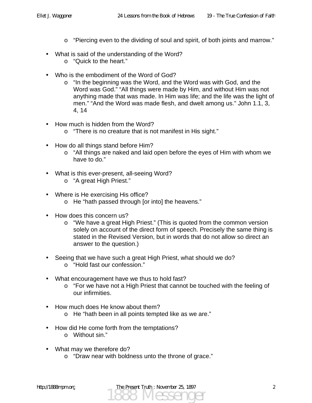- o "Piercing even to the dividing of soul and spirit, of both joints and marrow."
- What is said of the understanding of the Word?
	- o "Quick to the heart."
- Who is the embodiment of the Word of God?
	- o "In the beginning was the Word, and the Word was with God, and the Word was God." "All things were made by Him, and without Him was not anything made that was made. In Him was life; and the life was the light of men." "And the Word was made flesh, and dwelt among us." John 1.1, 3, 4, 14
- How much is hidden from the Word?
	- o "There is no creature that is not manifest in His sight."
- How do all things stand before Him?
	- o "All things are naked and laid open before the eyes of Him with whom we have to do."
- What is this ever-present, all-seeing Word?
	- o "A great High Priest."
- Where is He exercising His office?
	- o He "hath passed through [or into] the heavens."
- How does this concern us?
	- o "We have a great High Priest." (This is quoted from the common version solely on account of the direct form of speech. Precisely the same thing is stated in the Revised Version, but in words that do not allow so direct an answer to the question.)
- Seeing that we have such a great High Priest, what should we do? o "Hold fast our confession."
- What encouragement have we thus to hold fast?
	- o "For we have not a High Priest that cannot be touched with the feeling of our infirmities.
- How much does He know about them?
	- o He "hath been in all points tempted like as we are."
- How did He come forth from the temptations?
	- o Without sin."
- What may we therefore do?
	- o "Draw near with boldness unto the throne of grace."

1888 Messenger http://1888mpm.org The Present Truth : November 25, 1897 2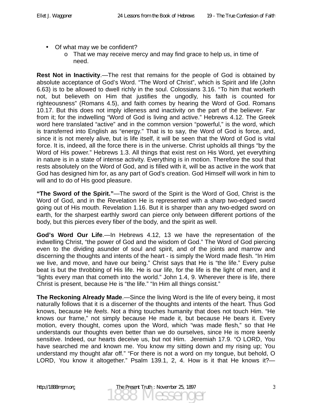- Of what may we be confident?
	- $\circ$  That we may receive mercy and may find grace to help us, in time of need.

**Rest Not in Inactivity**.—The rest that remains for the people of God is obtained by absolute acceptance of God's Word. "The Word of Christ", which is Spirit and life (John 6.63) is to be allowed to dwell richly in the soul. Colossians 3.16. "To him that worketh not, but believeth on Him that justifies the ungodly, his faith is counted for righteousness" (Romans 4.5), and faith comes by hearing the Word of God. Romans 10.17. But this does not imply idleness and inactivity on the part of the believer. Far from it; for the indwelling "Word of God is living and active." Hebrews 4.12. The Greek word here translated "active" and in the common version "powerful," is the word, which is transferred into English as "energy." That is to say, the Word of God is force, and, since it is not merely alive, but is life itself, it will be seen that the Word of God is vital force. It is, indeed, all the force there is in the universe. Christ upholds all things "by the Word of His power." Hebrews 1.3. All things that exist rest on His Word, yet everything in nature is in a state of intense activity. Everything is in motion. Therefore the soul that rests absolutely on the Word of God, and is filled with it, will be as active in the work that God has designed him for, as any part of God's creation. God Himself will work in him to will and to do of His good pleasure.

**"The Sword of the Spirit."**—The sword of the Spirit is the Word of God, Christ is the Word of God, and in the Revelation He is represented with a sharp two-edged sword going out of His mouth. Revelation 1.16. But it is sharper than any two-edged sword on earth, for the sharpest earthly sword can pierce only between different portions of the body, but this pierces every fiber of the body, and the spirit as well.

**God's Word Our Life**.—In Hebrews 4.12, 13 we have the representation of the indwelling Christ, "the power of God and the wisdom of God." The Word of God piercing even to the dividing asunder of soul and spirit, and of the joints and marrow and discerning the thoughts and intents of the heart - is simply the Word made flesh. "In Him we live, and move, and have our being." Christ says that He is "the life." Every pulse beat is but the throbbing of His life. He is our life, for the life is the light of men, and it "lights every man that cometh into the world." John 1.4, 9. Wherever there is life, there Christ is present, because He is "the life." "In Him all things consist."

**The Reckoning Already Made**.—Since the living Word is the life of every being, it most naturally follows that it is a discerner of the thoughts and intents of the heart. Thus God knows, because He *feels*. Not a thing touches humanity that does not touch Him. "He knows our frame," not simply because He made it, but because He bears it. Every motion, every thought, comes upon the Word, which "was made flesh," so that He understands our thoughts even better than we do ourselves, since He is more keenly sensitive. Indeed, our hearts deceive us, but not Him. Jeremiah 17.9. "O LORD, You have searched me and known me. You know my sitting down and my rising up; You understand my thought afar off." "For there is not a word on my tongue, but behold, O LORD, You know it altogether." Psalm 139.1, 2, 4. How is it that He knows it?—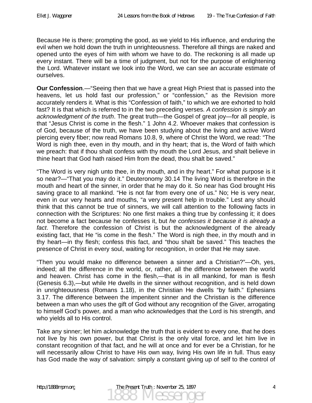Because He is there; prompting the good, as we yield to His influence, and enduring the evil when we hold down the truth in unrighteousness. Therefore all things are naked and opened unto the eyes of him with whom we have to do. The reckoning is all made up every instant. There will be a time of judgment, but not for the purpose of enlightening the Lord. Whatever instant we look into the Word, we can see an accurate estimate of ourselves.

**Our Confession**.—"Seeing then that we have a great High Priest that is passed into the heavens, let us hold fast our profession," or "confession," as the Revision more accurately renders it. What is this "Confession of faith," to which we are exhorted to hold fast? It is that which is referred to in the two preceding verses. *A confession is simply an acknowledgment of the truth*. The great truth—the Gospel of great joy—for all people, is that "Jesus Christ is come in the flesh." 1 John 4.2. Whoever makes that confession is of God, because of the truth, we have been studying about the living and active Word piercing every fiber; now read Romans 10.8, 9, where of Christ the Word, we read: "The Word is nigh thee, even in thy mouth, and in thy heart; that is, the Word of faith which we preach: that if thou shalt confess with thy mouth the Lord Jesus, and shalt believe in thine heart that God hath raised Him from the dead, thou shalt be saved."

"The Word is very nigh unto thee, in thy mouth, and in thy heart." For what purpose is it so near?—"That you may do it." Deuteronomy 30.14 The living Word is therefore in the mouth and heart of the sinner, in order that he may do it. So near has God brought His saving grace to all mankind. "He is not far from every one of us." No; He is very near, even in our very hearts and mouths, "a very present help in trouble." Lest any should think that this cannot be true of sinners, we will call attention to the following facts in connection with the Scriptures: No one first makes a thing true by confessing it; it does not become a fact because he confesses it, but *he confesses it because it is already a fact*. Therefore the confession of Christ is but the acknowledgment of the already existing fact, that He "is come in the flesh." The Word is nigh thee, in thy mouth and in thy heart—in thy flesh; confess this fact, and "thou shalt be saved." This teaches the presence of Christ in every soul, waiting for recognition, in order that He may save.

"Then you would make no difference between a sinner and a Christian?"—Oh, yes, indeed; all the difference in the world, or, rather, all the difference between the world and heaven. Christ has come in the flesh,—that is in all mankind, for man is flesh (Genesis 6.3),—but while He dwells in the sinner without recognition, and is held down in unrighteousness (Romans 1.18), in the Christian He dwells "by faith." Ephesians 3.17. The difference between the impenitent sinner and the Christian is the difference between a man who uses the gift of God without any recognition of the Giver, arrogating to himself God's power, and a man who acknowledges that the Lord is his strength, and who yields all to His control.

Take any sinner; let him acknowledge the truth that is evident to every one, that he does not live by his own power, but that Christ is the only vital force, and let him live in constant recognition of that fact, and he will at once and for ever be a Christian, for he will necessarily allow Christ to have His own way, living His own life in full. Thus easy has God made the way of salvation: simply a constant giving up of self to the control of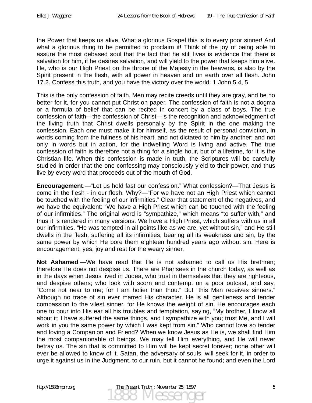the Power that keeps us alive. What a glorious Gospel this is to every poor sinner! And what a glorious thing to be permitted to proclaim it! Think of the joy of being able to assure the most debased soul that the fact that he still lives is evidence that there is salvation for him, if he desires salvation, and will yield to the power that keeps him alive. He, who is our High Priest on the throne of the Majesty in the heavens, is also by the Spirit present in the flesh, with all power in heaven and on earth over all flesh. John 17.2. Confess this truth, and you have the victory over the world. 1 John 5.4, 5

This is the only confession of faith. Men may recite creeds until they are gray, and be no better for it, for you cannot put Christ on paper. The confession of faith is not a dogma or a formula of belief that can be recited in concert by a class of boys. The true confession of faith—the confession of Christ—is the recognition and acknowledgment of the living truth that Christ dwells personally by the Spirit in the one making the confession. Each one must make it for himself, as the result of personal conviction, in words coming from the fullness of his heart, and not dictated to him by another; and not only in words but in action, for the indwelling Word is living and active. The true confession of faith is therefore not a thing for a single hour, but of a lifetime, for it is the Christian life. When this confession is made in truth, the Scriptures will be carefully studied in order that the one confessing may consciously yield to their power, and thus live by every word that proceeds out of the mouth of God.

**Encouragement**.—"Let us hold fast our confession." What confession?—That Jesus is come in the flesh - in our flesh. Why?—"For we have not an High Priest which cannot be touched with the feeling of our infirmities." Clear that statement of the negatives, and we have the equivalent: "We have a High Priest which can be touched with the feeling of our infirmities." The original word is "sympathize," which means "to suffer with," and thus it is rendered in many versions. We have a High Priest, which suffers with us in all our infirmities. "He was tempted in all points like as we are, yet without sin," and He still dwells in the flesh, suffering all its infirmities, bearing all its weakness and sin, by the same power by which He bore them eighteen hundred years ago without sin. Here is encouragement, yes, joy and rest for the weary sinner.

**Not Ashamed**.—We have read that He is not ashamed to call us His brethren; therefore He does not despise us. There are Pharisees in the church today, as well as in the days when Jesus lived in Judea, who trust in themselves that they are righteous, and despise others; who look with scorn and contempt on a poor outcast, and say, "Come not near to me; for I am holier than thou." But "this Man receives sinners." Although no trace of sin ever marred His character, He is all gentleness and tender compassion to the vilest sinner, for He knows the weight of sin. He encourages each one to pour into His ear all his troubles and temptation, saying, "My brother, I know all about it; I have suffered the same things, and I sympathize with you; trust Me, and I will work in you the same power by which I was kept from sin." Who cannot love so tender and loving a Companion and Friend? When we know Jesus as He is, we shall find Him the most companionable of beings. We may tell Him everything, and He will never betray us. The sin that is committed to Him will be kept secret forever; none other will ever be allowed to know of it. Satan, the adversary of souls, will seek for it, in order to urge it against us in the Judgment, to our ruin, but it cannot he found; and even the Lord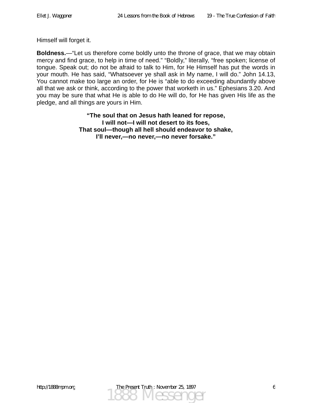Himself will forget it.

**Boldness.**—"Let us therefore come boldly unto the throne of grace, that we may obtain mercy and find grace, to help in time of need." "Boldly," literally, "free spoken; license of tongue. Speak out; do not be afraid to talk to Him, for He Himself has put the words in your mouth. He has said, "Whatsoever ye shall ask in My name, I will do." John 14.13, You cannot make too large an order, for He is "able to do exceeding abundantly above all that we ask or think, according to the power that worketh in us." Ephesians 3.20. And you may be sure that what He is able to do He will do, for He has given His life as the pledge, and all things are yours in Him.

> **"The soul that on Jesus hath leaned for repose, I will not—I will not desert to its foes, That soul—though all hell should endeavor to shake, I'll never,—no never,—no never forsake."**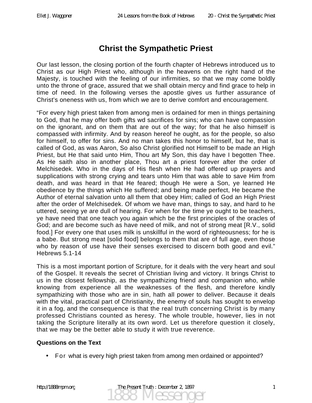## **Christ the Sympathetic Priest**

Our last lesson, the closing portion of the fourth chapter of Hebrews introduced us to Christ as our High Priest who, although in the heavens on the right hand of the Majesty, is touched with the feeling of our infirmities, so that we may come boldly unto the throne of grace, assured that we shall obtain mercy and find grace to help in time of need. In the following verses the apostle gives us further assurance of Christ's oneness with us, from which we are to derive comfort and encouragement.

"For every high priest taken from among men is ordained for men in things pertaining to God, that he may offer both gifts wd sacrifices for sins; who can have compassion on the ignorant, and on them that are out of the way; for that he also himself is compassed with infirmity. And by reason hereof he ought, as for the people, so also for himself, to offer for sins. And no man takes this honor to himself, but he, that is called of God, as was Aaron, So also Christ glorified not Himself to be made an High Priest, but He that said unto Him, Thou art My Son, this day have I begotten Thee. As He saith also in another place, Thou art a priest forever after the order of Melchisedek. Who in the days of His flesh when He had offered up prayers and supplications with strong crying and tears unto Him that was able to save Him from death, and was heard in that He feared; though He were a Son, ye learned He obedience by the things which He suffered; and being made perfect, He became the Author of eternal salvation unto all them that obey Him; called of God an High Priest after the order of Melchisedek. Of whom we have man, things to say, and hard to he uttered, seeing ye are dull of hearing. For when for the time ye ought to be teachers, ye have need that one teach you again which be the first principles of the oracles of God; and are become such as have need of milk, and not of strong meat [R.V., solid food.] For every one that uses milk is unskillful in the word of righteousness; for he is a babe. But strong meat [solid food] belongs to them that are of full age, even those who by reason of use have their senses exercised to discern both good and evil." Hebrews 5.1-14

This is a most important portion of Scripture, for it deals with the very heart and soul of the Gospel. It reveals the secret of Christian living and victory. It brings Christ to us in the closest fellowship, as the sympathizing friend and companion who, while knowing from experience all the weaknesses of the flesh, and therefore kindly sympathizing with those who are in sin, hath all power to deliver. Because it deals with the vital, practical part of Christianity, the enemy of souls has sought to envelop it in a fog, and the consequence is that the real truth concerning Christ is by many professed Christians counted as heresy. The whole trouble, however, lies in not taking the Scripture literally at its own word. Let us therefore question it closely, that we may be the better able to study it with true reverence.

#### **Questions on the Text**

• For what is every high priest taken from among men ordained or appointed?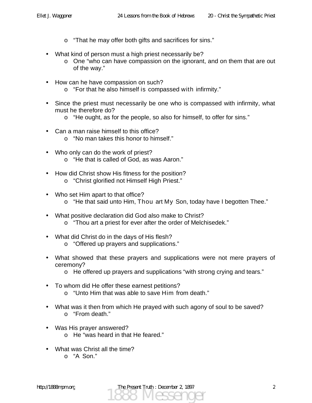- o "That he may offer both gifts and sacrifices for sins."
- What kind of person must a high priest necessarily be?
	- o One "who can have compassion on the ignorant, and on them that are out of the way."
- How can he have compassion on such?
	- o "For that he also himself is compassed with infirmity."
- Since the priest must necessarily be one who is compassed with infirmity, what must he therefore do?
	- o "He ought, as for the people, so also for himself, to offer for sins."
- Can a man raise himself to this office?
	- o "No man takes this honor to himself."
- Who only can do the work of priest? o "He that is called of God, as was Aaron."
- How did Christ show His fitness for the position?
	- o "Christ glorified not Himself High Priest."
- Who set Him apart to that office?
	- o "He that said unto Him, Thou art My Son, today have I begotten Thee."
- What positive declaration did God also make to Christ?
	- o "Thou art a priest for ever after the order of Melchisedek."
- What did Christ do in the days of His flesh?
	- o "Offered up prayers and supplications."
- What showed that these prayers and supplications were not mere prayers of ceremony?
	- o He offered up prayers and supplications "with strong crying and tears."
- To whom did He offer these earnest petitions?
	- o "Unto Him that was able to save Him from death."
- What was it then from which He prayed with such agony of soul to be saved? o "From death."
- Was His prayer answered?
	- o He "was heard in that He feared."
- What was Christ all the time?
	- o "A Son."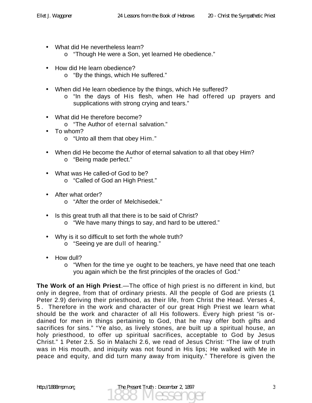- What did He nevertheless learn?
	- o "Though He were a Son, yet learned He obedience."
- How did He learn obedience?
	- o "By the things, which He suffered."
- When did He learn obedience by the things, which He suffered?
	- o "In the days of His flesh, when He had offered up prayers and supplications with strong crying and tears."
- What did He therefore become?
	- o "The Author of eternal salvation."
- To whom?
	- o "Unto all them that obey Him."
- When did He become the Author of eternal salvation to all that obey Him? o "Being made perfect."
- What was He called-of God to be?
	- o "Called of God an High Priest."
- After what order?
	- o "After the order of Melchisedek."
- Is this great truth all that there is to be said of Christ?
	- o "We have many things to say, and hard to be uttered."
- Why is it so difficult to set forth the whole truth?
	- o "Seeing ye are dull of hearing."
- How dull?
	- o "When for the time ye ought to be teachers, ye have need that one teach you again which be the first principles of the oracles of God."

**The Work of an High Priest**.—The office of high priest is no different in kind, but only in degree, from that of ordinary priests. All the people of God are priests (1 Peter 2.9) deriving their priesthood, as their life, from Christ the Head. Verses 4, 5 . Therefore in the work and character of our great High Priest we learn what should be the work and character of all His followers. Every high priest "is ordained for men in things pertaining to God, that he may offer both gifts and sacrifices for sins." "Ye also, as lively stones, are built up a spiritual house, an holy priesthood, to offer up spiritual sacrifices, acceptable to God by Jesus Christ." 1 Peter 2.5. So in Malachi 2.6, we read of Jesus Christ: "The law of truth was in His mouth, and iniquity was not found in His lips; He walked with Me in peace and equity, and did turn many away from iniquity." Therefore is given the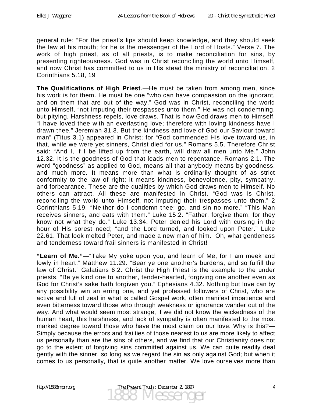general rule: "For the priest's lips should keep knowledge, and they should seek the law at his mouth; for he is the messenger of the Lord of Hosts." Verse 7. The work of high priest, as of all priests, is to make reconciliation for sins, by presenting righteousness. God was in Christ reconciling the world unto Himself, and now Christ has committed to us in His stead the ministry of reconciliation. 2 Corinthians 5.18, 19

**The Qualifications of High Priest**.—He must be taken from among men, since his work is for them. He must be one "who can have compassion on the ignorant, and on them that are out of the way." God was in Christ, reconciling the world unto Himself, "not imputing their trespasses unto them." He was not condemning, but pitying. Harshness repels, love draws. That is how God draws men to Himself. "I have loved thee with an everlasting love; therefore with loving kindness have I drawn thee." Jeremiah 31.3. But the kindness and love of God our Saviour toward man" (Titus 3.1) appeared in Christ; for "God commended His love toward us, in that, while we were yet sinners, Christ died for us." Romans 5.5. Therefore Christ said: "And I, if I be lifted up from the earth, will draw all men unto Me." John 12.32. It is the goodness of God that leads men to repentance. Romans 2.1. The word "goodness" as applied to God, means all that anybody means by goodness, and much more. It means more than what is ordinarily thought of as strict conformity to the law of right; it means kindness, benevolence, pity, sympathy, and forbearance. These are the qualities by which God draws men to Himself. No others can attract. All these are manifested in Christ. "God was is Christ, reconciling the world unto Himself, not imputing their trespasses unto them." 2 Corinthians 5.19. "Neither do I condemn thee; go, and sin no more." "This Man receives sinners, and eats with them." Luke 15.2. "Father, forgive them; for they know not what they do." Luke 13.34. Peter denied his Lord with cursing in the hour of His sorest need; "and the Lord turned, and looked upon Peter." Luke 22.61. That look melted Peter, and made a new man of him. Oh, what gentleness and tenderness toward frail sinners is manifested in Christ!

**"Learn of Me."**—"Take My yoke upon you, and learn of Me, for I am meek and lowly in heart." Matthew 11.29. "Bear ye one another's burdens, and so fulfill the law of Christ." Galatians 6.2. Christ the High Priest is the example to the under priests. "Be ye kind one to another, tender-hearted, forgiving one another even as God for Christ's sake hath forgiven you." Ephesians 4.32. Nothing but love can by any possibility win an erring one, and yet professed followers of Christ, who are active and full of zeal in what is called Gospel work, often manifest impatience and even bitterness toward those who through weakness or ignorance wander out of the way. And what would seem most strange, if we did not know the wickedness of the human heart, this harshness, and lack of sympathy is often manifested to the most marked degree toward those who have the most claim on our love. Why is this?— Simply because the errors and frailties of those nearest to us are more likely to affect us personally than are the sins of others, and we find that our Christianity does not go to the extent of forgiving sins committed against us. We can quite readily deal gently with the sinner, so long as we regard the sin as only against God; but when it comes to us personally, that is quite another matter. We love ourselves more than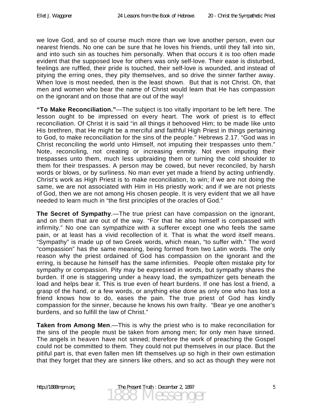we love God, and so of course much more than we love another person, even our nearest friends. No one can be sure that he loves his friends, until they fall into sin, and into such sin as touches him personally. When that occurs it is too often made evident that the supposed love for others was only self-love. Their ease is disturbed, feelings are ruffled, their pride is touched, their self-love is wounded, and instead of pitying the erring ones, they pity themselves, and so drive the sinner farther away. When love is most needed, then is the least shown. But that is not Christ. Oh, that men and women who bear the name of Christ would learn that He has compassion on the ignorant and on those that are out of the way!

**"To Make Reconciliation."**—The subject is too vitally important to be left here. The lesson ought to be impressed on every heart. The work of priest is to effect reconciliation. Of Christ it is said "in all things it behooved Him; to be made like unto His brethren, that He might be a merciful and faithful High Priest in things pertaining to God, to make reconciliation for the sins of the people." Hebrews 2.17. "God was in Christ reconciling the world unto Himself, not imputing their trespasses unto them." Note, reconciling, not creating or increasing enmity. Not even imputing their trespasses unto them, much less upbraiding them or turning the cold shoulder to them for their trespasses. A person may be cowed, but never reconciled, by harsh words or blows, or by surliness. No man ever yet made a friend by acting unfriendly. Christ's work as High Priest is to make reconciliation, to win; if we are not doing the same, we are not associated with Him in His priestly work; and if we are not priests of God, then we are not among His chosen people. It is very evident that we all have needed to learn much in "the first principles of the oracles of God."

**The Secret of Sympathy**.—The true priest can have compassion on the ignorant, and on them that are out of the way. "For that he also himself is compassed with infirmity." No one can sympathize with a sufferer except one who feels the same pain, or at least has a vivid recollection of it. That is what the word itself means. "Sympathy" is made up of two Greek words, which mean, "to suffer with." The word "compassion" has the same meaning, being formed from two Latin words. The only reason why the priest ordained of God has compassion on the ignorant and the erring, is because he himself has the same infirmities. People often mistake pity for sympathy or compassion. Pity may be expressed in words, but sympathy shares the burden. If one is staggering under a heavy load, the sympathizer gets beneath the load and helps bear it. This is true even of heart burdens. If one has lost a friend, a grasp of the hand, or a few words, or anything else done as only one who has lost a friend knows how to do, eases the pain. The true priest of God has kindly compassion for the sinner, because he knows his own frailty. "Bear ye one another's burdens, and so fulfill the law of Christ."

**Taken from Among Men**.—This is why the priest who is to make reconciliation for the sins of the people must be taken from among men; for only men have sinned. The angels in heaven have not sinned; therefore the work of preaching the Gospel could not be committed to them. They could not put themselves in our place. But the pitiful part is, that even fallen men lift themselves up so high in their own estimation that they forget that they are sinners like others, and so act as though they were not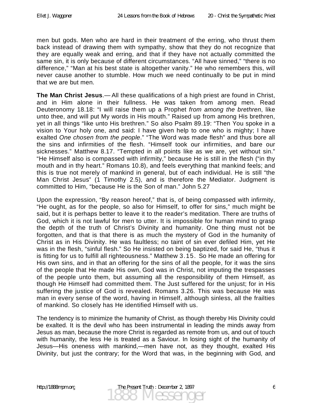men but gods. Men who are hard in their treatment of the erring, who thrust them back instead of drawing them with sympathy, show that they do not recognize that they are equally weak and erring, and that if they have not actually committed the same sin, it is only because of different circumstances. "All have sinned," "there is no difference," "Man at his best state is altogether vanity." He who remembers this, will never cause another to stumble. How much we need continually to be put in mind that we are but men.

**The Man Christ Jesus**.— All these qualifications of a high priest are found in Christ, and in Him alone in their fullness. He was taken from among men. Read Deuteronomy 18.18: "I will raise them up a Prophet *from among the brethren*, like unto thee, and will put My words in His mouth." Raised up from among His brethren, yet in all things "like unto His brethren." So also Psalm 89.19: "Then You spoke in a vision to Your holy one, and said: I have given help to one who is mighty; I have exalted *One chosen from the people*." "The Word was made flesh" and thus bore all the sins and infirmities of the flesh. "Himself took our infirmities, and bare our sicknesses." Matthew 8.17. "Tempted in all points like as we are, yet without sin." "He Himself also is compassed with infirmity," because He is still in the flesh ("in thy mouth and in thy heart." Romans 10.8), and feels everything that mankind feels; and this is true not merely of mankind in general, but of each individual. He is still "the Man Christ Jesus" (1 Timothy 2.5), and is therefore the Mediator. Judgment is committed to Him, "because He is the Son of man." John 5.27

Upon the expression, "By reason hereof," that is, of being compassed with infirmity, "He ought, as for the people, so also for Himself, to offer for sins," much might be said, but it is perhaps better to leave it to the reader's meditation. There are truths of God, which it is not lawful for men to utter. It is impossible for human mind to grasp the depth of the truth of Christ's Divinity and humanity. One thing must not be forgotten, and that is that there is as much the mystery of God in the humanity of Christ as in His Divinity. He was faultless; no taint of sin ever defiled Him, yet He was in the flesh, "sinful flesh." So He insisted on being baptized, for said He, "thus it is fitting for us to fulfill all righteousness." Matthew 3.15. So He made an offering for His own sins, and in that an offering for the sins of all the people, for it was the sins of the people that He made His own, God was in Christ, not imputing the trespasses of the people unto them, but assuming all the responsibility of them Himself, as though He Himself had committed them. The Just suffered for the unjust; for in His suffering the justice of God is revealed. Romans 3.26. This was because He was man in every sense of the word, having in Himself, although sinless, all the frailties of mankind. So closely has He identified Himself with us.

The tendency is to minimize the humanity of Christ, as though thereby His Divinity could be exalted. It is the devil who has been instrumental in leading the minds away from Jesus as man, because the more Christ is regarded as remote from us, and out of touch with humanity, the less He is treated as a Saviour. In losing sight of the humanity of Jesus—His oneness with mankind,—men have not, as they thought, exalted His Divinity, but just the contrary; for the Word that was, in the beginning with God, and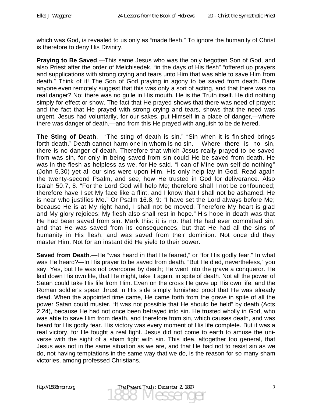which was God, is revealed to us only as "made flesh." To ignore the humanity of Christ is therefore to deny His Divinity.

**Praying to Be Saved**.—This same Jesus who was the only begotten Son of God, and also Priest after the order of Melchisedek, "in the days of His flesh" "offered up prayers and supplications with strong crying and tears unto Him that was able to save Him from death." Think of it! The Son of God praying in agony to be saved from death. Dare anyone even remotely suggest that this was only a sort of acting, and that there was no real danger? No; there was no guile in His mouth. He is the Truth itself. He did nothing simply for effect or show. The fact that He prayed shows that there was need of prayer; and the fact that He prayed with strong crying and tears, shows that the need was urgent. Jesus had voluntarily, for our sakes, put Himself in a place of danger,—where there was danger of death,—and from this He prayed with anguish to be delivered.

**The Sting of Death**.—"The sting of death is sin." "Sin when it is finished brings forth death." Death cannot harm one in whom is no sin. Where there is no sin, there is no danger of death. Therefore that which Jesus really prayed to be saved from was sin, for only in being saved from sin could He be saved from death. He was in the flesh as helpless as we, for He said, "I can of Mine own self do nothing" (John 5.30) yet all our sins were upon Him. His only help lay in God. Read again the twenty-second Psalm, and see, how He trusted in God for deliverance. Also Isaiah 50.7, 8. "For the Lord God will help Me; therefore shall I not be confounded; therefore have I set My face like a flint, and I know that I shall not be ashamed. He is near who justifies Me." Or Psalm 16.8, 9: "I have set the Lord always before Me; because He is at My right hand, I shall not be moved. Therefore My heart is glad and My glory rejoices; My flesh also shall rest in hope." His hope in death was that He had been saved from sin. Mark this: it is not that He had ever committed sin, and that He was saved from its consequences, but that He had all the sins of humanity in His flesh, and was saved from their dominion. Not once did they master Him. Not for an instant did He yield to their power.

**Saved from Death**.—He "was heard in that He feared," or "for His godly fear." In what was He heard?—In His prayer to be saved from death. "But He died, nevertheless," you say. Yes, but He was not overcome by death; He went into the grave a conqueror. He laid down His own life, that He might, take it again, in spite of death. Not all the power of Satan could take His life from Him. Even on the cross He gave up His own life, and the Roman soldier's spear thrust in His side simply furnished proof that He was already dead. When the appointed time came, He came forth from the grave in spite of all the power Satan could muster. "It was not possible that He should be held" by death (Acts 2.24), because He had not once been betrayed into sin. He trusted wholly in God, who was able to save Him from death, and therefore from sin, which causes death, and was heard for His godly fear. His victory was every moment of His life complete. But it was a real victory, for He fought a real fight. Jesus did not come to earth to amuse the universe with the sight of a sham fight with sin. This idea, altogether too general, that Jesus was not in the same situation as we are, and that He had not to resist sin as we do, not having temptations in the same way that we do, is the reason for so many sham victories, among professed Christians.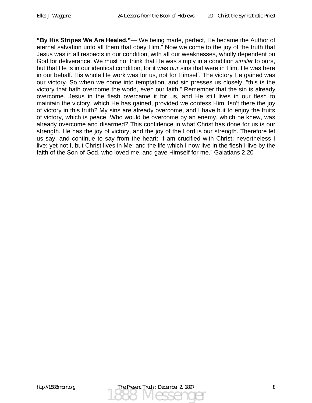**"By His Stripes We Are Healed."**—"We being made, perfect, He became the Author of eternal salvation unto all them that obey Him." Now we come to the joy of the truth that Jesus was in all respects in our condition, with all our weaknesses, wholly dependent on God for deliverance. We must not think that He was simply in a condition *similar* to ours, but that He is in our identical condition, for it was *our* sins that were in Him. He was here in our behalf. His whole life work was for us, not for Himself. The victory He gained was our victory. So when we come into temptation, and sin presses us closely, "this is the victory that hath overcome the world, even our faith." Remember that the sin is already overcome. Jesus in the flesh overcame it for us, and He still lives in our flesh to maintain the victory, which He has gained, provided we confess Him. Isn't there the joy of victory in this truth? My sins are already overcome, and I have but to enjoy the fruits of victory, which is peace. Who would be overcome by an enemy, which he knew, was already overcome and disarmed? This confidence in what Christ has done for us is our strength. He has the joy of victory, and the joy of the Lord is our strength. Therefore let us say, and continue to say from the heart: "I am crucified with Christ; nevertheless I live; yet not I, but Christ lives in Me; and the life which I now live in the flesh I live by the faith of the Son of God, who loved me, and gave Himself for me." Galatians 2.20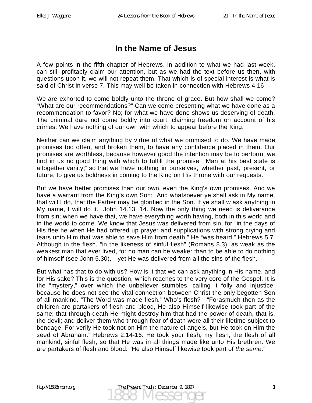## **In the Name of Jesus**

A few points in the fifth chapter of Hebrews, in addition to what we had last week, can still profitably claim our attention, but as we had the text before us then, with questions upon it, we will not repeat them. That which is of special interest is what is said of Christ in verse 7. This may well be taken in connection with Hebrews 4.16

We are exhorted to come boldly unto the throne of grace. But how shall we come? "What are our recommendations?" Can we come presenting what we have done as a recommendation to favor? No; for what we have done shows us deserving of death. The criminal dare not come boldly into court, claiming freedom on account of his crimes. We have nothing of our own with which to appear before the King.

Neither can we claim anything by virtue of what we promised to do. We have made promises too often, and broken them, to have any confidence placed in them. Our promises are worthless, because however good the intention may be to perform, we find in us no good thing with which to fulfill the promise. "Man at his best state is altogether vanity;" so that we have nothing in ourselves, whether past, present, or future, to give us boldness in coming to the King on His throne with our requests.

But we have better promises than our own, even the King's own promises. And we have a warrant from the King's own Son: "And whatsoever ye shall ask in My name, that will I do, that the Father may be glorified in the Son. If ye shall w ask anything in My name, I will do it." John 14.13, 14. Now the only thing we need is deliverance from sin; when we have that, we have everything worth having, both in this world and in the world to come. We know that Jesus was delivered from sin, for "in the days of His flee he when He had offered up prayer and supplications with strong crying and tears unto Him that was able to save Him from death," He "was heard." Hebrews 5.7. Although in the flesh, "in the likeness of sinful flesh" (Romans 8.3), as weak as the weakest man that ever lived, for no man can be weaker than to be able to do nothing of himself (see John 5.30),—yet He was delivered from all the sins of the flesh.

But what has that to do with us? How is it that we can ask anything in His name, and for His sake? This is the question, which reaches to the very core of the Gospel. It is the "mystery," over which the unbeliever stumbles, calling it folly and injustice, because he does not see the vital connection between Christ the only-begotten Son of all mankind. "The Word was made flesh." Who's flesh?—"Forasmuch then as the children are partakers of flesh and blood, He also Himself likewise took part of the same; that through death He might destroy him that had the power of death, that is, the devil; and deliver them who through fear of death were all their lifetime subject to bondage. For verily He took not on Him the nature of angels, but He took on Him the seed of Abraham." Hebrews 2.14-16. He took your flesh, my flesh, the flesh of all mankind, sinful flesh, so that He was in all things made like unto His brethren. We are partakers of flesh and blood: "He also Himself likewise took part of *the same*."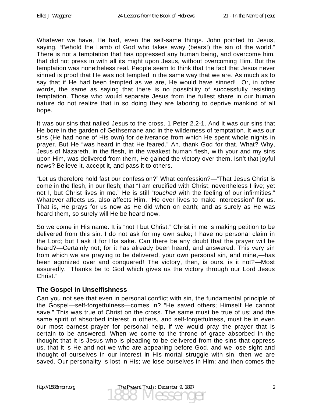Whatever we have, He had, even the self-same things. John pointed to Jesus, saying, "Behold the Lamb of God who takes away (bears!) the sin of the world." There is not a temptation that has oppressed any human being, and overcome him, that did not press in with all its might upon Jesus, without overcoming Him. But the temptation was nonetheless real. People seem to think that the fact that Jesus never sinned is proof that He was not tempted in the same way that we are. As much as to say that if He had been tempted as we are, He would have sinned! Or, in other words, the same as saying that there is no possibility of successfully resisting temptation. Those who would separate Jesus from the fullest share in our human nature do not realize that in so doing they are laboring to deprive mankind of all hope.

It was our sins that nailed Jesus to the cross. 1 Peter 2.2-1. And it was our sins that He bore in the garden of Gethsemane and in the wilderness of temptation. It was our sins (He had none of His own) for deliverance from which He spent whole nights in prayer. But He "was heard in that He feared." Ah, thank God for that. What? Why, Jesus of Nazareth, in the flesh, in the weakest human flesh, with your and my sins upon Him, was delivered from them, He gained the victory over them. Isn't that joyful news? Believe it, accept it, and pass it to others.

"Let us therefore hold fast our confession?" What confession?—"That Jesus Christ is come in the flesh, in our flesh; that "I am crucified with Christ; nevertheless I live; yet not I, but Christ lives in me." He is still "*touched* with the feeling of our infirmities." Whatever affects us, also affects Him. "He ever lives to make intercession" for us. That is, He prays for us now as He did when on earth; and as surely as He was heard them, so surely will He be heard now.

So we come in His name. It is "not I but Christ." Christ in me is making petition to be delivered from this sin. I do not ask for my own sake; I have no personal claim in the Lord; but I ask it for His sake. Can there be any doubt that the prayer will be heard?—Certainly not; for it has already been heard, and answered. This very sin from which we are praying to be delivered, your own personal sin, and mine,—has been agonized over and conquered! The victory, then, is ours, is it not?—Most assuredly. "Thanks be to God which gives us the victory through our Lord Jesus Christ."

### **The Gospel in Unselfishness**

Can you not see that even in personal conflict with sin, the fundamental principle of the Gospel—self-forgetfulness—comes in? "He saved others; Himself He cannot save." This was true of Christ on the cross. The same must be true of us; and the same spirit of absorbed interest in others, and self-forgetfulness, must be in even our most earnest prayer for personal help, if we would pray the prayer that is certain to be answered. When we come to the throne of grace absorbed in the thought that it is Jesus who is pleading to be delivered from the sins that oppress us, that it is He and not we who are appearing before God, and we lose sight and thought of ourselves in our interest in His mortal struggle with sin, then we are saved. Our personality is lost in His; we lose ourselves in Him; and then comes the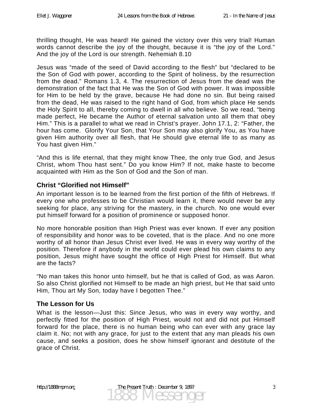thrilling thought, He was heard! He gained the victory over this very trial! Human words cannot describe the joy of the thought, because it is "the joy of the Lord." And the joy of the Lord is our strength. Nehemiah 8.10

Jesus was "made of the seed of David according to the flesh" but "declared to be the Son of God with power, according to the Spirit of holiness, by the resurrection from the dead." Romans 1.3, 4. The resurrection of Jesus from the dead was the demonstration of the fact that He was the Son of God with power. It was impossible for Him to be held by the grave, because He had done no sin. But being raised from the dead, He was raised to the right hand of God, from which place He sends the Holy Spirit to all, thereby coming to dwell in all who believe. So we read, "being made perfect, He became the Author of eternal salvation unto all them that obey Him." This is a parallel to what we read in Christ's prayer. John 17.1, 2: "Father, the hour has come. Glorify Your Son, that Your Son may also glorify You, as You have given Him authority over all flesh, that He should give eternal life to as many as You hast given Him."

"And this is life eternal, that they might know Thee, the only true God, and Jesus Christ, whom Thou hast sent." Do you know Him? If not, make haste to become acquainted with Him as the Son of God and the Son of man.

### **Christ "Glorified not Himself"**

An important lesson is to be learned from the first portion of the fifth of Hebrews. If every one who professes to be Christian would learn it, there would never be any seeking for place, any striving for the mastery, in the church. No one would ever put himself forward for a position of prominence or supposed honor.

No more honorable position than High Priest was ever known. If ever any position of responsibility and honor was to be coveted, that is the place. And no one more worthy of all honor than Jesus Christ ever lived. He was in every way worthy of the position. Therefore if anybody in the world could ever plead his own claims to any position, Jesus might have sought the office of High Priest for Himself. But what are the facts?

"No man takes this honor unto himself, but he that is called of God, as was Aaron. So also Christ glorified not Himself to be made an high priest, but He that said unto Him, Thou art My Son, today have I begotten Thee."

### **The Lesson for Us**

What is the lesson—Just this: Since Jesus, who was in every way worthy, and perfectly fitted for the position of High Priest, would not and did not put Himself forward for the place, there is no human being who can ever with any grace lay claim it. No; not with any grace, for just to the extent that any man pleads his own cause, and seeks a position, does he show himself ignorant and destitute of the grace of Christ.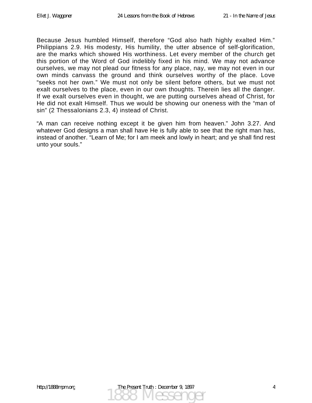Because Jesus humbled Himself, therefore "God also hath highly exalted Him." Philippians 2.9. His modesty, His humility, the utter absence of self-glorification, are the marks which showed His worthiness. Let every member of the church get this portion of the Word of God indelibly fixed in his mind. We may not advance ourselves, we may not plead our fitness for any place, nay, we may not even in our own minds canvass the ground and think ourselves worthy of the place. Love "seeks not her own." We must not only be silent before others, but we must not exalt ourselves to the place, even in our own thoughts. Therein lies all the danger. If we exalt ourselves even in thought, we are putting ourselves ahead of Christ, for He did not exalt Himself. Thus we would be showing our oneness with the "man of sin" (2 Thessalonians 2.3, 4) instead of Christ.

"A man can receive nothing except it be given him from heaven." John 3.27. And whatever God designs a man shall have He is fully able to see that the right man has, instead of another. "Learn of Me; for I am meek and lowly in heart; and ye shall find rest unto your souls."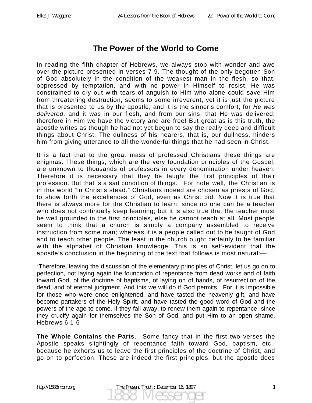### **The Power of the World to Come**

In reading the fifth chapter of Hebrews, we always stop with wonder and awe over the picture presented in verses 7-9. The thought of the only-begotten Son of God absolutely in the condition of the weakest man in the flesh, so that, oppressed by temptation, and with no power in Himself to resist, He was constrained to cry out with tears of anguish to Him who alone could save Him from threatening destruction, seems to some irreverent, yet it is just the picture that is presented to us by the apostle, and it is the sinner's comfort; for *He was delivered*, and it was in our flesh, and from our sins, that He was delivered; therefore in Him we have the victory and are free! But great as is this truth, the apostle writes as though he had not yet begun to say the really deep and difficult things about Christ. The dullness of his hearers, that is, our dullness, hinders him from giving utterance to all the wonderful things that he had seen in Christ.

It is a fact that to the great mass of professed Christians these things are enigmas. These things, which are the very foundation principles of the Gospel, are unknown to thousands of professors in every denomination under heaven. Therefore it is necessary that they be taught the first principles of their profession. But that is a sad condition of things. For note well, the Christian is in this world "in Christ's stead." Christians indeed are chosen as priests of God, to show forth the excellences of God, even as Christ did. Now it is true that there is always more for the Christian to learn, since no one can be a teacher who does not continually keep learning; but it is also true that the teacher must be well grounded in the first principles, else he cannot teach at all. Most people seem to think that a church is simply a company assembled to receive instruction from some man; whereas it is a people called out to be taught of God and to teach other people. The least in the church ought certainly to be familiar with the alphabet of Christian knowledge. This is so self-evident that the apostle's conclusion in the beginning of the text that follows is most natural:—

"Therefore, leaving the discussion of the elementary principles of Christ, let us go on to perfection, not laying again the foundation of repentance from dead works and of faith toward God, of the doctrine of baptisms, of laying on of hands, of resurrection of the dead, and of eternal judgment. And this we will do if God permits. For it is impossible for those who were once enlightened, and have tasted the heavenly gift, and have become partakers of the Holy Spirit, and have tasted the good word of God and the powers of the age to come, if they fall away, to renew them again to repentance, since they crucify again for themselves the Son of God, and put Him to an open shame. Hebrews 6.1-6

**The Whole Contains the Parts**.—Some fancy that in the first two verses the Apostle speaks slightingly of repentance faith toward God, baptism, etc., because he exhorts us to leave the first principles of the doctrine of Christ, and go on to perfection. These are indeed the first principles, but the apostle does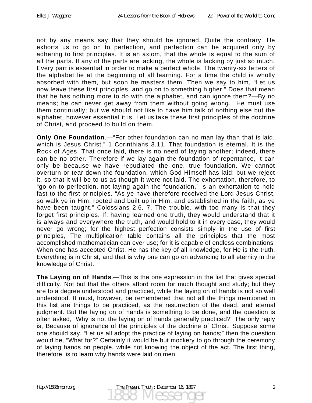not by any means say that they should be ignored. Quite the contrary. He exhorts us to go on to perfection, and perfection can be acquired only by adhering to first principles. It is an axiom, that the whole is equal to the sum of all the parts. If any of the parts are lacking, the whole is lacking by just so much. Every part is essential in order to make a perfect whole. The twenty-six letters of the alphabet lie at the beginning of all learning. For a time the child is wholly absorbed with them, but soon he masters them. Then we say to him, "Let us now leave these first principles, and go on to something higher." Does that mean that he has nothing more to do with the alphabet, and can ignore them?—By no means; he can never get away from them without going wrong. He must use them continually; but we should not like to have him talk of nothing else but the alphabet, however essential it is. Let us take these first principles of the doctrine of Christ, and proceed to build on them.

**Only One Foundation**.—"For other foundation can no man lay than that is laid, which is Jesus Christ." 1 Corinthians 3.11. That foundation is eternal. It is the Rock of Ages. That once laid, there is no need of laying another; indeed, there can be no other. Therefore if we lay again the foundation of repentance, it can only be because we have repudiated the one, true foundation. We cannot overturn or tear down the foundation, which God Himself has laid; but we reject it, so that it will be to us as though it were not laid. The exhortation, therefore, to "go on to perfection, not laying again the foundation," is an exhortation to hold fast to the first principles. "As ye have therefore received the Lord Jesus Christ, so walk ye in Him; rooted and built up in Him, and established in the faith, as ye have been taught." Colossians 2.6, 7. The trouble, with too many is that they forget first principles. If, having learned one truth, they would understand that it is always and everywhere the truth, and would hold to it in every case, they would never go wrong; for the highest perfection consists simply in the use of first principles, The multiplication table contains all the principles that the most accomplished mathematician can ever use; for it is capable of endless combinations. When one has accepted Christ, He has the key of all knowledge, for He is the truth. Everything is in Christ, and that is why one can go on advancing to all eternity in the knowledge of Christ.

**The Laying on of Hands**.—This is the one expression in the list that gives special difficulty. Not but that the others afford room for much thought and study; but they are to a degree understood and practiced, while the laying on of hands is not so well understood. It must, however, be remembered that not all the things mentioned in this list are things to be practiced, as the resurrection of the dead, and eternal judgment. But the laying on of hands is something to be done, and the question is often asked, "Why is not the laying on of hands generally practiced?" The only reply is, Because of ignorance of the principles of the doctrine of Christ. Suppose some one should say, "Let us all adopt the practice of laying on hands;" then the question would be, "What for?" Certainly it would be but mockery to go through the ceremony of laying hands on people, while not knowing the object of the act. The first thing, therefore, is to learn why hands were laid on men.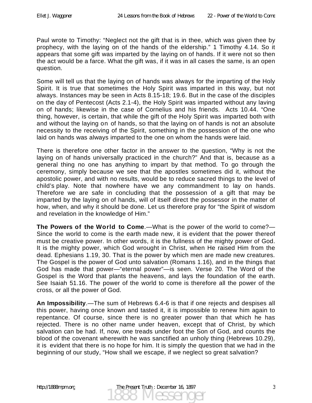Paul wrote to Timothy: "Neglect not the gift that is in thee, which was given thee by prophecy, with the laying on of the hands of the eldership." 1 Timothy 4.14. So it appears that some gift was imparted by the laying on of hands. If it were not so then the act would be a farce. What the gift was, if it was in all cases the same, is an open question.

Some will tell us that the laying on of hands was always for the imparting of the Holy Spirit. It is true that sometimes the Holy Spirit was imparted in this way, but not always. Instances may be seen in Acts 8.15-18; 19.6. But in the case of the disciples on the day of Pentecost (Acts 2.1-4), the Holy Spirit was imparted without any laving on of hands; likewise in the case of Cornelius and his friends. Acts 10.44. "One thing, however, is certain, that while the gift of the Holy Spirit was imparted both with and without the laying on of hands, so that the laying on of hands is not an absolute necessity to the receiving of the Spirit, something in the possession of the one who laid on hands was always imparted to the one on whom the hands were laid.

There is therefore one other factor in the answer to the question, "Why is not the laying on of hands universally practiced in the church?" And that is, because as a general thing no one has anything to impart by that method. To go through the ceremony, simply because we see that the apostles sometimes did it, without the apostolic power, and with no results, would be to reduce sacred things to the level of child's play. Note that nowhere have we any commandment to lay on hands. Therefore we are safe in concluding that the possession of a gift that may be imparted by the laying on of hands, will of itself direct the possessor in the matter of how, when, and why it should be done. Let us therefore pray for "the Spirit of wisdom and revelation in the knowledge of Him."

**The Powers of the World to Come**.—What is the power of the world to come?— Since the world to come is the earth made new, it is evident that the power thereof must be creative power. In other words, it is the fullness of the mighty power of God. It is the mighty power, which God wrought in Christ, when He raised Him from the dead. Ephesians 1.19, 30. That is the power by which men are made new creatures. The Gospel is the power of God unto salvation (Romans 1.16), and in the things that God has made that power—"eternal power"—is seen. Verse 20. The Word of the Gospel is the Word that plants the heavens, and lays the foundation of the earth. See Isaiah 51.16. The power of the world to come is therefore all the power of the cross, or all the power of God.

**An Impossibility**.—The sum of Hebrews 6.4-6 is that if one rejects and despises all this power, having once known and tasted it, it is impossible to renew him again to repentance. Of course, since there is no greater power than that which he has rejected. There is no other name under heaven, except that of Christ, by which salvation can be had. If, now, one treads under foot the Son of God, and counts the blood of the covenant wherewith he was sanctified an unholy thing (Hebrews 10.29), it is evident that there is no hope for him. It is simply the question that we had in the beginning of our study, "How shall we escape, if we neglect so great salvation?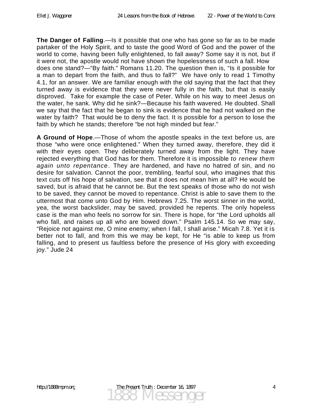**The Danger of Falling**.—Is it possible that one who has gone so far as to be made partaker of the Holy Spirit, and to taste the good Word of God and the power of the world to come, having been fully enlightened, to fall away? Some say it is not, but if it were not, the apostle would not have shown the hopelessness of such a fall. How does one stand?—"By faith." Romans 11.20. The question then is, "Is it possible for a man to depart from the faith, and thus to fall?" We have only to read 1 Timothy 4.1, for an answer. We are familiar enough with the old saying that the fact that they turned away is evidence that they were never fully in the faith, but that is easily disproved. Take for example the case of Peter. While on his way to meet Jesus on the water, he sank. Why did he sink?—Because his faith wavered. He doubted. Shall we say that the fact that he began to sink is evidence that he had not walked on the water by faith? That would be to deny the fact. It is possible for a person to lose the faith by which he stands; therefore "be not high minded but fear."

**A Ground of Hope**.—Those of whom the apostle speaks in the text before us, are those "who were once enlightened." When they turned away, therefore, they did it with their eyes open. They deliberately turned away from the light. They have rejected everything that God has for them. Therefore it is impossible *to renew them again unto repentance*. They are hardened, and have no hatred of sin, and no desire for salvation. Cannot the poor, trembling, fearful soul, who imagines that this text cuts off his hope of salvation, see that it does not mean him at all? He would be saved, but is afraid that he cannot be. But the text speaks of those who do not wish to be saved, they cannot be moved to repentance. Christ is able to save them to the uttermost that come unto God by Him. Hebrews 7.25. The worst sinner in the world, yea, the worst backslider, may be saved, provided he repents. The only hopeless case is the man who feels no sorrow for sin. There is hope, for "the Lord upholds all who fall, and raises up all who are bowed down." Psalm 145.14. So we may say, "Rejoice not against me, O mine enemy; when I fall, I shall arise." Micah 7.8. Yet it is better not to fall, and from this we may be kept, for He "is able to keep us from falling, and to present us faultless before the presence of His glory with exceeding joy." Jude 24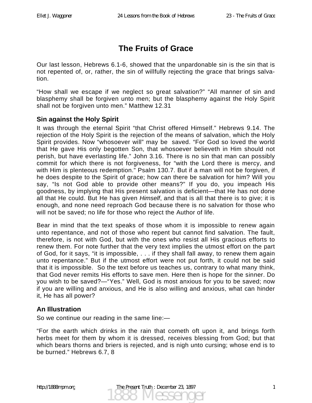## **The Fruits of Grace**

Our last lesson, Hebrews 6.1-6, showed that the unpardonable sin is the sin that is not repented of, or, rather, the sin of willfully rejecting the grace that brings salvation.

"How shall we escape if we neglect so great salvation?" "All manner of sin and blasphemy shall be forgiven unto men; but the blasphemy against the Holy Spirit shall not be forgiven unto men." Matthew 12.31

### **Sin against the Holy Spirit**

It was through the eternal Spirit "that Christ offered Himself." Hebrews 9.14. The rejection of the Holy Spirit is the rejection of the means of salvation, which the Holy Spirit provides. Now "whosoever will" may be saved. "For God so loved the world that He gave His only begotten Son, that whosoever believeth in Him should not perish, but have everlasting life." John 3.16. There is no sin that man can possibly commit for which there is not forgiveness, for "with the Lord there is mercy, and with Him is plenteous redemption." Psalm 130.7. But if a man will not be forgiven, if he does despite to the Spirit of grace; how can there be salvation for him? Will you say, "Is not God able to provide other means?" If you do, you impeach His goodness, by implying that His present salvation is deficient—that He has not done all that He could. But He has given *Himself*, and that is all that there is to give; it is enough, and none need reproach God because there is no salvation for those who will not be saved; no life for those who reject the Author of life.

Bear in mind that the text speaks of those whom it is impossible to renew again unto repentance, and not of those who repent but cannot find salvation. The fault, therefore, is not with God, but with the ones who resist all His gracious efforts to renew them. For note further that the very text implies the utmost effort on the part of God, for it says, "it is impossible, . . . if they shall fall away, to renew them again unto repentance." But if the utmost effort were not put forth, it could not be said that it is impossible. So the text before us teaches us, contrary to what many think, that God never remits His efforts to save men. Here then is hope for the sinner. Do you wish to be saved?—"Yes." Well, God is most anxious for you to be saved; now if you are willing and anxious, and He is also willing and anxious, what can hinder it, He has all power?

#### **An Illustration**

So we continue our reading in the same line:—

"For the earth which drinks in the rain that cometh oft upon it, and brings forth herbs meet for them by whom it is dressed, receives blessing from God; but that which bears thorns and briers is rejected, and is nigh unto cursing; whose end is to be burned." Hebrews 6.7, 8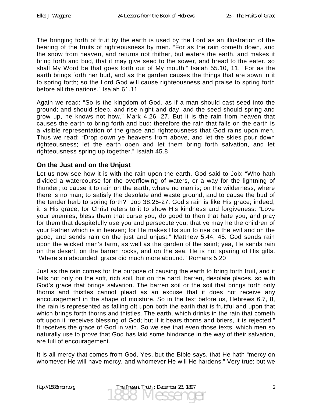The bringing forth of fruit by the earth is used by the Lord as an illustration of the bearing of the fruits of righteousness by men. "For as the rain cometh down, and the snow from heaven, and returns not thither, but waters the earth, and makes it bring forth and bud, that it may give seed to the sower, and bread to the eater, so shall My Word be that goes forth out of My mouth." Isaiah 55.10, 11. "For as the earth brings forth her bud, and as the garden causes the things that are sown in it to spring forth; so the Lord God will cause righteousness and praise to spring forth before all the nations." Isaiah 61.11

Again we read: "So is the kingdom of God, as if a man should cast seed into the ground; and should sleep, and rise night and day, and the seed should spring and grow up, he knows not how." Mark 4.26, 27. But it is the rain from heaven that causes the earth to bring forth and bud; therefore the rain that falls on the earth is a visible representation of the grace and righteousness that God rains upon men. Thus we read: "Drop down ye heavens from above, and let the skies pour down righteousness; let the earth open and let them bring forth salvation, and let righteousness spring up together." Isaiah 45.8

#### **On the Just and on the Unjust**

Let us now see how it is with the rain upon the earth. God said to Job: "Who hath divided a watercourse for the overflowing of waters, or a way for the lightning of thunder; to cause it to rain on the earth, where no man is; on the wilderness, where there is no man; to satisfy the desolate and waste ground, and to cause the bud of the tender herb to spring forth?" Job 38.25-27. God's rain is like His grace; indeed, it is His grace, for Christ refers to it to show His kindness and forgiveness: "Love your enemies, bless them that curse you, do good to then that hate you, and pray for them that despitefully use you and persecute you; that ye may he the children of your Father which is in heaven; for He makes His sun to rise on the evil and on the good, and sends rain on the just and unjust." Matthew 5.44, 45. God sends rain upon the wicked man's farm, as well as the garden of the saint; yea, He sends rain on the desert, on the barren rocks, and on the sea. He is not sparing of His gifts. "Where sin abounded, grace did much more abound." Romans 5.20

Just as the rain comes for the purpose of causing the earth to bring forth fruit, and it falls not only on the soft, rich soil, but on the hard, barren, desolate places, so with God's grace that brings salvation. The barren soil or the soil that brings forth only thorns and thistles cannot plead as an excuse that it does not receive any encouragement in the shape of moisture. So in the text before us, Hebrews 6.7, 8, the rain is represented as falling oft upon both the earth that is fruitful and upon that which brings forth thorns and thistles. The earth, which drinks in the rain that cometh oft upon it "receives blessing of God; but if it bears thorns and briers, it is rejected." It receives the grace of God in vain. So we see that even those texts, which men so naturally use to prove that God has laid some hindrance in the way of their salvation, are full of encouragement.

It is all mercy that comes from God. Yes, but the Bible says, that He hath "mercy on whomever He will have mercy, and whomever He will He hardens." Very true; but we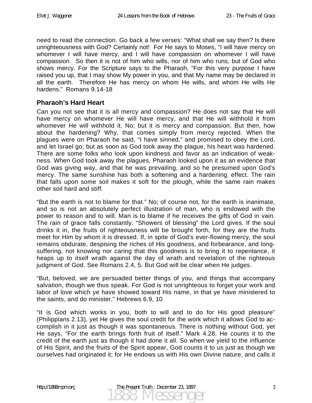need to read the connection. Go back a few verses: "What shall we say then? Is there unrighteousness with God? Certainly not! For He says to Moses, "I will have mercy on whomever I will have mercy, and I will have compassion on whomever I will have compassion. So then it is not of him who wills, nor of him who runs, but of God who shows mercy. For the Scripture says to the Pharaoh, "For this very purpose I have raised you up, that I may show My power in you, and that My name may be declared in all the earth. Therefore He has mercy on whom He wills, and whom He wills He hardens." Romans 9.14-18

#### **Pharaoh's Hard Heart**

Can you not see that it is all mercy and compassion? He does not say that He will have mercy on whomever He will have mercy, and that He will withhold it from whomever He will withhold it. No; but it is mercy and compassion. But then, how about the hardening? Why, that comes simply from mercy rejected. When the plagues were on Pharaoh he said, "I have sinned," and promised to obey the Lord, and let Israel go; but as soon as God took away the plague, his heart was hardened. There are some folks who look upon kindness and favor as an indication of weakness. When God took away the plagues, Pharaoh looked upon it as an evidence that God was giving way, and that he was prevailing, and so he presumed upon God's mercy. The same sunshine has both a softening and a hardening, effect. The rain that falls upon some soil makes it soft for the plough, while the same rain makes other soil hard and stiff.

"But the earth is not to blame for that." No; of course not, for the earth is inanimate, and so is not an absolutely perfect illustration of man, who is endowed with the power to reason and to will. Man is to blame if he receives the gifts of God in vain. The rain of grace falls constantly. "Showers of blessing" the Lord gives. If the soul drinks it in, the fruits of righteousness will be brought forth, for they are the fruits meet for Him by whom it is dressed. If, in spite of God's ever-flowing mercy, the soul remains obdurate, despising the riches of His goodness, and forbearance, and longsuffering, not knowing nor caring that this goodness is to bring it to repentance, it heaps up to itself wrath against the day of wrath and revelation of the righteous judgment of God. See Romans 2.4, 5. But God will be clear when He judges.

"But, beloved, we are persuaded better things of you, and things that accompany salvation, though we thus speak. For God is not unrighteous to forget your work and labor of love which ye have showed toward His name, in that ye have ministered to the saints, and do minister." Hebrews 6.9, 10

"It is God which works in you, both to will and to do for His good pleasure" (Philippians 2.13), yet He gives the soul credit for the work which it allows God to accomplish in it just as though it was spontaneous. There is nothing without God, yet He says, "For the earth brings forth fruit of itself." Mark 4.28. He counts it to the credit of the earth just as though it had done it all. So when we yield to the influence of His Spirit, and the fruits of the Spirit appear, God counts it to us just as though we ourselves had originated it; for He endows us with His own Divine nature, and calls it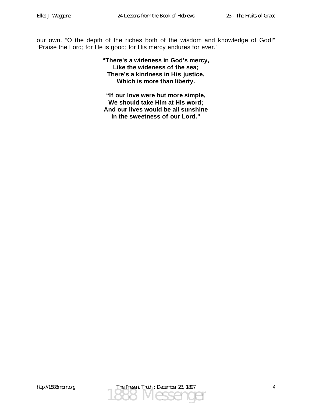our own. "O the depth of the riches both of the wisdom and knowledge of God!" "Praise the Lord; for He is good; for His mercy endures for ever."

> **"There's a wideness in God's mercy, Like the wideness of the sea; There's a kindness in His justice, Which is more than liberty.**

**"If our love were but more simple, We should take Him at His word; And our lives would be all sunshine In the sweetness of our Lord."**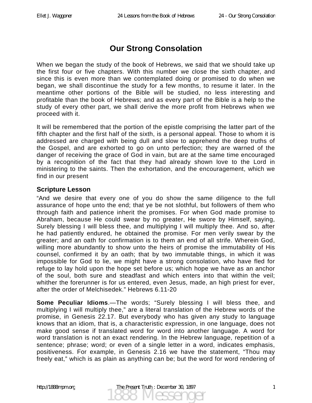# **Our Strong Consolation**

When we began the study of the book of Hebrews, we said that we should take up the first four or five chapters. With this number we close the sixth chapter, and since this is even more than we contemplated doing or promised to do when we began, we shall discontinue the study for a few months, to resume it later. In the meantime other portions of the Bible will be studied, no less interesting and profitable than the book of Hebrews; and as every part of the Bible is a help to the study of every other part, we shall derive the more profit from Hebrews when we proceed with it.

It will be remembered that the portion of the epistle comprising the latter part of the fifth chapter and the first half of the sixth, is a personal appeal. Those to whom it is addressed are charged with being dull and slow to apprehend the deep truths of the Gospel, and are exhorted to go on unto perfection; they are warned of the danger of receiving the grace of God in vain, but are at the same time encouraged by a recognition of the fact that they had already shown love to the Lord in ministering to the saints. Then the exhortation, and the encouragement, which we find in our present

#### **Scripture Lesson**

"And we desire that every one of you do show the same diligence to the full assurance of hope unto the end; that ye be not slothful, but followers of them who through faith and patience inherit the promises. For when God made promise to Abraham, because He could swear by no greater, He swore by Himself, saying, Surely blessing I will bless thee, and multiplying I will multiply thee. And so, after he had patiently endured, he obtained the promise. For men verily swear by the greater; and an oath for confirmation is to them an end of all strife. Wherein God, willing more abundantly to show unto the heirs of promise the immutability of His counsel, confirmed it by an oath; that by two immutable things, in which it was impossible for God to lie, we might have a strong consolation, who have fled for refuge to lay hold upon the hope set before us; which hope we have as an anchor of the soul, both sure and steadfast and which enters into that within the veil; whither the forerunner is for us entered, even Jesus, made, an high priest for ever, after the order of Melchisedek." Hebrews 6.11-20

**Some Peculiar Idioms.—The words; "Surely blessing I will bless thee, and** multiplying I will multiply thee," are a literal translation of the Hebrew words of the promise, in Genesis 22.17. But everybody who has given any study to language knows that an idiom, that is, a characteristic expression, in one language, does not make good sense if translated word for word into another language. A word for word translation is not an exact rendering. In the Hebrew language, repetition of a sentence; phrase; word; or even of a single letter in a word, indicates emphasis, positiveness. For example, in Genesis 2.16 we have the statement, "Thou may freely eat," which is as plain as anything can be; but the word for word rendering of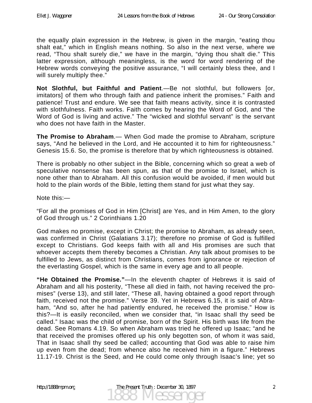the equally plain expression in the Hebrew, is given in the margin, "eating thou shalt eat," which in English means nothing. So also in the next verse, where we read, "Thou shalt surely die," we have in the margin, "dying thou shalt die." This latter expression, although meaningless, is the word for word rendering of the Hebrew words conveying the positive assurance, "I will certainly bless thee, and I will surely multiply thee."

**Not Slothful, but Faithful and Patient**.—Be not slothful, but followers [or, imitators] of them who through faith and patience inherit the promises." Faith and patience! Trust and endure. We see that faith means activity, since it is contrasted with slothfulness. Faith works. Faith comes by hearing the Word of God, and "the Word of God is living and active." The "wicked and slothful servant" is the servant who does not have faith in the Master.

**The Promise to Abraham**.— When God made the promise to Abraham, scripture says, "And he believed in the Lord, and He accounted it to him for righteousness." Genesis 15.6. So, the promise is therefore that by which righteousness is obtained.

There is probably no other subject in the Bible, concerning which so great a web of speculative nonsense has been spun, as that of the promise to Israel, which is none other than to Abraham. All this confusion would be avoided, if men would but hold to the plain words of the Bible, letting them stand for just what they say.

Note this:—

"For all the promises of God in Him [Christ] are Yes, and in Him Amen, to the glory of God through us." 2 Corinthians 1.20

God makes no promise, except in Christ; the promise to Abraham, as already seen, was confirmed in Christ (Galatians 3.17); therefore no promise of God is fulfilled except to Christians. God keeps faith with all and His promises are such that whoever accepts them thereby becomes a Christian. Any talk about promises to be fulfilled to Jews, as distinct from Christians, comes from ignorance or rejection of the everlasting Gospel, which is the same in every age and to all people.

**"He Obtained the Promise."**—In the eleventh chapter of Hebrews it is said of Abraham and all his posterity, "These all died in faith, not having received the promises" (verse 13), and still later, "These all, having obtained a good report through faith, received not the promise." Verse 39. Yet in Hebrews 6.15, it is said of Abraham, "And so, after he had patiently endured, he received the promise." How is this?—It is easily reconciled, when we consider that, "in Isaac shall thy seed be called." Isaac was the child of promise, born of the Spirit. His birth was life from the dead. See Romans 4.19. So when Abraham was tried he offered up Isaac; "and he that received the promises offered up his only begotten son, of whom it was said, That in Isaac shall thy seed be called; accounting that God was able to raise him up even from the dead; from whence also he received him in a figure." Hebrews 11.17-19. Christ is the Seed, and He could come only through Isaac's line; yet so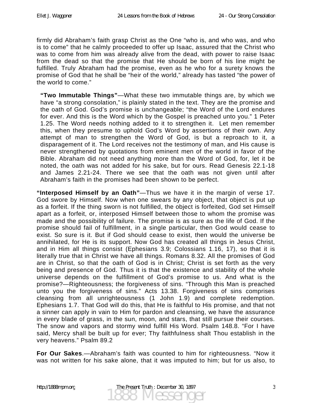firmly did Abraham's faith grasp Christ as the One "who is, and who was, and who is to come" that he calmly proceeded to offer up Isaac, assured that the Christ who was to come from him was already alive from the dead, with power to raise Isaac from the dead so that the promise that He should be born of his line might be fulfilled. Truly Abraham had the promise, even as he who for a surety knows the promise of God that he shall be "heir of the world," already has tasted "the power of the world to come."

**"Two Immutable Things"**—What these two immutable things are, by which we have "a strong consolation," is plainly stated in the text. They are the promise and the oath of God. God's promise is unchangeable; "the Word of the Lord endures for ever. And this is the Word which by the Gospel is preached unto you." 1 Peter 1.25. The Word needs nothing added to it to strengthen it. Let men remember this, when they presume to uphold God's Word by assertions of their own. Any attempt of man to strengthen the Word of God, is but a reproach to it, a disparagement of it. The Lord receives not the testimony of man, and His cause is never strengthened by quotations from eminent men of the world in favor of the Bible. Abraham did not need anything more than the Word of God, for, let it be noted, the oath was not added for his sake, but for ours. Read Genesis 22.1-18 and James 2.21-24. There we see that the oath was not given until after Abraham's faith in the promises had been shown to be perfect.

**"Interposed Himself by an Oath"**—Thus we have it in the margin of verse 17. God swore by Himself. Now when one swears by any object, that object is put up as a forfeit. If the thing sworn is not fulfilled, the object is forfeited, God set Himself apart as a forfeit, or, interposed Himself between those to whom the promise was made and the possibility of failure. The promise is as sure as the life of God. If the promise should fail of fulfillment, in a single particular, then God would cease to exist. So sure is it. But if God should cease to exist, then would the universe be annihilated, for He is its support. Now God has created all things in Jesus Christ, and in Him all things consist (Ephesians 3.9; Colossians 1.16, 17), so that it is literally true that in Christ we have all things. Romans 8.32. All the promises of God are in Christ, so that the oath of God is in Christ; Christ is set forth as the very being and presence of God. Thus it is that the existence and stability of the whole universe depends on the fulfillment of God's promise to us. And what is the promise?—Righteousness; the forgiveness of sins. "Through this Man is preached unto you the forgiveness of sins." Acts 13.38. Forgiveness of sins comprises cleansing from all unrighteousness (1 John 1.9) and complete redemption. Ephesians 1.7. That God will do this, that He is faithful to His promise, and that not a sinner can apply in vain to Him for pardon and cleansing, we have the assurance in every blade of grass, in the sun, moon, and stars, that still pursue their courses. The snow and vapors and stormy wind fulfill His Word. Psalm 148.8. "For I have said, Mercy shall be built up for ever; Thy faithfulness shalt Thou establish in the very heavens." Psalm 89.2

**For Our Sakes**.—Abraham's faith was counted to him for righteousness. "Now it was not written for his sake alone, that it was imputed to him; but for us also, to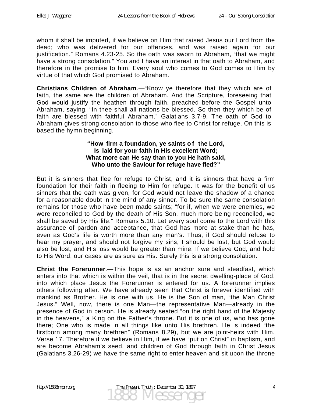whom it shall be imputed, if we believe on Him that raised Jesus our Lord from the dead; who was delivered for our offences, and was raised again for our justification." Romans 4.23-25. So the oath was sworn to Abraham, "that we might have a strong consolation." You and I have an interest in that oath to Abraham, and therefore in the promise to him. Every soul who comes to God comes to Him by virtue of that which God promised to Abraham.

**Christians Children of Abraham**.—"Know ye therefore that they which are of faith, the same are the children of Abraham. And the Scripture, foreseeing that God would justify the heathen through faith, preached before the Gospel unto Abraham, saying, "In thee shall all nations be blessed. So then they which be of faith are blessed with faithful Abraham." Galatians 3.7-9. The oath of God to Abraham gives strong consolation to those who flee to Christ for refuge. On this is based the hymn beginning,

#### "How firm a foundation, ye saints of the Lord, **Is laid for your faith in His excellent Word; What more can He say than to you He hath said, Who unto the Saviour for refuge have fled?"**

But it is sinners that flee for refuge to Christ, and it is sinners that have a firm foundation for their faith in fleeing to Him for refuge. It was for the benefit of us sinners that the oath was given, for God would not leave the shadow of a chance for a reasonable doubt in the mind of any sinner. To be sure the same consolation remains for those who have been made saints; "for if, when we were enemies, we were reconciled to God by the death of His Son, much more being reconciled, we shall be saved by His life." Romans 5.10. Let every soul come to the Lord with this assurance of pardon and acceptance, that God has more at stake than he has, even as God's life is worth more than any man's. Thus, if God should refuse to hear my prayer, and should not forgive my sins, I should be lost, but God would also be lost, and His loss would be greater than mine. If we believe God, and hold to His Word, our cases are as sure as His. Surely this is a strong consolation.

**Christ the Forerunner**.—This hope is as an anchor sure and steadfast, which enters into that which is within the veil, that is in the secret dwelling-place of God, into which place Jesus the Forerunner is entered for us. A forerunner implies others following after. We have already seen that Christ is forever identified with mankind as Brother. He is one with us. He is the Son of man, "the Man Christ Jesus." Well, now, there is one Man—the representative Man—already in the presence of God in person. He is already seated "on the right hand of the Majesty in the heavens," a King on the Father's throne. But it is one of us, who has gone there; One who is made in all things like unto His brethren. He is indeed "the firstborn among many brethren" (Romans 8.29), but we are joint-heirs with Him. Verse 17. Therefore if we believe in Him, if we have "put on Christ" in baptism, and are become Abraham's seed, and children of God through faith in Christ Jesus (Galatians 3.26-29) we have the same right to enter heaven and sit upon the throne